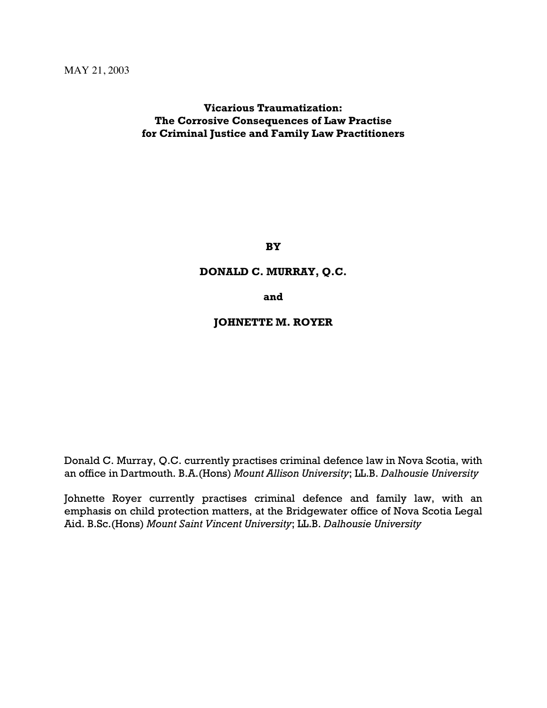MAY 21, 2003

# **Vicarious Traumatization: The Corrosive Consequences of Law Practise for Criminal Justice and Family Law Practitioners**

**BY**

**DONALD C. MURRAY, Q.C.**

**and**

**JOHNETTE M. ROYER**

Donald C. Murray, Q.C. currently practises criminal defence law in Nova Scotia, with an office in Dartmouth. B.A.(Hons) *Mount Allison University*; LL.B. *Dalhousie University*

Johnette Royer currently practises criminal defence and family law, with an emphasis on child protection matters, at the Bridgewater office of Nova Scotia Legal Aid. B.Sc.(Hons) *Mount Saint Vincent University*; LL.B. *Dalhousie University*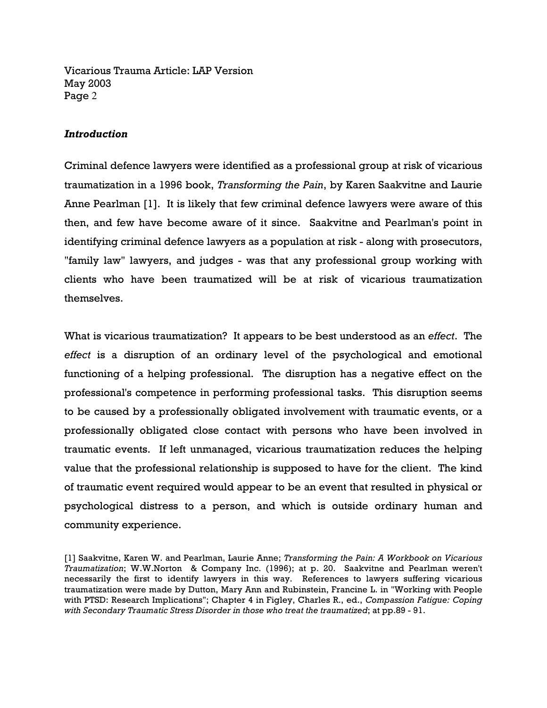### *Introduction*

Criminal defence lawyers were identified as a professional group at risk of vicarious traumatization in a 1996 book, *Transforming the Pain*, by Karen Saakvitne and Laurie Anne Pearlman [1]. It is likely that few criminal defence lawyers were aware of this then, and few have become aware of it since. Saakvitne and Pearlman's point in identifying criminal defence lawyers as a population at risk - along with prosecutors, "family law" lawyers, and judges - was that any professional group working with clients who have been traumatized will be at risk of vicarious traumatization themselves.

What is vicarious traumatization? It appears to be best understood as an *effect*. The *effect* is a disruption of an ordinary level of the psychological and emotional functioning of a helping professional. The disruption has a negative effect on the professional's competence in performing professional tasks. This disruption seems to be caused by a professionally obligated involvement with traumatic events, or a professionally obligated close contact with persons who have been involved in traumatic events. If left unmanaged, vicarious traumatization reduces the helping value that the professional relationship is supposed to have for the client. The kind of traumatic event required would appear to be an event that resulted in physical or psychological distress to a person, and which is outside ordinary human and community experience.

<sup>[1]</sup> Saakvitne, Karen W. and Pearlman, Laurie Anne; *Transforming the Pain: A Workbook on Vicarious Traumatization*; W.W.Norton & Company Inc. (1996); at p. 20. Saakvitne and Pearlman weren't necessarily the first to identify lawyers in this way. References to lawyers suffering vicarious traumatization were made by Dutton, Mary Ann and Rubinstein, Francine L. in "Working with People with PTSD: Research Implications"; Chapter 4 in Figley, Charles R., ed., *Compassion Fatigue: Coping with Secondary Traumatic Stress Disorder in those who treat the traumatized*; at pp.89 - 91.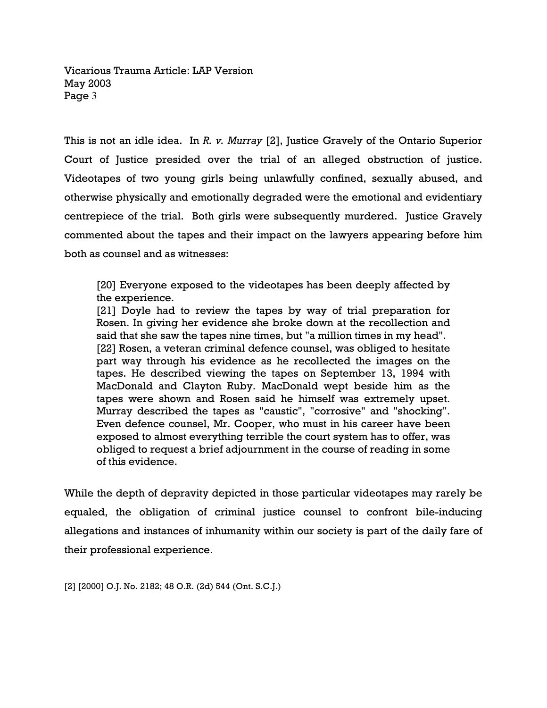This is not an idle idea. In *R. v. Murray* [2], Justice Gravely of the Ontario Superior Court of Justice presided over the trial of an alleged obstruction of justice. Videotapes of two young girls being unlawfully confined, sexually abused, and otherwise physically and emotionally degraded were the emotional and evidentiary centrepiece of the trial. Both girls were subsequently murdered. Justice Gravely commented about the tapes and their impact on the lawyers appearing before him both as counsel and as witnesses:

[20] Everyone exposed to the videotapes has been deeply affected by the experience.

[21] Doyle had to review the tapes by way of trial preparation for Rosen. In giving her evidence she broke down at the recollection and said that she saw the tapes nine times, but "a million times in my head". [22] Rosen, a veteran criminal defence counsel, was obliged to hesitate part way through his evidence as he recollected the images on the tapes. He described viewing the tapes on September 13, 1994 with MacDonald and Clayton Ruby. MacDonald wept beside him as the tapes were shown and Rosen said he himself was extremely upset. Murray described the tapes as "caustic", "corrosive" and "shocking". Even defence counsel, Mr. Cooper, who must in his career have been exposed to almost everything terrible the court system has to offer, was obliged to request a brief adjournment in the course of reading in some of this evidence.

While the depth of depravity depicted in those particular videotapes may rarely be equaled, the obligation of criminal justice counsel to confront bile-inducing allegations and instances of inhumanity within our society is part of the daily fare of their professional experience.

[2] [2000] O.J. No. 2182; 48 O.R. (2d) 544 (Ont. S.C.J.)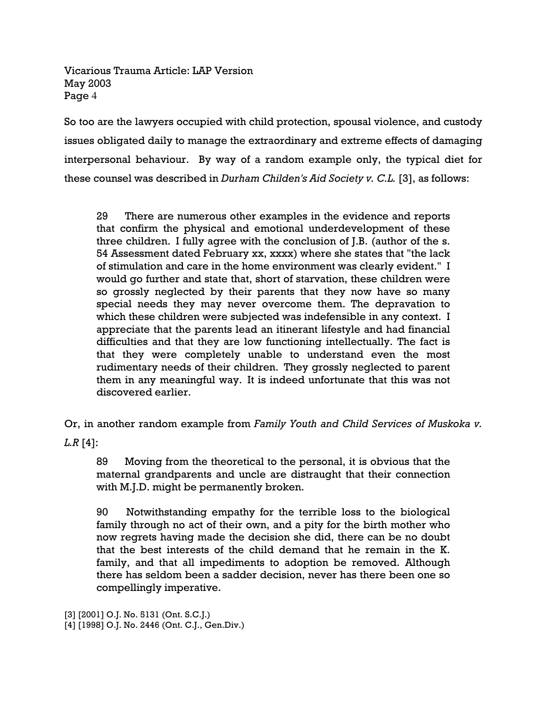So too are the lawyers occupied with child protection, spousal violence, and custody issues obligated daily to manage the extraordinary and extreme effects of damaging interpersonal behaviour. By way of a random example only, the typical diet for these counsel was described in *Durham Childen's Aid Society v. C.L.* [3], as follows:

29 There are numerous other examples in the evidence and reports that confirm the physical and emotional underdevelopment of these three children. I fully agree with the conclusion of J.B. (author of the s. 54 Assessment dated February xx, xxxx) where she states that "the lack of stimulation and care in the home environment was clearly evident." I would go further and state that, short of starvation, these children were so grossly neglected by their parents that they now have so many special needs they may never overcome them. The depravation to which these children were subjected was indefensible in any context. I appreciate that the parents lead an itinerant lifestyle and had financial difficulties and that they are low functioning intellectually. The fact is that they were completely unable to understand even the most rudimentary needs of their children. They grossly neglected to parent them in any meaningful way. It is indeed unfortunate that this was not discovered earlier.

Or, in another random example from *Family Youth and Child Services of Muskoka v.* 

*L.R* [4]:

89 Moving from the theoretical to the personal, it is obvious that the maternal grandparents and uncle are distraught that their connection with M.J.D. might be permanently broken.

90 Notwithstanding empathy for the terrible loss to the biological family through no act of their own, and a pity for the birth mother who now regrets having made the decision she did, there can be no doubt that the best interests of the child demand that he remain in the K. family, and that all impediments to adoption be removed. Although there has seldom been a sadder decision, never has there been one so compellingly imperative.

[3] [2001] O.J. No. 5131 (Ont. S.C.J.) [4] [1998] O.J. No. 2446 (Ont. C.J., Gen.Div.)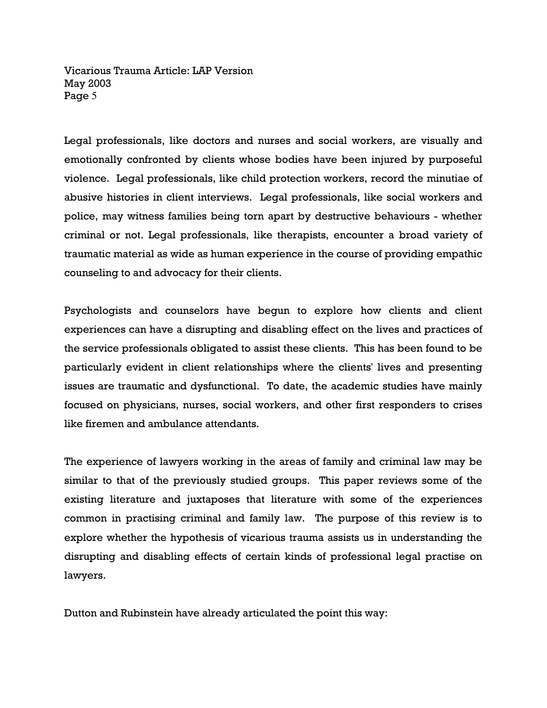Legal professionals, like doctors and nurses and social workers, are visually and emotionally confronted by clients whose bodies have been injured by purposeful violence. Legal professionals, like child protection workers, record the minutiae of abusive histories in client interviews. Legal professionals, like social workers and police, may witness families being torn apart by destructive behaviours - whether criminal or not. Legal professionals, like therapists, encounter a broad variety of traumatic material as wide as human experience in the course of providing empathic counseling to and advocacy for their clients.

Psychologists and counselors have begun to explore how clients and client experiences can have a disrupting and disabling effect on the lives and practices of the service professionals obligated to assist these clients. This has been found to be particularly evident in client relationships where the clients' lives and presenting issues are traumatic and dysfunctional. To date, the academic studies have mainly focused on physicians, nurses, social workers, and other first responders to crises like firemen and ambulance attendants.

The experience of lawyers working in the areas of family and criminal law may be similar to that of the previously studied groups. This paper reviews some of the existing literature and juxtaposes that literature with some of the experiences common in practising criminal and family law. The purpose of this review is to explore whether the hypothesis of vicarious trauma assists us in understanding the disrupting and disabling effects of certain kinds of professional legal practise on lawyers.

Dutton and Rubinstein have already articulated the point this way: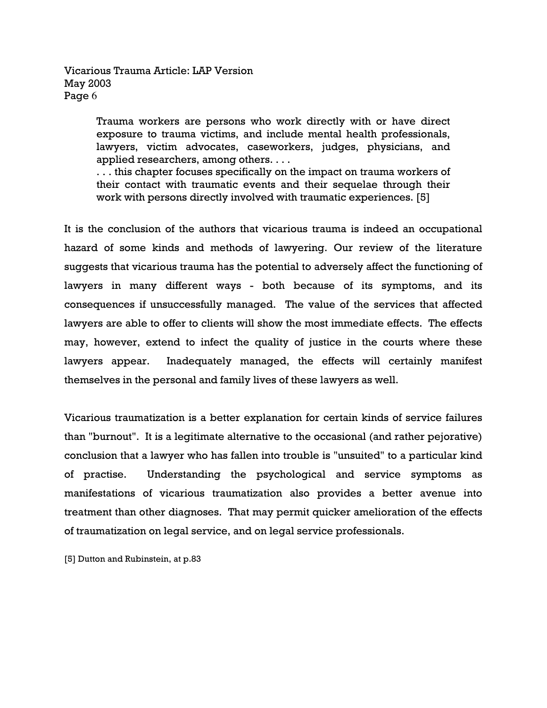> Trauma workers are persons who work directly with or have direct exposure to trauma victims, and include mental health professionals, lawyers, victim advocates, caseworkers, judges, physicians, and applied researchers, among others. . . .

> . . . this chapter focuses specifically on the impact on trauma workers of their contact with traumatic events and their sequelae through their work with persons directly involved with traumatic experiences. [5]

It is the conclusion of the authors that vicarious trauma is indeed an occupational hazard of some kinds and methods of lawyering. Our review of the literature suggests that vicarious trauma has the potential to adversely affect the functioning of lawyers in many different ways - both because of its symptoms, and its consequences if unsuccessfully managed. The value of the services that affected lawyers are able to offer to clients will show the most immediate effects. The effects may, however, extend to infect the quality of justice in the courts where these lawyers appear. Inadequately managed, the effects will certainly manifest themselves in the personal and family lives of these lawyers as well.

Vicarious traumatization is a better explanation for certain kinds of service failures than "burnout". It is a legitimate alternative to the occasional (and rather pejorative) conclusion that a lawyer who has fallen into trouble is "unsuited" to a particular kind of practise. Understanding the psychological and service symptoms as manifestations of vicarious traumatization also provides a better avenue into treatment than other diagnoses. That may permit quicker amelioration of the effects of traumatization on legal service, and on legal service professionals.

[5] Dutton and Rubinstein, at p.83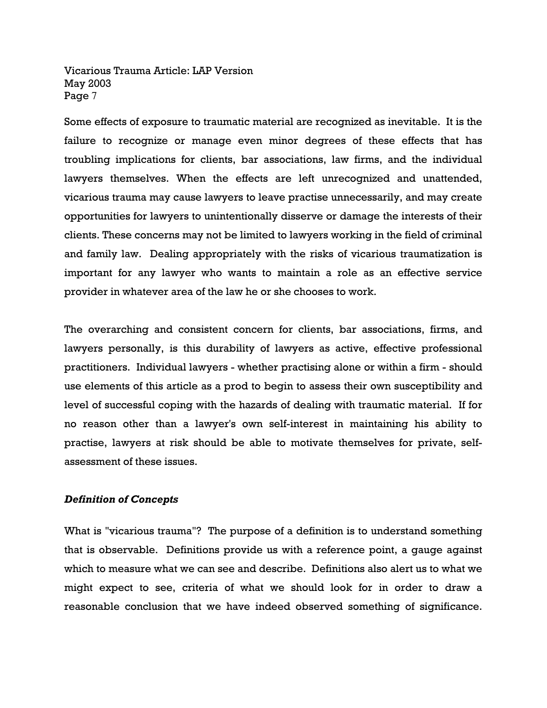Some effects of exposure to traumatic material are recognized as inevitable. It is the failure to recognize or manage even minor degrees of these effects that has troubling implications for clients, bar associations, law firms, and the individual lawyers themselves. When the effects are left unrecognized and unattended, vicarious trauma may cause lawyers to leave practise unnecessarily, and may create opportunities for lawyers to unintentionally disserve or damage the interests of their clients. These concerns may not be limited to lawyers working in the field of criminal and family law. Dealing appropriately with the risks of vicarious traumatization is important for any lawyer who wants to maintain a role as an effective service provider in whatever area of the law he or she chooses to work.

The overarching and consistent concern for clients, bar associations, firms, and lawyers personally, is this durability of lawyers as active, effective professional practitioners. Individual lawyers - whether practising alone or within a firm - should use elements of this article as a prod to begin to assess their own susceptibility and level of successful coping with the hazards of dealing with traumatic material. If for no reason other than a lawyer's own self-interest in maintaining his ability to practise, lawyers at risk should be able to motivate themselves for private, selfassessment of these issues.

### *Definition of Concepts*

What is "vicarious trauma"? The purpose of a definition is to understand something that is observable. Definitions provide us with a reference point, a gauge against which to measure what we can see and describe. Definitions also alert us to what we might expect to see, criteria of what we should look for in order to draw a reasonable conclusion that we have indeed observed something of significance.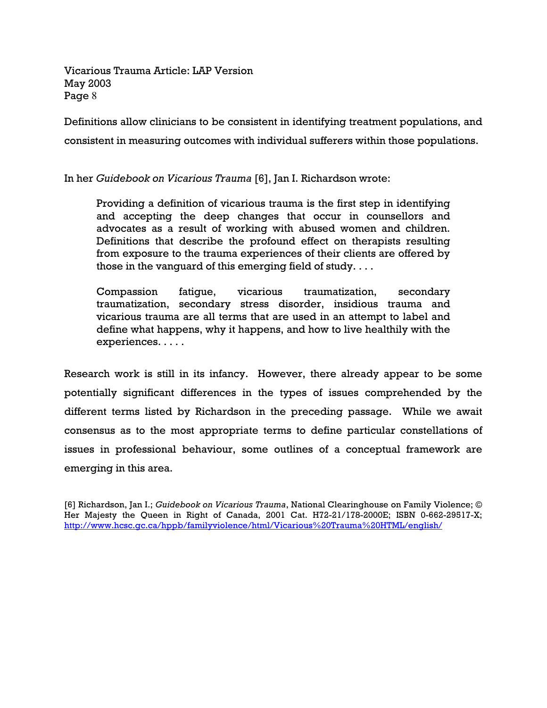Definitions allow clinicians to be consistent in identifying treatment populations, and consistent in measuring outcomes with individual sufferers within those populations.

In her *Guidebook on Vicarious Trauma* [6], Jan I. Richardson wrote:

Providing a definition of vicarious trauma is the first step in identifying and accepting the deep changes that occur in counsellors and advocates as a result of working with abused women and children. Definitions that describe the profound effect on therapists resulting from exposure to the trauma experiences of their clients are offered by those in the vanguard of this emerging field of study. . . .

Compassion fatigue, vicarious traumatization, secondary traumatization, secondary stress disorder, insidious trauma and vicarious trauma are all terms that are used in an attempt to label and define what happens, why it happens, and how to live healthily with the experiences. . . . .

Research work is still in its infancy. However, there already appear to be some potentially significant differences in the types of issues comprehended by the different terms listed by Richardson in the preceding passage. While we await consensus as to the most appropriate terms to define particular constellations of issues in professional behaviour, some outlines of a conceptual framework are emerging in this area.

<sup>[6]</sup> Richardson, Jan I.; *Guidebook on Vicarious Trauma*, National Clearinghouse on Family Violence; © Her Majesty the Queen in Right of Canada, 2001 Cat. H72-21/178-2000E; ISBN 0-662-29517-X; http://www.hcsc.gc.ca/hppb/familyviolence/html/Vicarious%20Trauma%20HTML/english/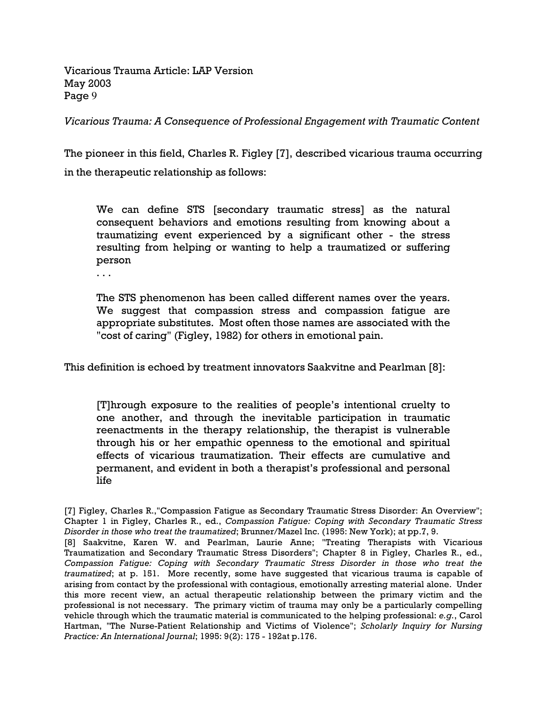*Vicarious Trauma: A Consequence of Professional Engagement with Traumatic Content*

The pioneer in this field, Charles R. Figley [7], described vicarious trauma occurring in the therapeutic relationship as follows:

We can define STS [secondary traumatic stress] as the natural consequent behaviors and emotions resulting from knowing about a traumatizing event experienced by a significant other - the stress resulting from helping or wanting to help a traumatized or suffering person

. . .

The STS phenomenon has been called different names over the years. We suggest that compassion stress and compassion fatigue are appropriate substitutes. Most often those names are associated with the "cost of caring" (Figley, 1982) for others in emotional pain.

This definition is echoed by treatment innovators Saakvitne and Pearlman [8]:

[T]hrough exposure to the realities of people's intentional cruelty to one another, and through the inevitable participation in traumatic reenactments in the therapy relationship, the therapist is vulnerable through his or her empathic openness to the emotional and spiritual effects of vicarious traumatization. Their effects are cumulative and permanent, and evident in both a therapist's professional and personal life

[7] Figley, Charles R.,"Compassion Fatigue as Secondary Traumatic Stress Disorder: An Overview"; Chapter 1 in Figley, Charles R., ed., *Compassion Fatigue: Coping with Secondary Traumatic Stress Disorder in those who treat the traumatized*; Brunner/Mazel Inc. (1995: New York); at pp.7, 9. [8] Saakvitne, Karen W. and Pearlman, Laurie Anne; "Treating Therapists with Vicarious Traumatization and Secondary Traumatic Stress Disorders"; Chapter 8 in Figley, Charles R., ed., *Compassion Fatigue: Coping with Secondary Traumatic Stress Disorder in those who treat the traumatized*; at p. 151. More recently, some have suggested that vicarious trauma is capable of arising from contact by the professional with contagious, emotionally arresting material alone. Under this more recent view, an actual therapeutic relationship between the primary victim and the professional is not necessary. The primary victim of trauma may only be a particularly compelling vehicle through which the traumatic material is communicated to the helping professional: *e.g.*, Carol Hartman, "The Nurse-Patient Relationship and Victims of Violence"; *Scholarly Inquiry for Nursing Practice: An International Journal*; 1995: 9(2): 175 - 192at p.176.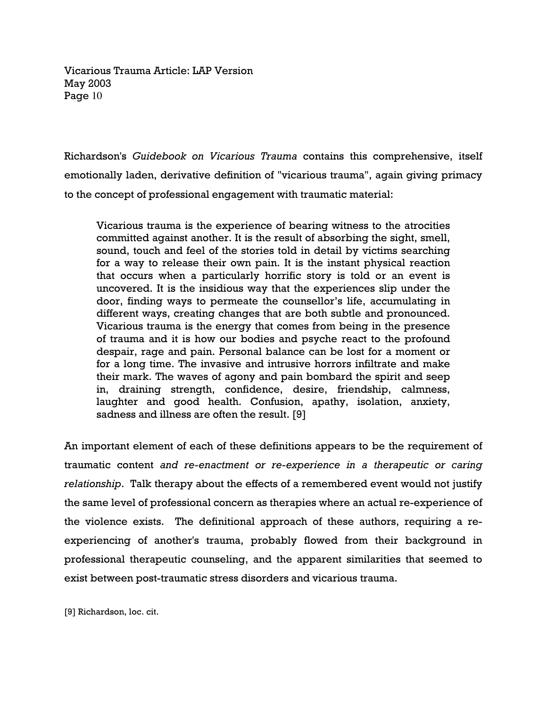Richardson's *Guidebook on Vicarious Trauma* contains this comprehensive, itself emotionally laden, derivative definition of "vicarious trauma", again giving primacy to the concept of professional engagement with traumatic material:

Vicarious trauma is the experience of bearing witness to the atrocities committed against another. It is the result of absorbing the sight, smell, sound, touch and feel of the stories told in detail by victims searching for a way to release their own pain. It is the instant physical reaction that occurs when a particularly horrific story is told or an event is uncovered. It is the insidious way that the experiences slip under the door, finding ways to permeate the counsellor's life, accumulating in different ways, creating changes that are both subtle and pronounced. Vicarious trauma is the energy that comes from being in the presence of trauma and it is how our bodies and psyche react to the profound despair, rage and pain. Personal balance can be lost for a moment or for a long time. The invasive and intrusive horrors infiltrate and make their mark. The waves of agony and pain bombard the spirit and seep in, draining strength, confidence, desire, friendship, calmness, laughter and good health. Confusion, apathy, isolation, anxiety, sadness and illness are often the result. [9]

An important element of each of these definitions appears to be the requirement of traumatic content *and re-enactment or re-experience in a therapeutic or caring relationship*. Talk therapy about the effects of a remembered event would not justify the same level of professional concern as therapies where an actual re-experience of the violence exists. The definitional approach of these authors, requiring a reexperiencing of another's trauma, probably flowed from their background in professional therapeutic counseling, and the apparent similarities that seemed to exist between post-traumatic stress disorders and vicarious trauma.

[9] Richardson, loc. cit.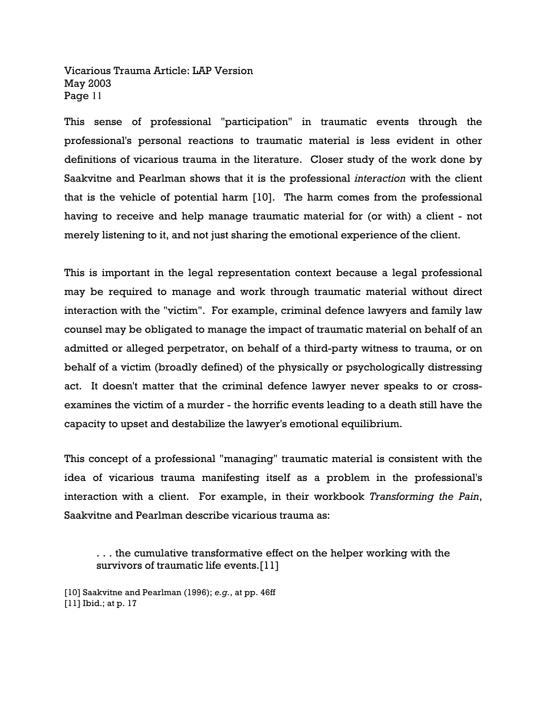This sense of professional "participation" in traumatic events through the professional's personal reactions to traumatic material is less evident in other definitions of vicarious trauma in the literature. Closer study of the work done by Saakvitne and Pearlman shows that it is the professional *interaction* with the client that is the vehicle of potential harm [10]. The harm comes from the professional having to receive and help manage traumatic material for (or with) a client - not merely listening to it, and not just sharing the emotional experience of the client.

This is important in the legal representation context because a legal professional may be required to manage and work through traumatic material without direct interaction with the "victim". For example, criminal defence lawyers and family law counsel may be obligated to manage the impact of traumatic material on behalf of an admitted or alleged perpetrator, on behalf of a third-party witness to trauma, or on behalf of a victim (broadly defined) of the physically or psychologically distressing act. It doesn't matter that the criminal defence lawyer never speaks to or crossexamines the victim of a murder - the horrific events leading to a death still have the capacity to upset and destabilize the lawyer's emotional equilibrium.

This concept of a professional "managing" traumatic material is consistent with the idea of vicarious trauma manifesting itself as a problem in the professional's interaction with a client. For example, in their workbook *Transforming the Pain*, Saakvitne and Pearlman describe vicarious trauma as:

. . . the cumulative transformative effect on the helper working with the survivors of traumatic life events.[11]

[10] Saakvitne and Pearlman (1996); *e.g.*, at pp. 46ff [11] Ibid.; at p. 17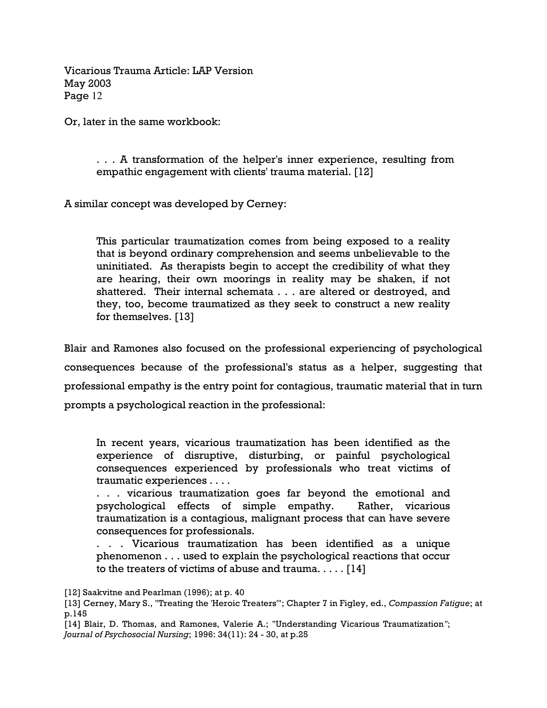Or, later in the same workbook:

. . . A transformation of the helper's inner experience, resulting from empathic engagement with clients' trauma material. [12]

A similar concept was developed by Cerney:

This particular traumatization comes from being exposed to a reality that is beyond ordinary comprehension and seems unbelievable to the uninitiated. As therapists begin to accept the credibility of what they are hearing, their own moorings in reality may be shaken, if not shattered. Their internal schemata . . . are altered or destroyed, and they, too, become traumatized as they seek to construct a new reality for themselves. [13]

Blair and Ramones also focused on the professional experiencing of psychological consequences because of the professional's status as a helper, suggesting that professional empathy is the entry point for contagious, traumatic material that in turn prompts a psychological reaction in the professional:

In recent years, vicarious traumatization has been identified as the experience of disruptive, disturbing, or painful psychological consequences experienced by professionals who treat victims of traumatic experiences . . . .

. . . vicarious traumatization goes far beyond the emotional and psychological effects of simple empathy. Rather, vicarious traumatization is a contagious, malignant process that can have severe consequences for professionals.

. . . Vicarious traumatization has been identified as a unique phenomenon . . . used to explain the psychological reactions that occur to the treaters of victims of abuse and trauma. . . . . [14]

[12] Saakvitne and Pearlman (1996); at p. 40

[13] Cerney, Mary S., "Treating the 'Heroic Treaters'"; Chapter 7 in Figley, ed., *Compassion Fatigue*; at p.145

[14] Blair, D. Thomas, and Ramones, Valerie A.; "Understanding Vicarious Traumatization*"*; *Journal of Psychosocial Nursing*; 1996: 34(11): 24 - 30, at p.25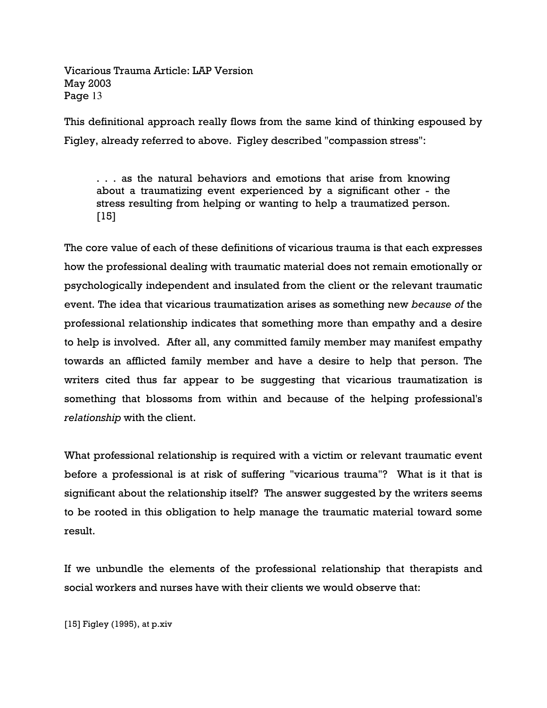This definitional approach really flows from the same kind of thinking espoused by Figley, already referred to above. Figley described "compassion stress":

. . . as the natural behaviors and emotions that arise from knowing about a traumatizing event experienced by a significant other - the stress resulting from helping or wanting to help a traumatized person.  $[15]$ 

The core value of each of these definitions of vicarious trauma is that each expresses how the professional dealing with traumatic material does not remain emotionally or psychologically independent and insulated from the client or the relevant traumatic event. The idea that vicarious traumatization arises as something new *because of* the professional relationship indicates that something more than empathy and a desire to help is involved. After all, any committed family member may manifest empathy towards an afflicted family member and have a desire to help that person. The writers cited thus far appear to be suggesting that vicarious traumatization is something that blossoms from within and because of the helping professional's *relationship* with the client.

What professional relationship is required with a victim or relevant traumatic event before a professional is at risk of suffering "vicarious trauma"? What is it that is significant about the relationship itself? The answer suggested by the writers seems to be rooted in this obligation to help manage the traumatic material toward some result.

If we unbundle the elements of the professional relationship that therapists and social workers and nurses have with their clients we would observe that:

[15] Figley (1995), at p.xiv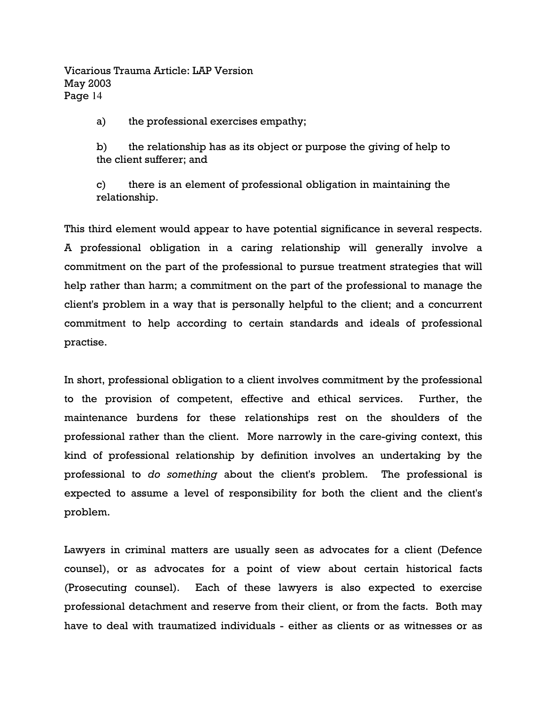a) the professional exercises empathy;

b) the relationship has as its object or purpose the giving of help to the client sufferer; and

c) there is an element of professional obligation in maintaining the relationship.

This third element would appear to have potential significance in several respects. A professional obligation in a caring relationship will generally involve a commitment on the part of the professional to pursue treatment strategies that will help rather than harm; a commitment on the part of the professional to manage the client's problem in a way that is personally helpful to the client; and a concurrent commitment to help according to certain standards and ideals of professional practise.

In short, professional obligation to a client involves commitment by the professional to the provision of competent, effective and ethical services. Further, the maintenance burdens for these relationships rest on the shoulders of the professional rather than the client. More narrowly in the care-giving context, this kind of professional relationship by definition involves an undertaking by the professional to *do something* about the client's problem. The professional is expected to assume a level of responsibility for both the client and the client's problem.

Lawyers in criminal matters are usually seen as advocates for a client (Defence counsel), or as advocates for a point of view about certain historical facts (Prosecuting counsel). Each of these lawyers is also expected to exercise professional detachment and reserve from their client, or from the facts. Both may have to deal with traumatized individuals - either as clients or as witnesses or as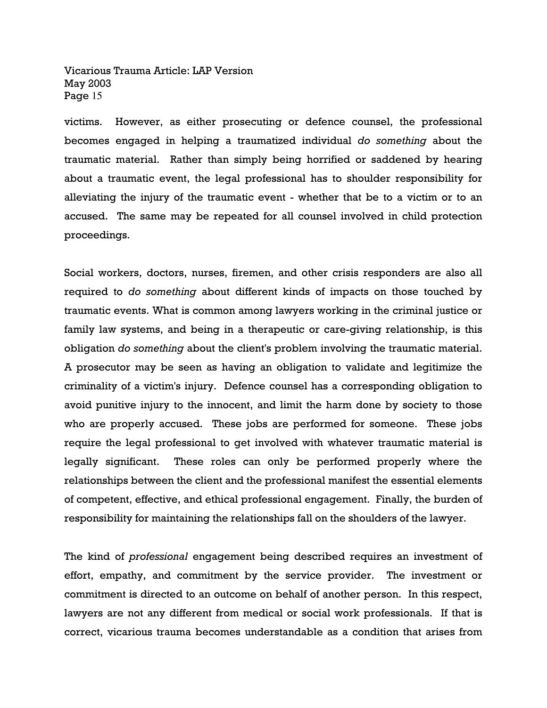victims. However, as either prosecuting or defence counsel, the professional becomes engaged in helping a traumatized individual *do something* about the traumatic material. Rather than simply being horrified or saddened by hearing about a traumatic event, the legal professional has to shoulder responsibility for alleviating the injury of the traumatic event - whether that be to a victim or to an accused. The same may be repeated for all counsel involved in child protection proceedings.

Social workers, doctors, nurses, firemen, and other crisis responders are also all required to *do something* about different kinds of impacts on those touched by traumatic events. What is common among lawyers working in the criminal justice or family law systems, and being in a therapeutic or care-giving relationship, is this obligation *do something* about the client's problem involving the traumatic material. A prosecutor may be seen as having an obligation to validate and legitimize the criminality of a victim's injury. Defence counsel has a corresponding obligation to avoid punitive injury to the innocent, and limit the harm done by society to those who are properly accused. These jobs are performed for someone. These jobs require the legal professional to get involved with whatever traumatic material is legally significant. These roles can only be performed properly where the relationships between the client and the professional manifest the essential elements of competent, effective, and ethical professional engagement. Finally, the burden of responsibility for maintaining the relationships fall on the shoulders of the lawyer.

The kind of *professional* engagement being described requires an investment of effort, empathy, and commitment by the service provider. The investment or commitment is directed to an outcome on behalf of another person. In this respect, lawyers are not any different from medical or social work professionals. If that is correct, vicarious trauma becomes understandable as a condition that arises from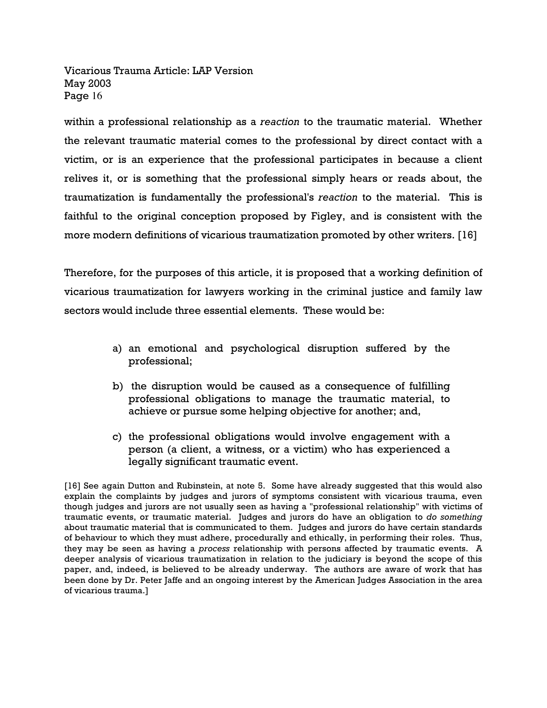within a professional relationship as a *reaction* to the traumatic material. Whether the relevant traumatic material comes to the professional by direct contact with a victim, or is an experience that the professional participates in because a client relives it, or is something that the professional simply hears or reads about, the traumatization is fundamentally the professional's *reaction* to the material. This is faithful to the original conception proposed by Figley, and is consistent with the more modern definitions of vicarious traumatization promoted by other writers. [16]

Therefore, for the purposes of this article, it is proposed that a working definition of vicarious traumatization for lawyers working in the criminal justice and family law sectors would include three essential elements. These would be:

- a) an emotional and psychological disruption suffered by the professional;
- b) the disruption would be caused as a consequence of fulfilling professional obligations to manage the traumatic material, to achieve or pursue some helping objective for another; and,
- c) the professional obligations would involve engagement with a person (a client, a witness, or a victim) who has experienced a legally significant traumatic event.

[16] See again Dutton and Rubinstein, at note 5. Some have already suggested that this would also explain the complaints by judges and jurors of symptoms consistent with vicarious trauma, even though judges and jurors are not usually seen as having a "professional relationship" with victims of traumatic events, or traumatic material. Judges and jurors do have an obligation to *do something* about traumatic material that is communicated to them. Judges and jurors do have certain standards of behaviour to which they must adhere, procedurally and ethically, in performing their roles. Thus, they may be seen as having a *process* relationship with persons affected by traumatic events. A deeper analysis of vicarious traumatization in relation to the judiciary is beyond the scope of this paper, and, indeed, is believed to be already underway. The authors are aware of work that has been done by Dr. Peter Jaffe and an ongoing interest by the American Judges Association in the area of vicarious trauma.]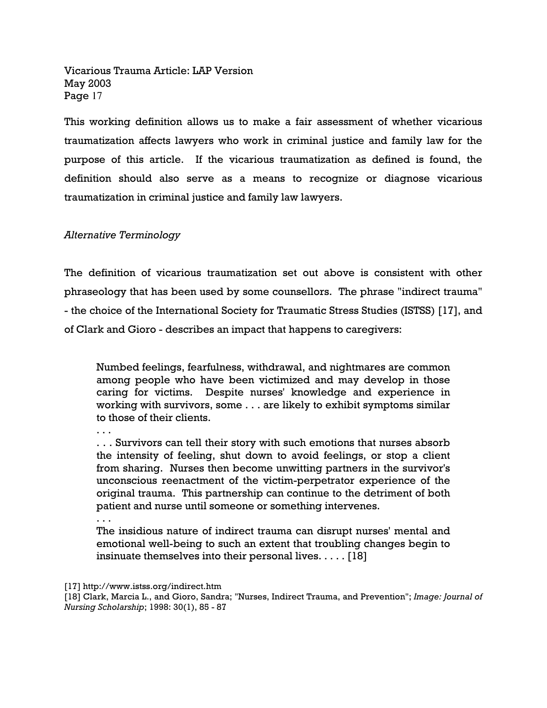This working definition allows us to make a fair assessment of whether vicarious traumatization affects lawyers who work in criminal justice and family law for the purpose of this article. If the vicarious traumatization as defined is found, the definition should also serve as a means to recognize or diagnose vicarious traumatization in criminal justice and family law lawyers.

*Alternative Terminology*

The definition of vicarious traumatization set out above is consistent with other phraseology that has been used by some counsellors. The phrase "indirect trauma" - the choice of the International Society for Traumatic Stress Studies (ISTSS) [17], and of Clark and Gioro - describes an impact that happens to caregivers:

Numbed feelings, fearfulness, withdrawal, and nightmares are common among people who have been victimized and may develop in those caring for victims. Despite nurses' knowledge and experience in working with survivors, some . . . are likely to exhibit symptoms similar to those of their clients.

. . . . . . Survivors can tell their story with such emotions that nurses absorb the intensity of feeling, shut down to avoid feelings, or stop a client from sharing. Nurses then become unwitting partners in the survivor's unconscious reenactment of the victim-perpetrator experience of the original trauma. This partnership can continue to the detriment of both patient and nurse until someone or something intervenes.

. . .

The insidious nature of indirect trauma can disrupt nurses' mental and emotional well-being to such an extent that troubling changes begin to insinuate themselves into their personal lives. . . . . [18]

[17] http://www.istss.org/indirect.htm

[18] Clark, Marcia L., and Gioro, Sandra; "Nurses, Indirect Trauma, and Prevention"; *Image: Journal of Nursing Scholarship*; 1998: 30(1), 85 - 87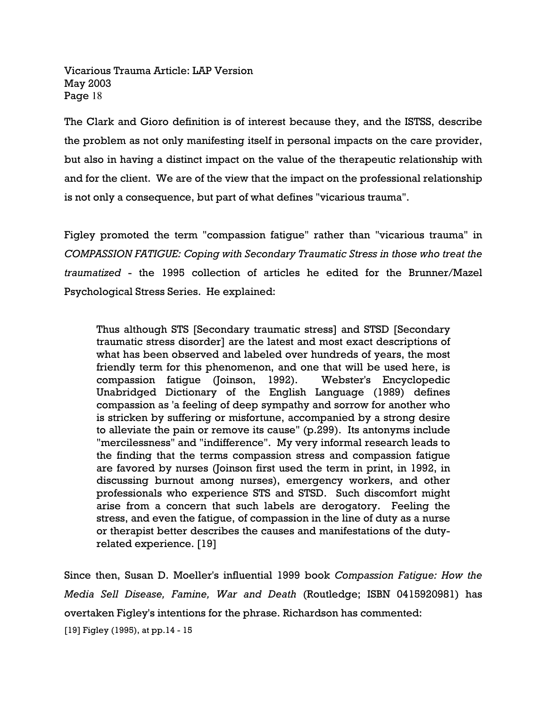The Clark and Gioro definition is of interest because they, and the ISTSS, describe the problem as not only manifesting itself in personal impacts on the care provider, but also in having a distinct impact on the value of the therapeutic relationship with and for the client. We are of the view that the impact on the professional relationship is not only a consequence, but part of what defines "vicarious trauma".

Figley promoted the term "compassion fatigue" rather than "vicarious trauma" in *COMPASSION FATIGUE: Coping with Secondary Traumatic Stress in those who treat the traumatized* - the 1995 collection of articles he edited for the Brunner/Mazel Psychological Stress Series. He explained:

Thus although STS [Secondary traumatic stress] and STSD [Secondary traumatic stress disorder] are the latest and most exact descriptions of what has been observed and labeled over hundreds of years, the most friendly term for this phenomenon, and one that will be used here, is compassion fatigue (Joinson, 1992). Webster's Encyclopedic Unabridged Dictionary of the English Language (1989) defines compassion as 'a feeling of deep sympathy and sorrow for another who is stricken by suffering or misfortune, accompanied by a strong desire to alleviate the pain or remove its cause" (p.299). Its antonyms include "mercilessness" and "indifference". My very informal research leads to the finding that the terms compassion stress and compassion fatigue are favored by nurses (Joinson first used the term in print, in 1992, in discussing burnout among nurses), emergency workers, and other professionals who experience STS and STSD. Such discomfort might arise from a concern that such labels are derogatory. Feeling the stress, and even the fatigue, of compassion in the line of duty as a nurse or therapist better describes the causes and manifestations of the dutyrelated experience. [19]

Since then, Susan D. Moeller's influential 1999 book *Compassion Fatigue: How the Media Sell Disease, Famine, War and Death* (Routledge; ISBN 0415920981) has overtaken Figley's intentions for the phrase. Richardson has commented: [19] Figley (1995), at pp.14 - 15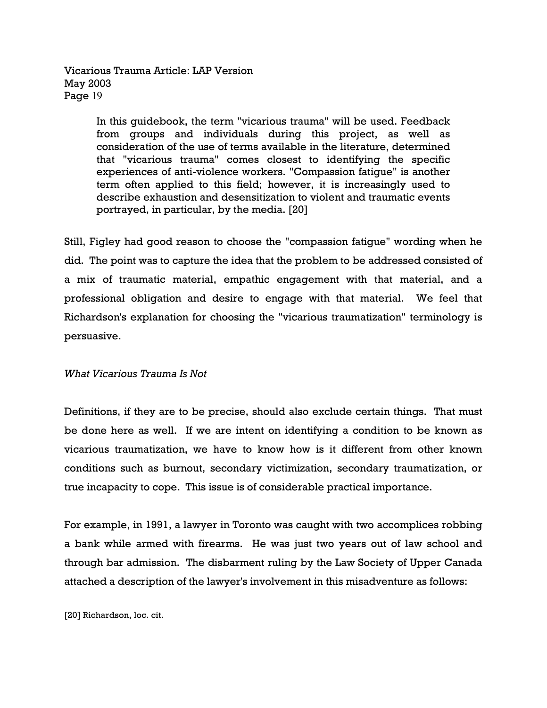> In this guidebook, the term "vicarious trauma" will be used. Feedback from groups and individuals during this project, as well as consideration of the use of terms available in the literature, determined that "vicarious trauma" comes closest to identifying the specific experiences of anti-violence workers. "Compassion fatigue" is another term often applied to this field; however, it is increasingly used to describe exhaustion and desensitization to violent and traumatic events portrayed, in particular, by the media. [20]

Still, Figley had good reason to choose the "compassion fatigue" wording when he did. The point was to capture the idea that the problem to be addressed consisted of a mix of traumatic material, empathic engagement with that material, and a professional obligation and desire to engage with that material. We feel that Richardson's explanation for choosing the "vicarious traumatization" terminology is persuasive.

### *What Vicarious Trauma Is Not*

Definitions, if they are to be precise, should also exclude certain things. That must be done here as well. If we are intent on identifying a condition to be known as vicarious traumatization, we have to know how is it different from other known conditions such as burnout, secondary victimization, secondary traumatization, or true incapacity to cope. This issue is of considerable practical importance.

For example, in 1991, a lawyer in Toronto was caught with two accomplices robbing a bank while armed with firearms. He was just two years out of law school and through bar admission. The disbarment ruling by the Law Society of Upper Canada attached a description of the lawyer's involvement in this misadventure as follows:

[20] Richardson, loc. cit.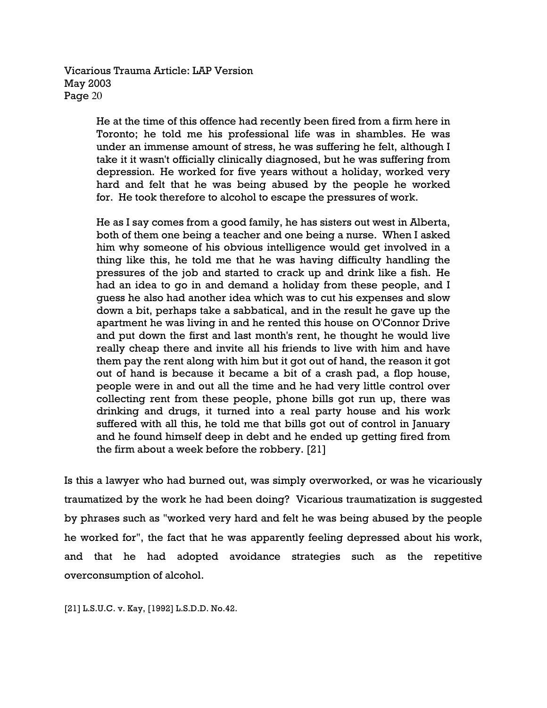> He at the time of this offence had recently been fired from a firm here in Toronto; he told me his professional life was in shambles. He was under an immense amount of stress, he was suffering he felt, although I take it it wasn't officially clinically diagnosed, but he was suffering from depression. He worked for five years without a holiday, worked very hard and felt that he was being abused by the people he worked for. He took therefore to alcohol to escape the pressures of work.

> He as I say comes from a good family, he has sisters out west in Alberta, both of them one being a teacher and one being a nurse. When I asked him why someone of his obvious intelligence would get involved in a thing like this, he told me that he was having difficulty handling the pressures of the job and started to crack up and drink like a fish. He had an idea to go in and demand a holiday from these people, and I guess he also had another idea which was to cut his expenses and slow down a bit, perhaps take a sabbatical, and in the result he gave up the apartment he was living in and he rented this house on O'Connor Drive and put down the first and last month's rent, he thought he would live really cheap there and invite all his friends to live with him and have them pay the rent along with him but it got out of hand, the reason it got out of hand is because it became a bit of a crash pad, a flop house, people were in and out all the time and he had very little control over collecting rent from these people, phone bills got run up, there was drinking and drugs, it turned into a real party house and his work suffered with all this, he told me that bills got out of control in January and he found himself deep in debt and he ended up getting fired from the firm about a week before the robbery. [21]

Is this a lawyer who had burned out, was simply overworked, or was he vicariously traumatized by the work he had been doing? Vicarious traumatization is suggested by phrases such as "worked very hard and felt he was being abused by the people he worked for", the fact that he was apparently feeling depressed about his work, and that he had adopted avoidance strategies such as the repetitive overconsumption of alcohol.

[21] L.S.U.C. v. Kay, [1992] L.S.D.D. No.42.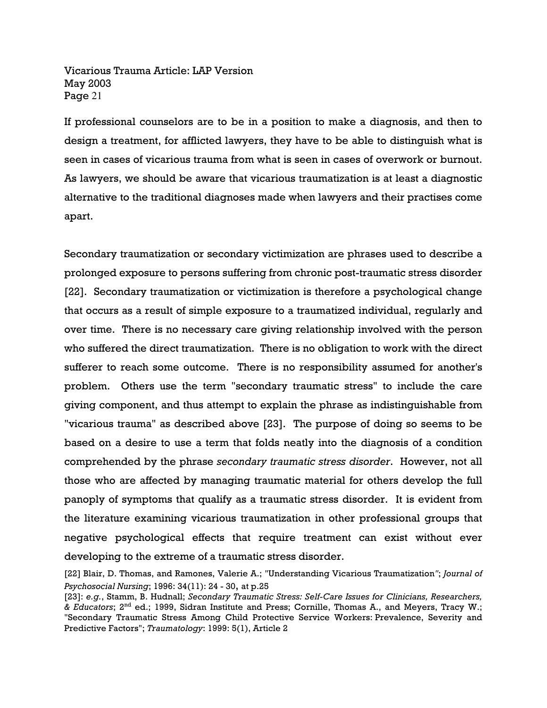If professional counselors are to be in a position to make a diagnosis, and then to design a treatment, for afflicted lawyers, they have to be able to distinguish what is seen in cases of vicarious trauma from what is seen in cases of overwork or burnout. As lawyers, we should be aware that vicarious traumatization is at least a diagnostic alternative to the traditional diagnoses made when lawyers and their practises come apart.

Secondary traumatization or secondary victimization are phrases used to describe a prolonged exposure to persons suffering from chronic post-traumatic stress disorder [22]. Secondary traumatization or victimization is therefore a psychological change that occurs as a result of simple exposure to a traumatized individual, regularly and over time. There is no necessary care giving relationship involved with the person who suffered the direct traumatization. There is no obligation to work with the direct sufferer to reach some outcome. There is no responsibility assumed for another's problem. Others use the term "secondary traumatic stress" to include the care giving component, and thus attempt to explain the phrase as indistinguishable from "vicarious trauma" as described above [23]. The purpose of doing so seems to be based on a desire to use a term that folds neatly into the diagnosis of a condition comprehended by the phrase *secondary traumatic stress disorder*. However, not all those who are affected by managing traumatic material for others develop the full panoply of symptoms that qualify as a traumatic stress disorder. It is evident from the literature examining vicarious traumatization in other professional groups that negative psychological effects that require treatment can exist without ever developing to the extreme of a traumatic stress disorder.

<sup>[22]</sup> Blair, D. Thomas, and Ramones, Valerie A.; "Understanding Vicarious Traumatization*"*; *Journal of Psychosocial Nursing*; 1996: 34(11): 24 - 30, at p.25

<sup>[23]:</sup> *e.g.*, Stamm, B. Hudnall; *Secondary Traumatic Stress: Self-Care Issues for Clinicians, Researchers, & Educators*; 2nd ed.; 1999, Sidran Institute and Press; Cornille, Thomas A., and Meyers, Tracy W.; "Secondary Traumatic Stress Among Child Protective Service Workers: Prevalence, Severity and Predictive Factors"; *Traumatology*: 1999: 5(1), Article 2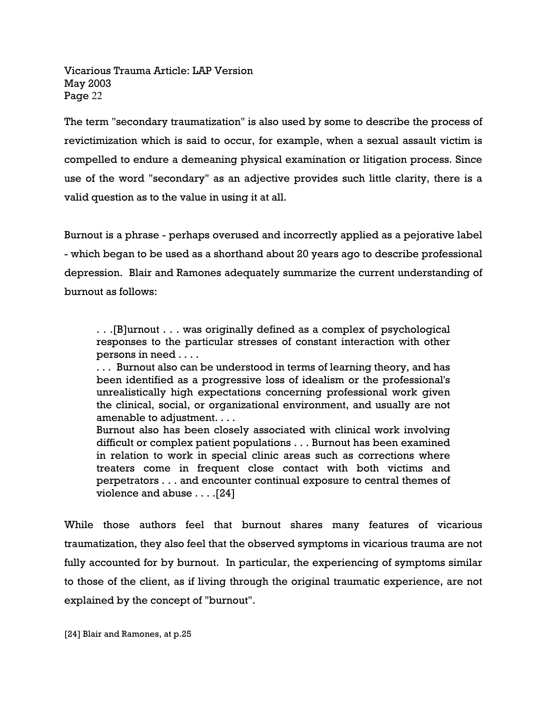The term "secondary traumatization" is also used by some to describe the process of revictimization which is said to occur, for example, when a sexual assault victim is compelled to endure a demeaning physical examination or litigation process. Since use of the word "secondary" as an adjective provides such little clarity, there is a valid question as to the value in using it at all.

Burnout is a phrase - perhaps overused and incorrectly applied as a pejorative label - which began to be used as a shorthand about 20 years ago to describe professional depression. Blair and Ramones adequately summarize the current understanding of burnout as follows:

. . .[B]urnout . . . was originally defined as a complex of psychological responses to the particular stresses of constant interaction with other persons in need . . . .

. . . Burnout also can be understood in terms of learning theory, and has been identified as a progressive loss of idealism or the professional's unrealistically high expectations concerning professional work given the clinical, social, or organizational environment, and usually are not amenable to adjustment. . . .

Burnout also has been closely associated with clinical work involving difficult or complex patient populations . . . Burnout has been examined in relation to work in special clinic areas such as corrections where treaters come in frequent close contact with both victims and perpetrators . . . and encounter continual exposure to central themes of violence and abuse . . . .[24]

While those authors feel that burnout shares many features of vicarious traumatization, they also feel that the observed symptoms in vicarious trauma are not fully accounted for by burnout. In particular, the experiencing of symptoms similar to those of the client, as if living through the original traumatic experience, are not explained by the concept of "burnout".

[24] Blair and Ramones, at p.25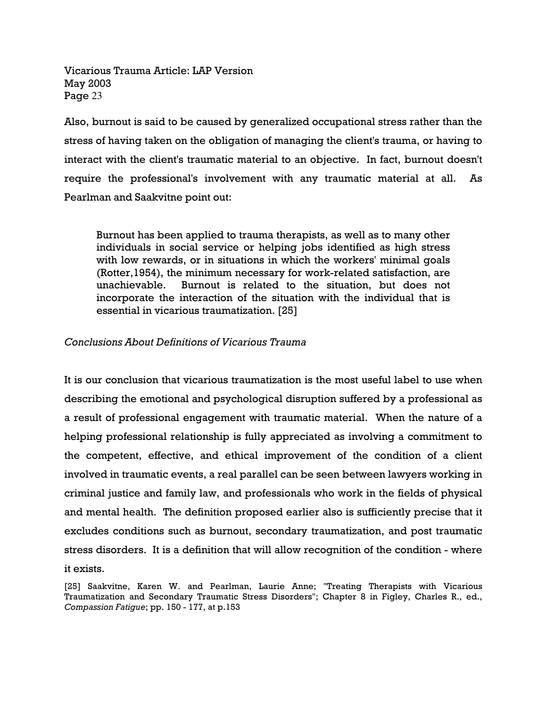Also, burnout is said to be caused by generalized occupational stress rather than the stress of having taken on the obligation of managing the client's trauma, or having to interact with the client's traumatic material to an objective. In fact, burnout doesn't require the professional's involvement with any traumatic material at all. As Pearlman and Saakvitne point out:

Burnout has been applied to trauma therapists, as well as to many other individuals in social service or helping jobs identified as high stress with low rewards, or in situations in which the workers' minimal goals (Rotter,1954), the minimum necessary for work-related satisfaction, are unachievable. Burnout is related to the situation, but does not incorporate the interaction of the situation with the individual that is essential in vicarious traumatization. [25]

# *Conclusions About Definitions of Vicarious Trauma*

It is our conclusion that vicarious traumatization is the most useful label to use when describing the emotional and psychological disruption suffered by a professional as a result of professional engagement with traumatic material. When the nature of a helping professional relationship is fully appreciated as involving a commitment to the competent, effective, and ethical improvement of the condition of a client involved in traumatic events, a real parallel can be seen between lawyers working in criminal justice and family law, and professionals who work in the fields of physical and mental health. The definition proposed earlier also is sufficiently precise that it excludes conditions such as burnout, secondary traumatization, and post traumatic stress disorders. It is a definition that will allow recognition of the condition - where it exists.

<sup>[25]</sup> Saakvitne, Karen W. and Pearlman, Laurie Anne; "Treating Therapists with Vicarious Traumatization and Secondary Traumatic Stress Disorders"; Chapter 8 in Figley, Charles R., ed., *Compassion Fatigue*; pp. 150 - 177, at p.153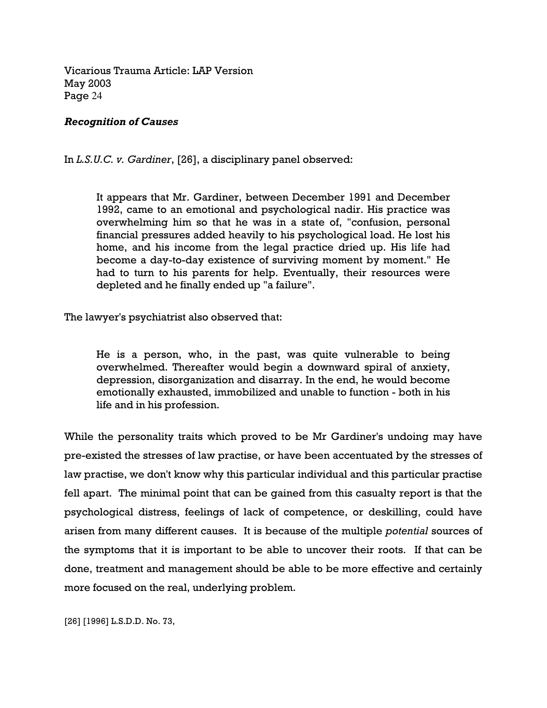### *Recognition of Causes*

In *L.S.U.C. v. Gardiner*, [26], a disciplinary panel observed:

It appears that Mr. Gardiner, between December 1991 and December 1992, came to an emotional and psychological nadir. His practice was overwhelming him so that he was in a state of, "confusion, personal financial pressures added heavily to his psychological load. He lost his home, and his income from the legal practice dried up. His life had become a day-to-day existence of surviving moment by moment." He had to turn to his parents for help. Eventually, their resources were depleted and he finally ended up "a failure".

The lawyer's psychiatrist also observed that:

He is a person, who, in the past, was quite vulnerable to being overwhelmed. Thereafter would begin a downward spiral of anxiety, depression, disorganization and disarray. In the end, he would become emotionally exhausted, immobilized and unable to function - both in his life and in his profession.

While the personality traits which proved to be Mr Gardiner's undoing may have pre-existed the stresses of law practise, or have been accentuated by the stresses of law practise, we don't know why this particular individual and this particular practise fell apart. The minimal point that can be gained from this casualty report is that the psychological distress, feelings of lack of competence, or deskilling, could have arisen from many different causes. It is because of the multiple *potential* sources of the symptoms that it is important to be able to uncover their roots. If that can be done, treatment and management should be able to be more effective and certainly more focused on the real, underlying problem.

[26] [1996] L.S.D.D. No. 73,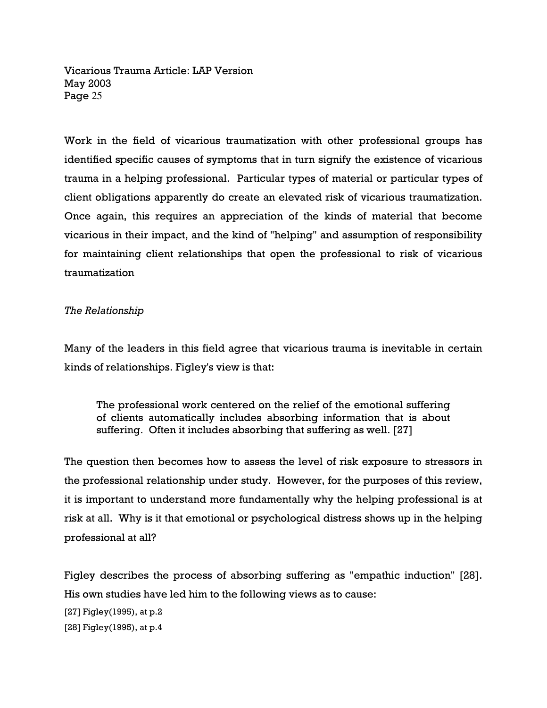Work in the field of vicarious traumatization with other professional groups has identified specific causes of symptoms that in turn signify the existence of vicarious trauma in a helping professional. Particular types of material or particular types of client obligations apparently do create an elevated risk of vicarious traumatization. Once again, this requires an appreciation of the kinds of material that become vicarious in their impact, and the kind of "helping" and assumption of responsibility for maintaining client relationships that open the professional to risk of vicarious traumatization

# *The Relationship*

Many of the leaders in this field agree that vicarious trauma is inevitable in certain kinds of relationships. Figley's view is that:

The professional work centered on the relief of the emotional suffering of clients automatically includes absorbing information that is about suffering. Often it includes absorbing that suffering as well. [27]

The question then becomes how to assess the level of risk exposure to stressors in the professional relationship under study. However, for the purposes of this review, it is important to understand more fundamentally why the helping professional is at risk at all. Why is it that emotional or psychological distress shows up in the helping professional at all?

Figley describes the process of absorbing suffering as "empathic induction" [28]. His own studies have led him to the following views as to cause:

[27] Figley(1995), at p.2 [28] Figley(1995), at p.4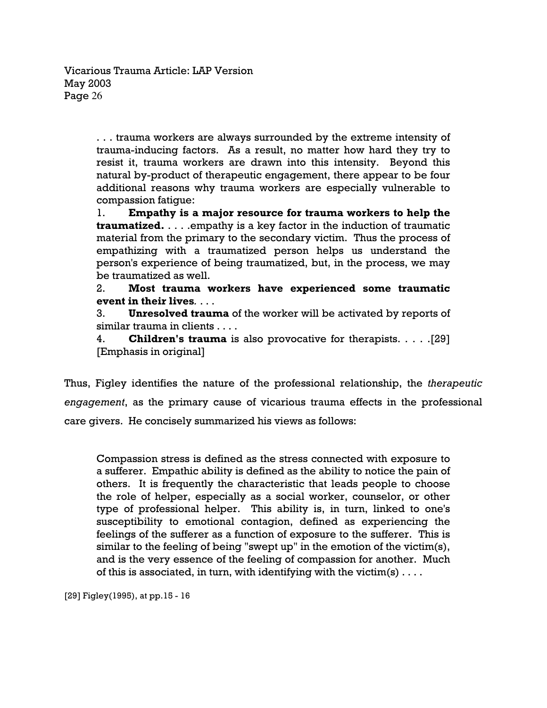> . . . trauma workers are always surrounded by the extreme intensity of trauma-inducing factors. As a result, no matter how hard they try to resist it, trauma workers are drawn into this intensity. Beyond this natural by-product of therapeutic engagement, there appear to be four additional reasons why trauma workers are especially vulnerable to compassion fatigue:

> 1. **Empathy is a major resource for trauma workers to help the traumatized.** . . . .empathy is a key factor in the induction of traumatic material from the primary to the secondary victim. Thus the process of empathizing with a traumatized person helps us understand the person's experience of being traumatized, but, in the process, we may be traumatized as well.

> 2. **Most trauma workers have experienced some traumatic event in their lives***.* . . .

> 3. **Unresolved trauma** of the worker will be activated by reports of similar trauma in clients . . . .

> 4. **Children's trauma** is also provocative for therapists. . . . .[29] [Emphasis in original]

Thus, Figley identifies the nature of the professional relationship, the *therapeutic engagement*, as the primary cause of vicarious trauma effects in the professional care givers. He concisely summarized his views as follows:

Compassion stress is defined as the stress connected with exposure to a sufferer. Empathic ability is defined as the ability to notice the pain of others. It is frequently the characteristic that leads people to choose the role of helper, especially as a social worker, counselor, or other type of professional helper. This ability is, in turn, linked to one's susceptibility to emotional contagion, defined as experiencing the feelings of the sufferer as a function of exposure to the sufferer. This is similar to the feeling of being "swept up" in the emotion of the victim(s), and is the very essence of the feeling of compassion for another. Much of this is associated, in turn, with identifying with the victim(s)  $\dots$ 

[29] Figley(1995), at pp.15 - 16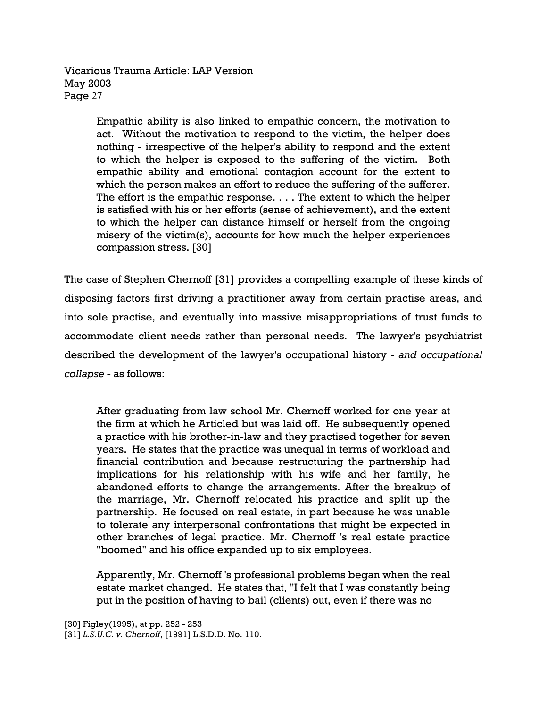> Empathic ability is also linked to empathic concern, the motivation to act. Without the motivation to respond to the victim, the helper does nothing - irrespective of the helper's ability to respond and the extent to which the helper is exposed to the suffering of the victim. Both empathic ability and emotional contagion account for the extent to which the person makes an effort to reduce the suffering of the sufferer. The effort is the empathic response. . . . The extent to which the helper is satisfied with his or her efforts (sense of achievement), and the extent to which the helper can distance himself or herself from the ongoing misery of the victim(s), accounts for how much the helper experiences compassion stress. [30]

The case of Stephen Chernoff [31] provides a compelling example of these kinds of disposing factors first driving a practitioner away from certain practise areas, and into sole practise, and eventually into massive misappropriations of trust funds to accommodate client needs rather than personal needs. The lawyer's psychiatrist described the development of the lawyer's occupational history - *and occupational collapse* - as follows:

After graduating from law school Mr. Chernoff worked for one year at the firm at which he Articled but was laid off. He subsequently opened a practice with his brother-in-law and they practised together for seven years. He states that the practice was unequal in terms of workload and financial contribution and because restructuring the partnership had implications for his relationship with his wife and her family, he abandoned efforts to change the arrangements. After the breakup of the marriage, Mr. Chernoff relocated his practice and split up the partnership. He focused on real estate, in part because he was unable to tolerate any interpersonal confrontations that might be expected in other branches of legal practice. Mr. Chernoff 's real estate practice "boomed" and his office expanded up to six employees.

Apparently, Mr. Chernoff 's professional problems began when the real estate market changed. He states that, "I felt that I was constantly being put in the position of having to bail (clients) out, even if there was no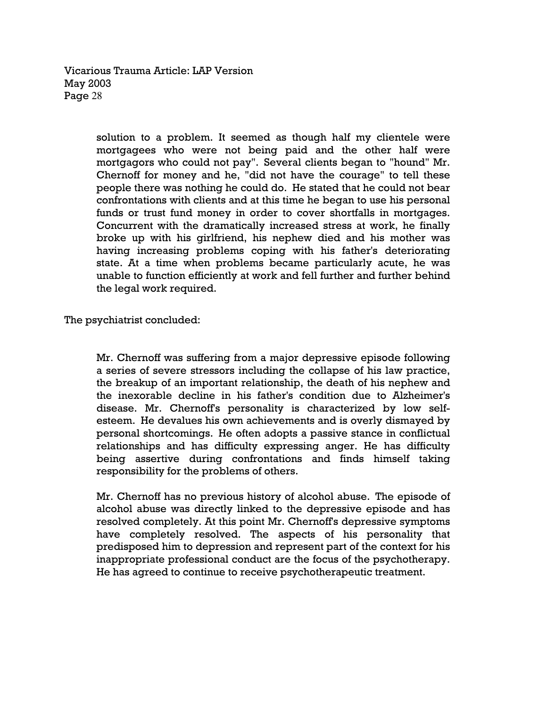> solution to a problem. It seemed as though half my clientele were mortgagees who were not being paid and the other half were mortgagors who could not pay". Several clients began to "hound" Mr. Chernoff for money and he, "did not have the courage" to tell these people there was nothing he could do. He stated that he could not bear confrontations with clients and at this time he began to use his personal funds or trust fund money in order to cover shortfalls in mortgages. Concurrent with the dramatically increased stress at work, he finally broke up with his girlfriend, his nephew died and his mother was having increasing problems coping with his father's deteriorating state. At a time when problems became particularly acute, he was unable to function efficiently at work and fell further and further behind the legal work required.

The psychiatrist concluded:

Mr. Chernoff was suffering from a major depressive episode following a series of severe stressors including the collapse of his law practice, the breakup of an important relationship, the death of his nephew and the inexorable decline in his father's condition due to Alzheimer's disease. Mr. Chernoff's personality is characterized by low selfesteem. He devalues his own achievements and is overly dismayed by personal shortcomings. He often adopts a passive stance in conflictual relationships and has difficulty expressing anger. He has difficulty being assertive during confrontations and finds himself taking responsibility for the problems of others.

Mr. Chernoff has no previous history of alcohol abuse. The episode of alcohol abuse was directly linked to the depressive episode and has resolved completely. At this point Mr. Chernoff's depressive symptoms have completely resolved. The aspects of his personality that predisposed him to depression and represent part of the context for his inappropriate professional conduct are the focus of the psychotherapy. He has agreed to continue to receive psychotherapeutic treatment.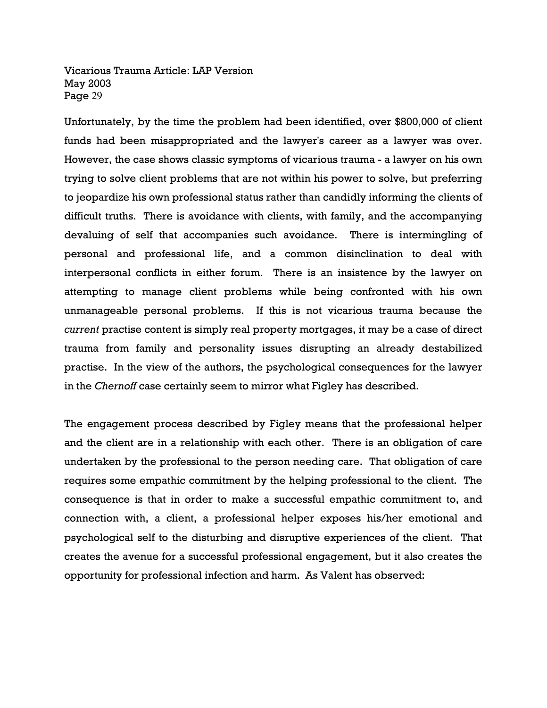Unfortunately, by the time the problem had been identified, over \$800,000 of client funds had been misappropriated and the lawyer's career as a lawyer was over. However, the case shows classic symptoms of vicarious trauma - a lawyer on his own trying to solve client problems that are not within his power to solve, but preferring to jeopardize his own professional status rather than candidly informing the clients of difficult truths. There is avoidance with clients, with family, and the accompanying devaluing of self that accompanies such avoidance. There is intermingling of personal and professional life, and a common disinclination to deal with interpersonal conflicts in either forum. There is an insistence by the lawyer on attempting to manage client problems while being confronted with his own unmanageable personal problems. If this is not vicarious trauma because the *current* practise content is simply real property mortgages, it may be a case of direct trauma from family and personality issues disrupting an already destabilized practise. In the view of the authors, the psychological consequences for the lawyer in the *Chernoff* case certainly seem to mirror what Figley has described.

The engagement process described by Figley means that the professional helper and the client are in a relationship with each other. There is an obligation of care undertaken by the professional to the person needing care. That obligation of care requires some empathic commitment by the helping professional to the client. The consequence is that in order to make a successful empathic commitment to, and connection with, a client, a professional helper exposes his/her emotional and psychological self to the disturbing and disruptive experiences of the client. That creates the avenue for a successful professional engagement, but it also creates the opportunity for professional infection and harm. As Valent has observed: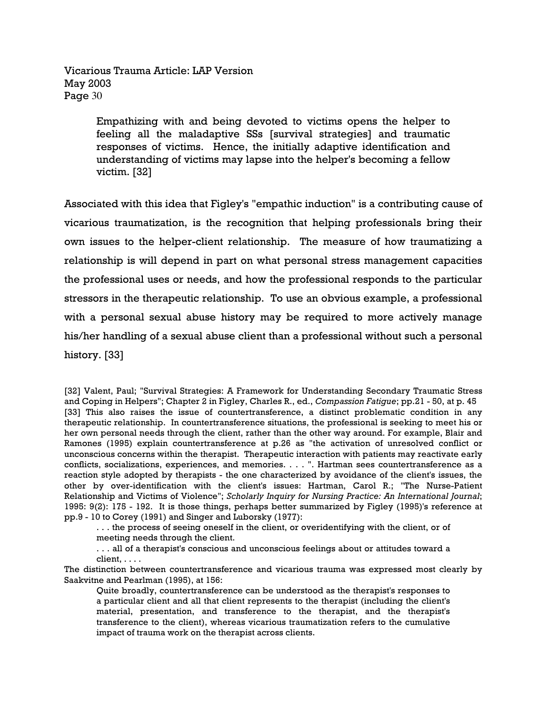> Empathizing with and being devoted to victims opens the helper to feeling all the maladaptive SSs [survival strategies] and traumatic responses of victims. Hence, the initially adaptive identification and understanding of victims may lapse into the helper's becoming a fellow victim. [32]

Associated with this idea that Figley's "empathic induction" is a contributing cause of vicarious traumatization, is the recognition that helping professionals bring their own issues to the helper-client relationship. The measure of how traumatizing a relationship is will depend in part on what personal stress management capacities the professional uses or needs, and how the professional responds to the particular stressors in the therapeutic relationship. To use an obvious example, a professional with a personal sexual abuse history may be required to more actively manage his/her handling of a sexual abuse client than a professional without such a personal history. [33]

[32] Valent, Paul; "Survival Strategies: A Framework for Understanding Secondary Traumatic Stress and Coping in Helpers"; Chapter 2 in Figley, Charles R., ed., *Compassion Fatigue*; pp.21 - 50, at p. 45 [33] This also raises the issue of countertransference, a distinct problematic condition in any therapeutic relationship. In countertransference situations, the professional is seeking to meet his or her own personal needs through the client, rather than the other way around. For example, Blair and Ramones (1995) explain countertransference at p.26 as "the activation of unresolved conflict or unconscious concerns within the therapist. Therapeutic interaction with patients may reactivate early conflicts, socializations, experiences, and memories. . . . ". Hartman sees countertransference as a reaction style adopted by therapists - the one characterized by avoidance of the client's issues, the other by over-identification with the client's issues: Hartman, Carol R.; "The Nurse-Patient Relationship and Victims of Violence"; *Scholarly Inquiry for Nursing Practice: An International Journal*; 1995: 9(2): 175 - 192. It is those things, perhaps better summarized by Figley (1995)'s reference at pp.9 - 10 to Corey (1991) and Singer and Luborsky (1977):

. . . the process of seeing oneself in the client, or overidentifying with the client, or of meeting needs through the client.

. . . all of a therapist's conscious and unconscious feelings about or attitudes toward a client, . . . .

The distinction between countertransference and vicarious trauma was expressed most clearly by Saakvitne and Pearlman (1995), at 156:

Quite broadly, countertransference can be understood as the therapist's responses to a particular client and all that client represents to the therapist (including the client's material, presentation, and transference to the therapist, and the therapist's transference to the client), whereas vicarious traumatization refers to the cumulative impact of trauma work on the therapist across clients.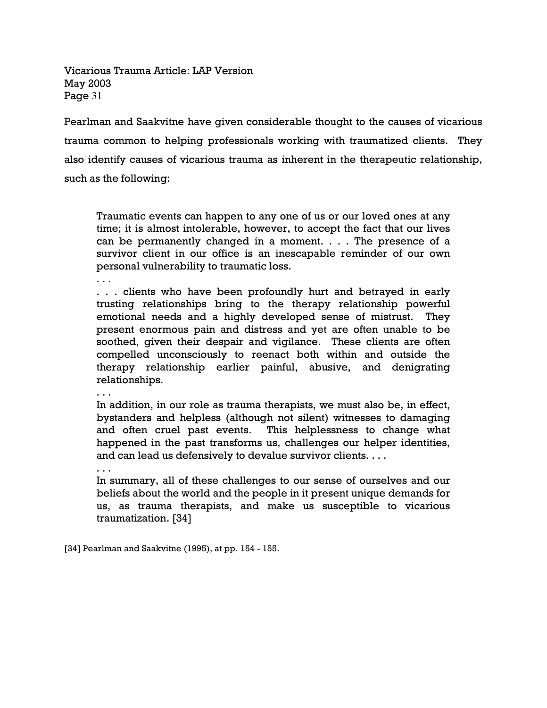Pearlman and Saakvitne have given considerable thought to the causes of vicarious trauma common to helping professionals working with traumatized clients. They also identify causes of vicarious trauma as inherent in the therapeutic relationship, such as the following:

Traumatic events can happen to any one of us or our loved ones at any time; it is almost intolerable, however, to accept the fact that our lives can be permanently changed in a moment. . . . The presence of a survivor client in our office is an inescapable reminder of our own personal vulnerability to traumatic loss.

. . .

. . . clients who have been profoundly hurt and betrayed in early trusting relationships bring to the therapy relationship powerful emotional needs and a highly developed sense of mistrust. They present enormous pain and distress and yet are often unable to be soothed, given their despair and vigilance. These clients are often compelled unconsciously to reenact both within and outside the therapy relationship earlier painful, abusive, and denigrating relationships.

. . .

. . .

In addition, in our role as trauma therapists, we must also be, in effect, bystanders and helpless (although not silent) witnesses to damaging and often cruel past events. This helplessness to change what happened in the past transforms us, challenges our helper identities, and can lead us defensively to devalue survivor clients. . . .

In summary, all of these challenges to our sense of ourselves and our beliefs about the world and the people in it present unique demands for us, as trauma therapists, and make us susceptible to vicarious traumatization. [34]

[34] Pearlman and Saakvitne (1995), at pp. 154 - 155.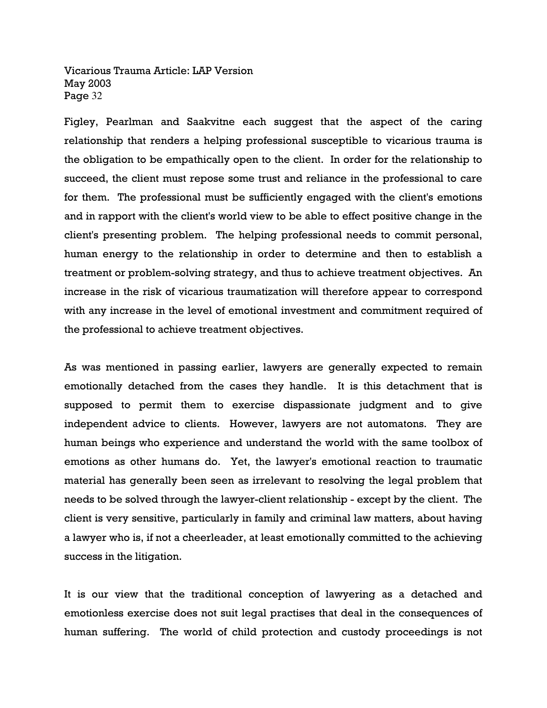Figley, Pearlman and Saakvitne each suggest that the aspect of the caring relationship that renders a helping professional susceptible to vicarious trauma is the obligation to be empathically open to the client. In order for the relationship to succeed, the client must repose some trust and reliance in the professional to care for them. The professional must be sufficiently engaged with the client's emotions and in rapport with the client's world view to be able to effect positive change in the client's presenting problem. The helping professional needs to commit personal, human energy to the relationship in order to determine and then to establish a treatment or problem-solving strategy, and thus to achieve treatment objectives. An increase in the risk of vicarious traumatization will therefore appear to correspond with any increase in the level of emotional investment and commitment required of the professional to achieve treatment objectives.

As was mentioned in passing earlier, lawyers are generally expected to remain emotionally detached from the cases they handle. It is this detachment that is supposed to permit them to exercise dispassionate judgment and to give independent advice to clients. However, lawyers are not automatons. They are human beings who experience and understand the world with the same toolbox of emotions as other humans do. Yet, the lawyer's emotional reaction to traumatic material has generally been seen as irrelevant to resolving the legal problem that needs to be solved through the lawyer-client relationship - except by the client. The client is very sensitive, particularly in family and criminal law matters, about having a lawyer who is, if not a cheerleader, at least emotionally committed to the achieving success in the litigation.

It is our view that the traditional conception of lawyering as a detached and emotionless exercise does not suit legal practises that deal in the consequences of human suffering. The world of child protection and custody proceedings is not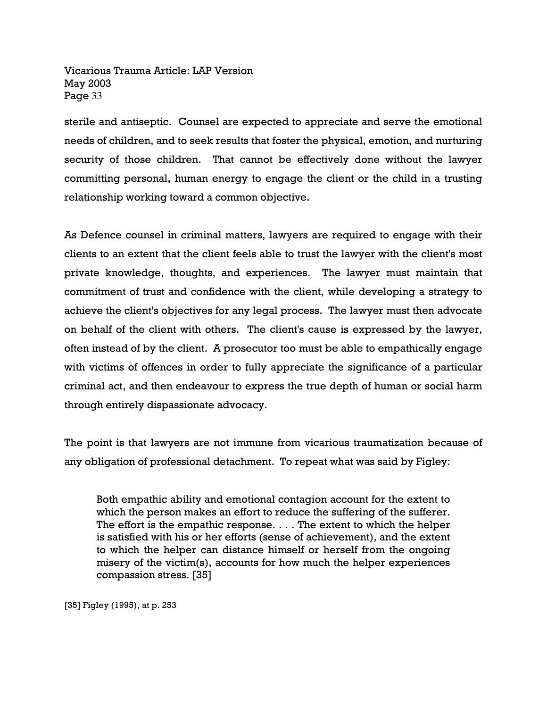sterile and antiseptic. Counsel are expected to appreciate and serve the emotional needs of children, and to seek results that foster the physical, emotion, and nurturing security of those children. That cannot be effectively done without the lawyer committing personal, human energy to engage the client or the child in a trusting relationship working toward a common objective.

As Defence counsel in criminal matters, lawyers are required to engage with their clients to an extent that the client feels able to trust the lawyer with the client's most private knowledge, thoughts, and experiences. The lawyer must maintain that commitment of trust and confidence with the client, while developing a strategy to achieve the client's objectives for any legal process. The lawyer must then advocate on behalf of the client with others. The client's cause is expressed by the lawyer, often instead of by the client. A prosecutor too must be able to empathically engage with victims of offences in order to fully appreciate the significance of a particular criminal act, and then endeavour to express the true depth of human or social harm through entirely dispassionate advocacy.

The point is that lawyers are not immune from vicarious traumatization because of any obligation of professional detachment. To repeat what was said by Figley:

Both empathic ability and emotional contagion account for the extent to which the person makes an effort to reduce the suffering of the sufferer. The effort is the empathic response. . . . The extent to which the helper is satisfied with his or her efforts (sense of achievement), and the extent to which the helper can distance himself or herself from the ongoing misery of the victim(s), accounts for how much the helper experiences compassion stress. [35]

[35] Figley (1995), at p. 253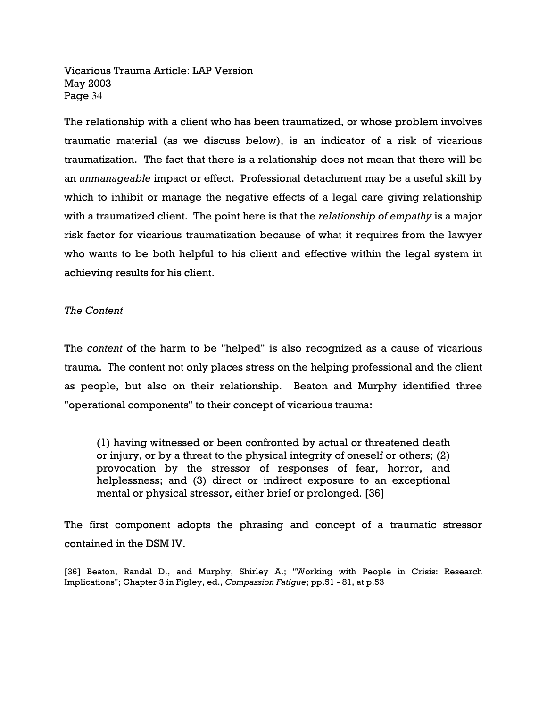The relationship with a client who has been traumatized, or whose problem involves traumatic material (as we discuss below), is an indicator of a risk of vicarious traumatization. The fact that there is a relationship does not mean that there will be an *unmanageable* impact or effect. Professional detachment may be a useful skill by which to inhibit or manage the negative effects of a legal care giving relationship with a traumatized client. The point here is that the *relationship of empathy* is a major risk factor for vicarious traumatization because of what it requires from the lawyer who wants to be both helpful to his client and effective within the legal system in achieving results for his client.

### *The Content*

The *content* of the harm to be "helped" is also recognized as a cause of vicarious trauma. The content not only places stress on the helping professional and the client as people, but also on their relationship. Beaton and Murphy identified three "operational components" to their concept of vicarious trauma:

(1) having witnessed or been confronted by actual or threatened death or injury, or by a threat to the physical integrity of oneself or others; (2) provocation by the stressor of responses of fear, horror, and helplessness; and (3) direct or indirect exposure to an exceptional mental or physical stressor, either brief or prolonged. [36]

The first component adopts the phrasing and concept of a traumatic stressor contained in the DSM IV.

[36] Beaton, Randal D., and Murphy, Shirley A.; "Working with People in Crisis: Research Implications"; Chapter 3 in Figley, ed., *Compassion Fatigue*; pp.51 - 81, at p.53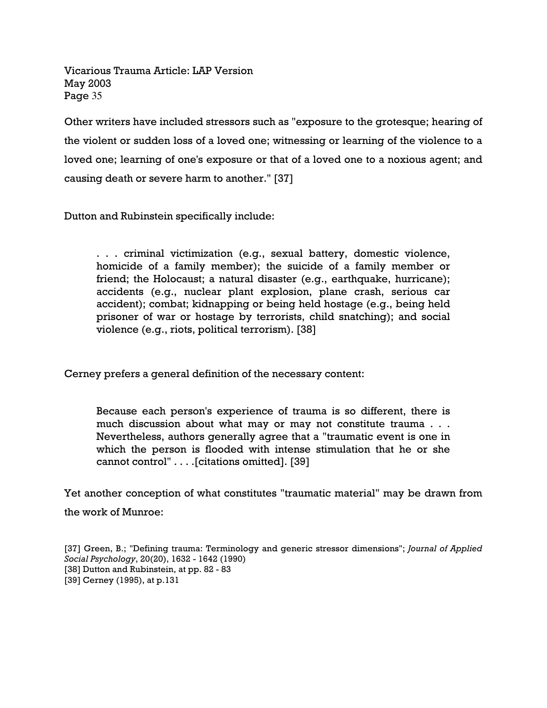Other writers have included stressors such as "exposure to the grotesque; hearing of the violent or sudden loss of a loved one; witnessing or learning of the violence to a loved one; learning of one's exposure or that of a loved one to a noxious agent; and causing death or severe harm to another." [37]

Dutton and Rubinstein specifically include:

. . . criminal victimization (e.g., sexual battery, domestic violence, homicide of a family member); the suicide of a family member or friend; the Holocaust; a natural disaster (e.g., earthquake, hurricane); accidents (e.g., nuclear plant explosion, plane crash, serious car accident); combat; kidnapping or being held hostage (e.g., being held prisoner of war or hostage by terrorists, child snatching); and social violence (e.g., riots, political terrorism). [38]

Cerney prefers a general definition of the necessary content:

Because each person's experience of trauma is so different, there is much discussion about what may or may not constitute trauma . . . Nevertheless, authors generally agree that a "traumatic event is one in which the person is flooded with intense stimulation that he or she cannot control" . . . .[citations omitted]. [39]

Yet another conception of what constitutes "traumatic material" may be drawn from the work of Munroe:

[37] Green, B.; "Defining trauma: Terminology and generic stressor dimensions"; *Journal of Applied Social Psychology*, 20(20), 1632 - 1642 (1990) [38] Dutton and Rubinstein, at pp. 82 - 83 [39] Cerney (1995), at p.131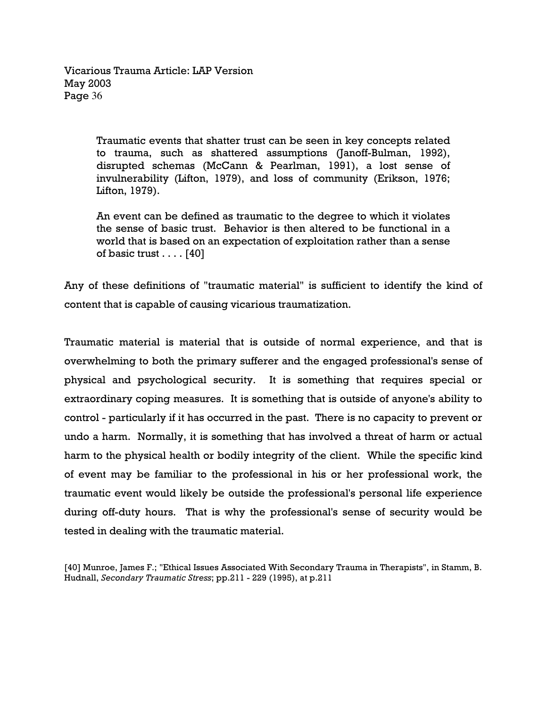> Traumatic events that shatter trust can be seen in key concepts related to trauma, such as shattered assumptions (Janoff-Bulman, 1992), disrupted schemas (McCann & Pearlman, 1991), a lost sense of invulnerability (Lifton, 1979), and loss of community (Erikson, 1976; Lifton, 1979).

> An event can be defined as traumatic to the degree to which it violates the sense of basic trust. Behavior is then altered to be functional in a world that is based on an expectation of exploitation rather than a sense of basic trust  $\ldots$  [40]

Any of these definitions of "traumatic material" is sufficient to identify the kind of content that is capable of causing vicarious traumatization.

Traumatic material is material that is outside of normal experience, and that is overwhelming to both the primary sufferer and the engaged professional's sense of physical and psychological security. It is something that requires special or extraordinary coping measures. It is something that is outside of anyone's ability to control - particularly if it has occurred in the past. There is no capacity to prevent or undo a harm. Normally, it is something that has involved a threat of harm or actual harm to the physical health or bodily integrity of the client. While the specific kind of event may be familiar to the professional in his or her professional work, the traumatic event would likely be outside the professional's personal life experience during off-duty hours. That is why the professional's sense of security would be tested in dealing with the traumatic material.

[40] Munroe, James F.; "Ethical Issues Associated With Secondary Trauma in Therapists", in Stamm, B. Hudnall, *Secondary Traumatic Stress*; pp.211 - 229 (1995), at p.211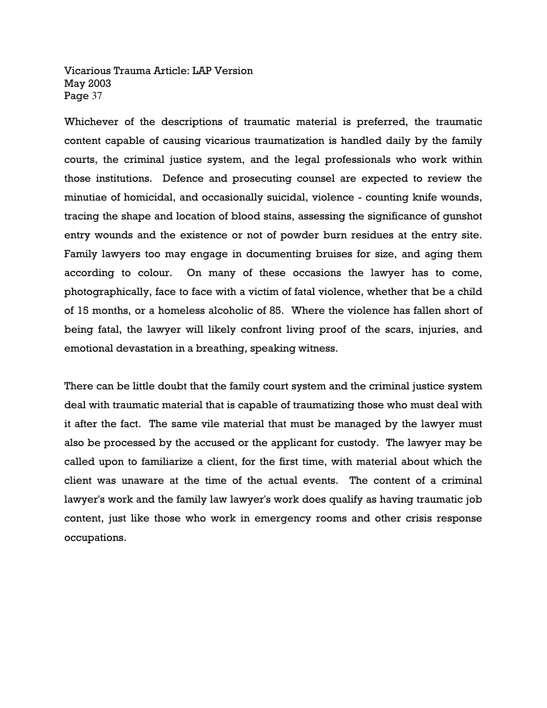Whichever of the descriptions of traumatic material is preferred, the traumatic content capable of causing vicarious traumatization is handled daily by the family courts, the criminal justice system, and the legal professionals who work within those institutions. Defence and prosecuting counsel are expected to review the minutiae of homicidal, and occasionally suicidal, violence - counting knife wounds, tracing the shape and location of blood stains, assessing the significance of gunshot entry wounds and the existence or not of powder burn residues at the entry site. Family lawyers too may engage in documenting bruises for size, and aging them according to colour. On many of these occasions the lawyer has to come, photographically, face to face with a victim of fatal violence, whether that be a child of 15 months, or a homeless alcoholic of 85. Where the violence has fallen short of being fatal, the lawyer will likely confront living proof of the scars, injuries, and emotional devastation in a breathing, speaking witness.

There can be little doubt that the family court system and the criminal justice system deal with traumatic material that is capable of traumatizing those who must deal with it after the fact. The same vile material that must be managed by the lawyer must also be processed by the accused or the applicant for custody. The lawyer may be called upon to familiarize a client, for the first time, with material about which the client was unaware at the time of the actual events. The content of a criminal lawyer's work and the family law lawyer's work does qualify as having traumatic job content, just like those who work in emergency rooms and other crisis response occupations.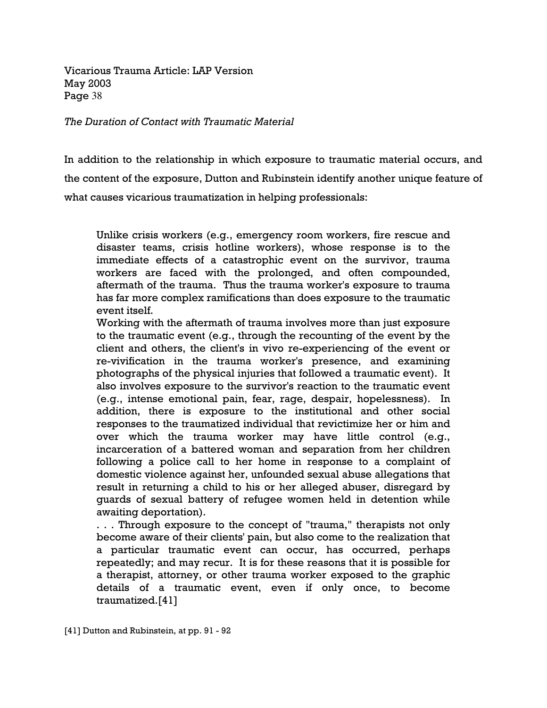### *The Duration of Contact with Traumatic Material*

In addition to the relationship in which exposure to traumatic material occurs, and the content of the exposure, Dutton and Rubinstein identify another unique feature of what causes vicarious traumatization in helping professionals:

Unlike crisis workers (e.g., emergency room workers, fire rescue and disaster teams, crisis hotline workers), whose response is to the immediate effects of a catastrophic event on the survivor, trauma workers are faced with the prolonged, and often compounded, aftermath of the trauma. Thus the trauma worker's exposure to trauma has far more complex ramifications than does exposure to the traumatic event itself.

Working with the aftermath of trauma involves more than just exposure to the traumatic event (e.g., through the recounting of the event by the client and others, the client's in vivo re-experiencing of the event or re-vivification in the trauma worker's presence, and examining photographs of the physical injuries that followed a traumatic event). It also involves exposure to the survivor's reaction to the traumatic event (e.g., intense emotional pain, fear, rage, despair, hopelessness). In addition, there is exposure to the institutional and other social responses to the traumatized individual that revictimize her or him and over which the trauma worker may have little control (e.g., incarceration of a battered woman and separation from her children following a police call to her home in response to a complaint of domestic violence against her, unfounded sexual abuse allegations that result in returning a child to his or her alleged abuser, disregard by guards of sexual battery of refugee women held in detention while awaiting deportation).

. . . Through exposure to the concept of "trauma," therapists not only become aware of their clients' pain, but also come to the realization that a particular traumatic event can occur, has occurred, perhaps repeatedly; and may recur. It is for these reasons that it is possible for a therapist, attorney, or other trauma worker exposed to the graphic details of a traumatic event, even if only once, to become traumatized.[41]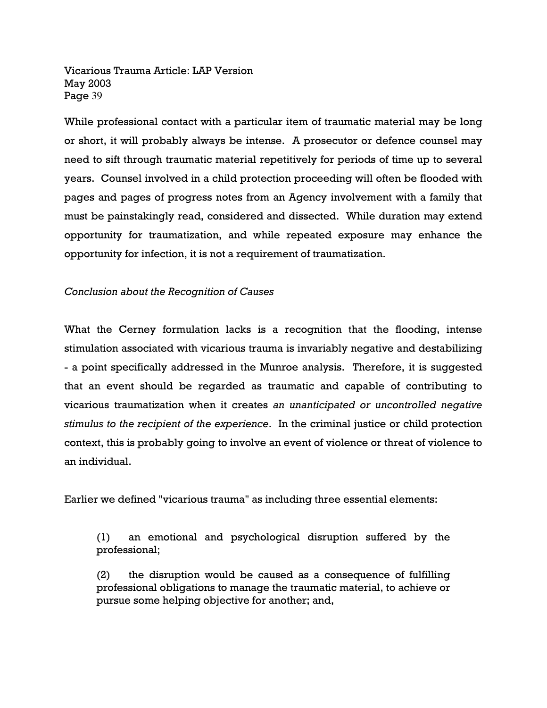While professional contact with a particular item of traumatic material may be long or short, it will probably always be intense. A prosecutor or defence counsel may need to sift through traumatic material repetitively for periods of time up to several years. Counsel involved in a child protection proceeding will often be flooded with pages and pages of progress notes from an Agency involvement with a family that must be painstakingly read, considered and dissected. While duration may extend opportunity for traumatization, and while repeated exposure may enhance the opportunity for infection, it is not a requirement of traumatization.

# *Conclusion about the Recognition of Causes*

What the Cerney formulation lacks is a recognition that the flooding, intense stimulation associated with vicarious trauma is invariably negative and destabilizing - a point specifically addressed in the Munroe analysis. Therefore, it is suggested that an event should be regarded as traumatic and capable of contributing to vicarious traumatization when it creates *an unanticipated or uncontrolled negative stimulus to the recipient of the experience*. In the criminal justice or child protection context, this is probably going to involve an event of violence or threat of violence to an individual.

Earlier we defined "vicarious trauma" as including three essential elements:

(1) an emotional and psychological disruption suffered by the professional;

(2) the disruption would be caused as a consequence of fulfilling professional obligations to manage the traumatic material, to achieve or pursue some helping objective for another; and,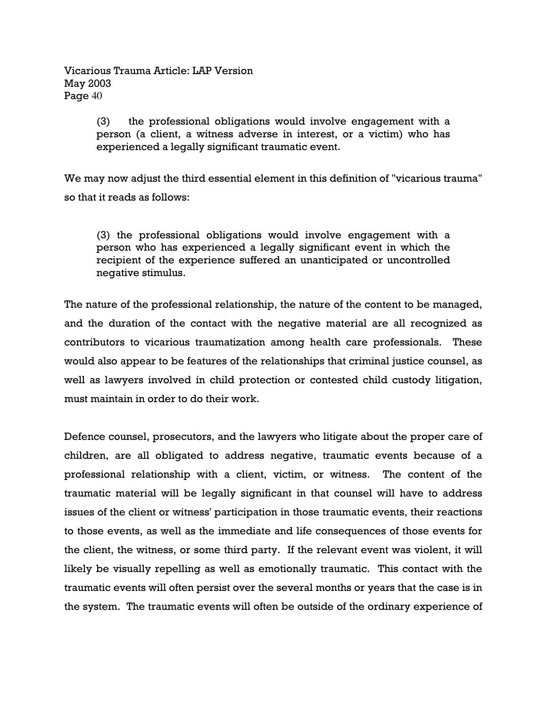> (3) the professional obligations would involve engagement with a person (a client, a witness adverse in interest, or a victim) who has experienced a legally significant traumatic event.

We may now adjust the third essential element in this definition of "vicarious trauma" so that it reads as follows:

(3) the professional obligations would involve engagement with a person who has experienced a legally significant event in which the recipient of the experience suffered an unanticipated or uncontrolled negative stimulus.

The nature of the professional relationship, the nature of the content to be managed, and the duration of the contact with the negative material are all recognized as contributors to vicarious traumatization among health care professionals. These would also appear to be features of the relationships that criminal justice counsel, as well as lawyers involved in child protection or contested child custody litigation, must maintain in order to do their work.

Defence counsel, prosecutors, and the lawyers who litigate about the proper care of children, are all obligated to address negative, traumatic events because of a professional relationship with a client, victim, or witness. The content of the traumatic material will be legally significant in that counsel will have to address issues of the client or witness' participation in those traumatic events, their reactions to those events, as well as the immediate and life consequences of those events for the client, the witness, or some third party. If the relevant event was violent, it will likely be visually repelling as well as emotionally traumatic. This contact with the traumatic events will often persist over the several months or years that the case is in the system. The traumatic events will often be outside of the ordinary experience of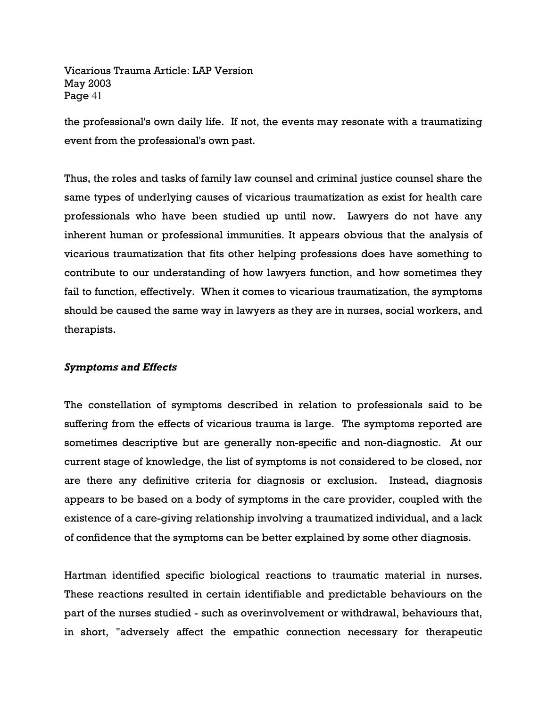the professional's own daily life. If not, the events may resonate with a traumatizing event from the professional's own past.

Thus, the roles and tasks of family law counsel and criminal justice counsel share the same types of underlying causes of vicarious traumatization as exist for health care professionals who have been studied up until now. Lawyers do not have any inherent human or professional immunities. It appears obvious that the analysis of vicarious traumatization that fits other helping professions does have something to contribute to our understanding of how lawyers function, and how sometimes they fail to function, effectively. When it comes to vicarious traumatization, the symptoms should be caused the same way in lawyers as they are in nurses, social workers, and therapists.

## *Symptoms and Effects*

The constellation of symptoms described in relation to professionals said to be suffering from the effects of vicarious trauma is large. The symptoms reported are sometimes descriptive but are generally non-specific and non-diagnostic. At our current stage of knowledge, the list of symptoms is not considered to be closed, nor are there any definitive criteria for diagnosis or exclusion. Instead, diagnosis appears to be based on a body of symptoms in the care provider, coupled with the existence of a care-giving relationship involving a traumatized individual, and a lack of confidence that the symptoms can be better explained by some other diagnosis.

Hartman identified specific biological reactions to traumatic material in nurses. These reactions resulted in certain identifiable and predictable behaviours on the part of the nurses studied - such as overinvolvement or withdrawal, behaviours that, in short, "adversely affect the empathic connection necessary for therapeutic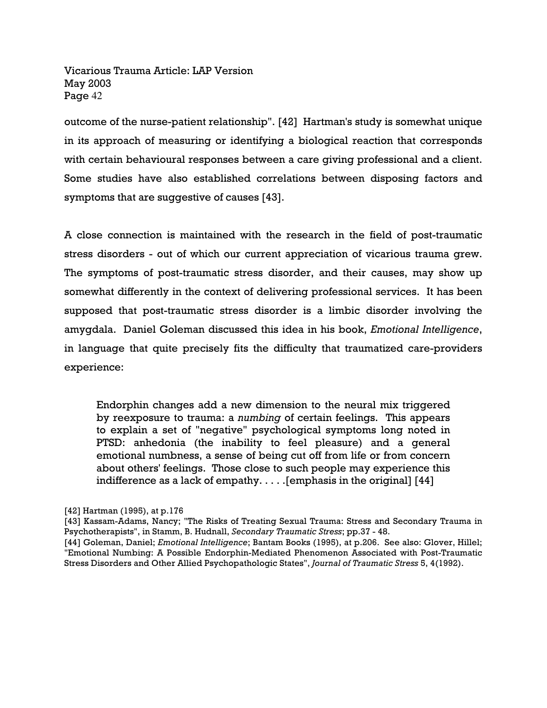outcome of the nurse-patient relationship". [42] Hartman's study is somewhat unique in its approach of measuring or identifying a biological reaction that corresponds with certain behavioural responses between a care giving professional and a client. Some studies have also established correlations between disposing factors and symptoms that are suggestive of causes [43].

A close connection is maintained with the research in the field of post-traumatic stress disorders - out of which our current appreciation of vicarious trauma grew. The symptoms of post-traumatic stress disorder, and their causes, may show up somewhat differently in the context of delivering professional services. It has been supposed that post-traumatic stress disorder is a limbic disorder involving the amygdala. Daniel Goleman discussed this idea in his book, *Emotional Intelligence*, in language that quite precisely fits the difficulty that traumatized care-providers experience:

Endorphin changes add a new dimension to the neural mix triggered by reexposure to trauma: a *numbing* of certain feelings. This appears to explain a set of "negative" psychological symptoms long noted in PTSD: anhedonia (the inability to feel pleasure) and a general emotional numbness, a sense of being cut off from life or from concern about others' feelings. Those close to such people may experience this indifference as a lack of empathy. . . . .[emphasis in the original] [44]

<sup>[42]</sup> Hartman (1995), at p.176

<sup>[43]</sup> Kassam-Adams, Nancy; "The Risks of Treating Sexual Trauma: Stress and Secondary Trauma in Psychotherapists", in Stamm, B. Hudnall, *Secondary Traumatic Stress*; pp.37 - 48.

<sup>[44]</sup> Goleman, Daniel; *Emotional Intelligence*; Bantam Books (1995), at p.206. See also: Glover, Hillel; "Emotional Numbing: A Possible Endorphin-Mediated Phenomenon Associated with Post-Traumatic Stress Disorders and Other Allied Psychopathologic States", *Journal of Traumatic Stress* 5, 4(1992).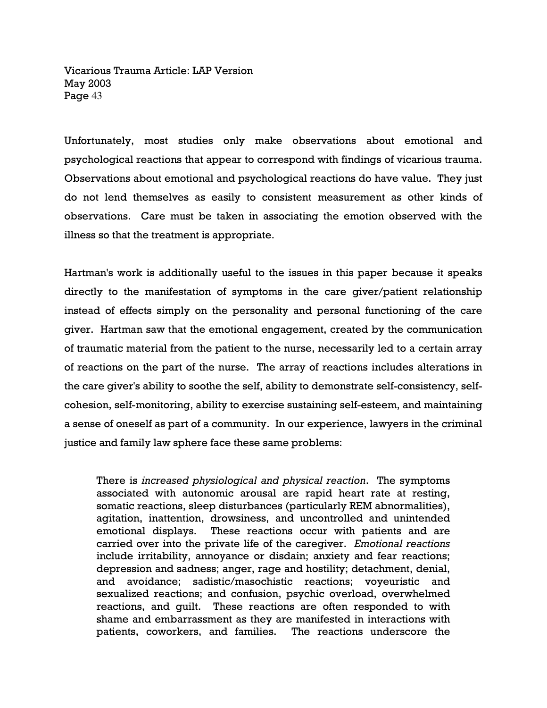Unfortunately, most studies only make observations about emotional and psychological reactions that appear to correspond with findings of vicarious trauma. Observations about emotional and psychological reactions do have value. They just do not lend themselves as easily to consistent measurement as other kinds of observations. Care must be taken in associating the emotion observed with the illness so that the treatment is appropriate.

Hartman's work is additionally useful to the issues in this paper because it speaks directly to the manifestation of symptoms in the care giver/patient relationship instead of effects simply on the personality and personal functioning of the care giver. Hartman saw that the emotional engagement, created by the communication of traumatic material from the patient to the nurse, necessarily led to a certain array of reactions on the part of the nurse. The array of reactions includes alterations in the care giver's ability to soothe the self, ability to demonstrate self-consistency, selfcohesion, self-monitoring, ability to exercise sustaining self-esteem, and maintaining a sense of oneself as part of a community. In our experience, lawyers in the criminal justice and family law sphere face these same problems:

There is *increased physiological and physical reaction*. The symptoms associated with autonomic arousal are rapid heart rate at resting, somatic reactions, sleep disturbances (particularly REM abnormalities), agitation, inattention, drowsiness, and uncontrolled and unintended emotional displays. These reactions occur with patients and are carried over into the private life of the caregiver. *Emotional reactions* include irritability, annoyance or disdain; anxiety and fear reactions; depression and sadness; anger, rage and hostility; detachment, denial, and avoidance; sadistic/masochistic reactions; voyeuristic and sexualized reactions; and confusion, psychic overload, overwhelmed reactions, and guilt. These reactions are often responded to with shame and embarrassment as they are manifested in interactions with patients, coworkers, and families. The reactions underscore the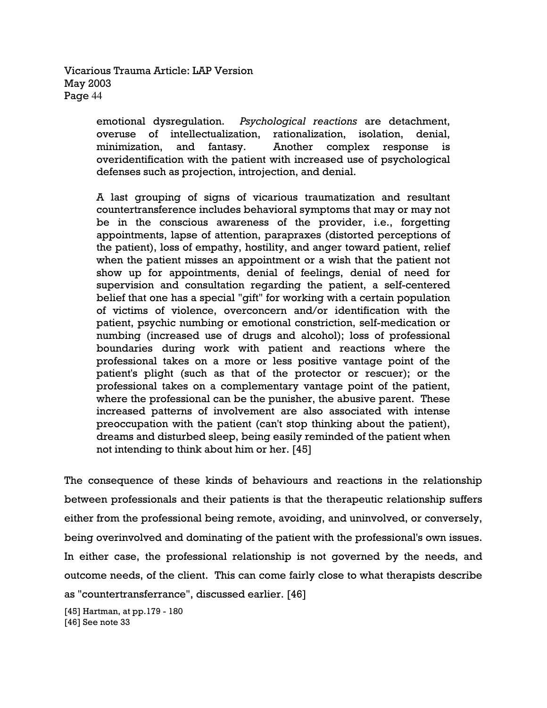> emotional dysregulation. *Psychological reactions* are detachment, overuse of intellectualization, rationalization, isolation, denial, minimization, and fantasy. Another complex response is overidentification with the patient with increased use of psychological defenses such as projection, introjection, and denial.

> A last grouping of signs of vicarious traumatization and resultant countertransference includes behavioral symptoms that may or may not be in the conscious awareness of the provider, i.e., forgetting appointments, lapse of attention, parapraxes (distorted perceptions of the patient), loss of empathy, hostility, and anger toward patient, relief when the patient misses an appointment or a wish that the patient not show up for appointments, denial of feelings, denial of need for supervision and consultation regarding the patient, a self-centered belief that one has a special "gift" for working with a certain population of victims of violence, overconcern and/or identification with the patient, psychic numbing or emotional constriction, self-medication or numbing (increased use of drugs and alcohol); loss of professional boundaries during work with patient and reactions where the professional takes on a more or less positive vantage point of the patient's plight (such as that of the protector or rescuer); or the professional takes on a complementary vantage point of the patient, where the professional can be the punisher, the abusive parent. These increased patterns of involvement are also associated with intense preoccupation with the patient (can't stop thinking about the patient), dreams and disturbed sleep, being easily reminded of the patient when not intending to think about him or her. [45]

The consequence of these kinds of behaviours and reactions in the relationship between professionals and their patients is that the therapeutic relationship suffers either from the professional being remote, avoiding, and uninvolved, or conversely, being overinvolved and dominating of the patient with the professional's own issues. In either case, the professional relationship is not governed by the needs, and outcome needs, of the client. This can come fairly close to what therapists describe as "countertransferrance", discussed earlier. [46]

[45] Hartman, at pp.179 - 180 [46] See note 33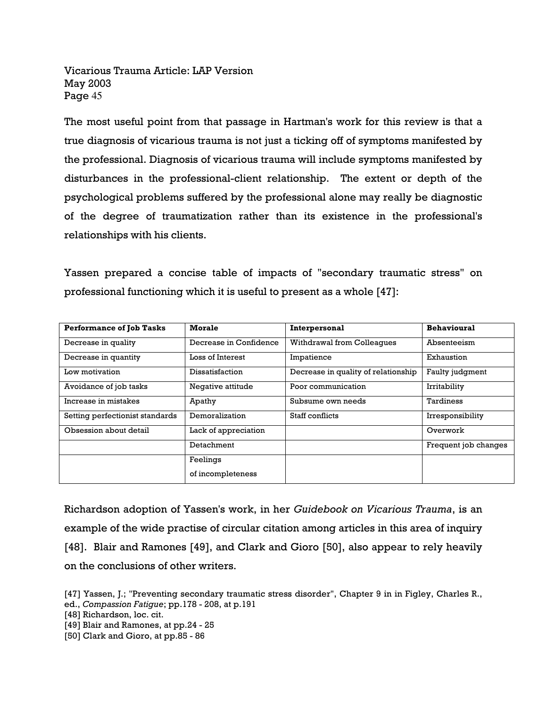The most useful point from that passage in Hartman's work for this review is that a true diagnosis of vicarious trauma is not just a ticking off of symptoms manifested by the professional. Diagnosis of vicarious trauma will include symptoms manifested by disturbances in the professional-client relationship. The extent or depth of the psychological problems suffered by the professional alone may really be diagnostic of the degree of traumatization rather than its existence in the professional's relationships with his clients.

Yassen prepared a concise table of impacts of "secondary traumatic stress" on professional functioning which it is useful to present as a whole [47]:

| <b>Performance of Job Tasks</b> | <b>Morale</b>          | Interpersonal                       | <b>Behavioural</b>   |
|---------------------------------|------------------------|-------------------------------------|----------------------|
| Decrease in quality             | Decrease in Confidence | Withdrawal from Colleagues          | Absenteeism          |
| Decrease in quantity            | Loss of Interest       | Impatience                          | Exhaustion           |
| Low motivation                  | Dissatisfaction        | Decrease in quality of relationship | Faulty judgment      |
| Avoidance of job tasks          | Negative attitude      | Poor communication                  | Irritability         |
| Increase in mistakes            | Apathy                 | Subsume own needs                   | Tardiness            |
| Setting perfectionist standards | Demoralization         | Staff conflicts                     | Irresponsibility     |
| Obsession about detail          | Lack of appreciation   |                                     | Overwork             |
|                                 | Detachment             |                                     | Frequent job changes |
|                                 | Feelings               |                                     |                      |
|                                 | of incompleteness      |                                     |                      |

Richardson adoption of Yassen's work, in her *Guidebook on Vicarious Trauma*, is an example of the wide practise of circular citation among articles in this area of inquiry [48]. Blair and Ramones [49], and Clark and Gioro [50], also appear to rely heavily on the conclusions of other writers.

- [48] Richardson, loc. cit.
- [49] Blair and Ramones, at pp.24 25
- [50] Clark and Gioro, at pp.85 86

<sup>[47]</sup> Yassen, J.; "Preventing secondary traumatic stress disorder", Chapter 9 in in Figley, Charles R.,

ed., *Compassion Fatigue*; pp.178 - 208, at p.191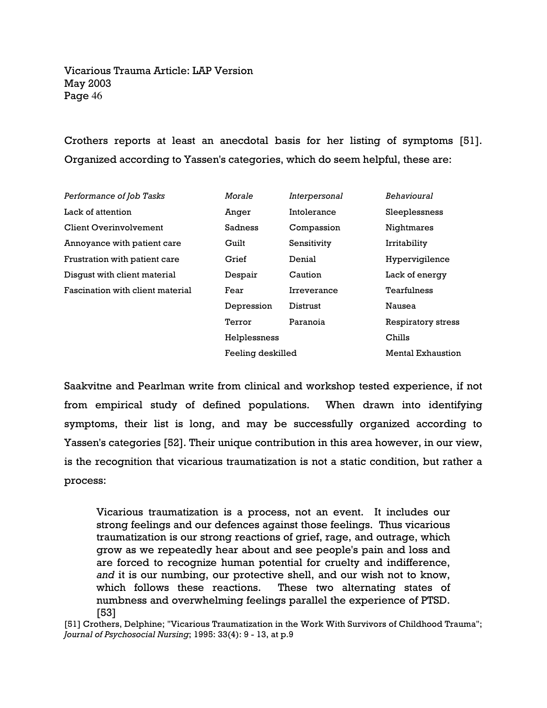Crothers reports at least an anecdotal basis for her listing of symptoms [51]. Organized according to Yassen's categories, which do seem helpful, these are:

| Performance of Job Tasks         | Morale            | Interpersonal | Behavioural              |
|----------------------------------|-------------------|---------------|--------------------------|
| Lack of attention                | Anger             | Intolerance   | Sleeplessness            |
| Client Overinvolvement           | Sadness           | Compassion    | Nightmares               |
| Annoyance with patient care      | Guilt             | Sensitivity   | Irritability             |
| Frustration with patient care    | Grief             | Denial        | Hypervigilence           |
| Disqust with client material     | Despair           | Caution       | Lack of energy           |
| Fascination with client material | Fear              | Irreverance   | Tearfulness              |
|                                  | Depression        | Distrust      | Nausea                   |
|                                  | Terror            | Paranoia      | Respiratory stress       |
|                                  | Helplessness      |               | Chills                   |
|                                  | Feeling deskilled |               | <b>Mental Exhaustion</b> |

Saakvitne and Pearlman write from clinical and workshop tested experience, if not from empirical study of defined populations. When drawn into identifying symptoms, their list is long, and may be successfully organized according to Yassen's categories [52]. Their unique contribution in this area however, in our view, is the recognition that vicarious traumatization is not a static condition, but rather a process:

Vicarious traumatization is a process, not an event. It includes our strong feelings and our defences against those feelings. Thus vicarious traumatization is our strong reactions of grief, rage, and outrage, which grow as we repeatedly hear about and see people's pain and loss and are forced to recognize human potential for cruelty and indifference, *and* it is our numbing, our protective shell, and our wish not to know, which follows these reactions. These two alternating states of numbness and overwhelming feelings parallel the experience of PTSD. [53]

[51] Crothers, Delphine; "Vicarious Traumatization in the Work With Survivors of Childhood Trauma"; *Journal of Psychosocial Nursing*; 1995: 33(4): 9 - 13, at p.9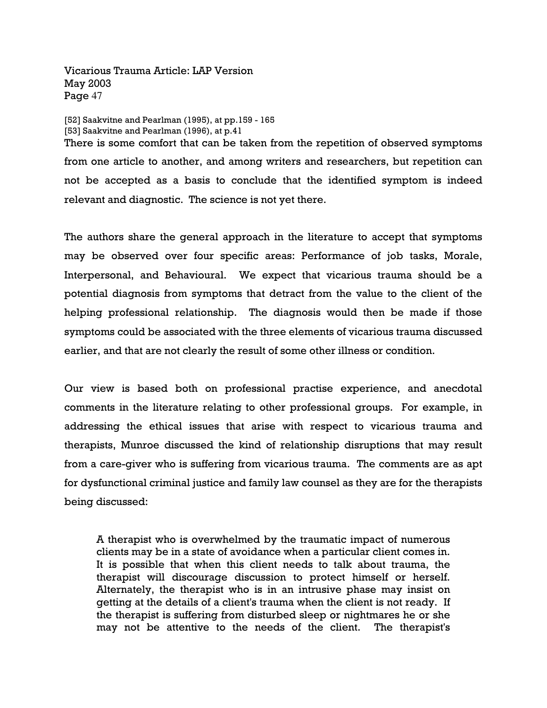[52] Saakvitne and Pearlman (1995), at pp.159 - 165

[53] Saakvitne and Pearlman (1996), at p.41

There is some comfort that can be taken from the repetition of observed symptoms from one article to another, and among writers and researchers, but repetition can not be accepted as a basis to conclude that the identified symptom is indeed relevant and diagnostic. The science is not yet there.

The authors share the general approach in the literature to accept that symptoms may be observed over four specific areas: Performance of job tasks, Morale, Interpersonal, and Behavioural. We expect that vicarious trauma should be a potential diagnosis from symptoms that detract from the value to the client of the helping professional relationship. The diagnosis would then be made if those symptoms could be associated with the three elements of vicarious trauma discussed earlier, and that are not clearly the result of some other illness or condition.

Our view is based both on professional practise experience, and anecdotal comments in the literature relating to other professional groups. For example, in addressing the ethical issues that arise with respect to vicarious trauma and therapists, Munroe discussed the kind of relationship disruptions that may result from a care-giver who is suffering from vicarious trauma. The comments are as apt for dysfunctional criminal justice and family law counsel as they are for the therapists being discussed:

A therapist who is overwhelmed by the traumatic impact of numerous clients may be in a state of avoidance when a particular client comes in. It is possible that when this client needs to talk about trauma, the therapist will discourage discussion to protect himself or herself. Alternately, the therapist who is in an intrusive phase may insist on getting at the details of a client's trauma when the client is not ready. If the therapist is suffering from disturbed sleep or nightmares he or she may not be attentive to the needs of the client. The therapist's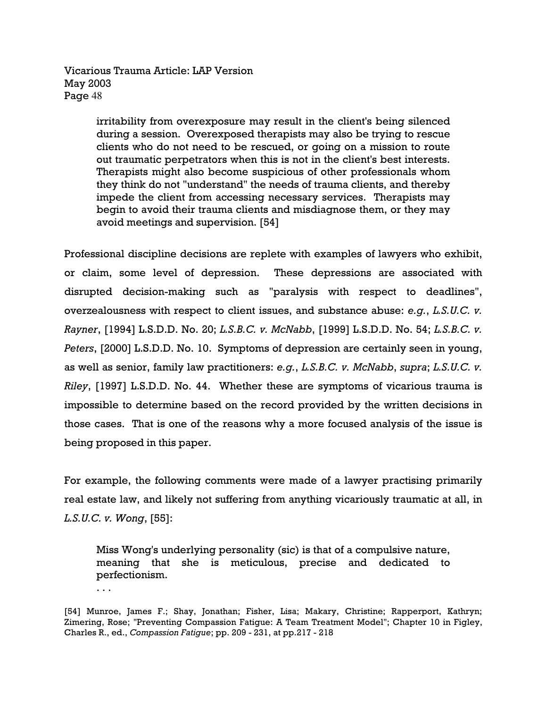. . .

irritability from overexposure may result in the client's being silenced during a session. Overexposed therapists may also be trying to rescue clients who do not need to be rescued, or going on a mission to route out traumatic perpetrators when this is not in the client's best interests. Therapists might also become suspicious of other professionals whom they think do not "understand" the needs of trauma clients, and thereby impede the client from accessing necessary services. Therapists may begin to avoid their trauma clients and misdiagnose them, or they may avoid meetings and supervision. [54]

Professional discipline decisions are replete with examples of lawyers who exhibit, or claim, some level of depression. These depressions are associated with disrupted decision-making such as "paralysis with respect to deadlines", overzealousness with respect to client issues, and substance abuse: *e.g.*, *L.S.U.C. v. Rayner*, [1994] L.S.D.D. No. 20; *L.S.B.C. v. McNabb*, [1999] L.S.D.D. No. 54; *L.S.B.C. v. Peters*, [2000] L.S.D.D. No. 10. Symptoms of depression are certainly seen in young, as well as senior, family law practitioners: *e.g.*, *L.S.B.C. v. McNabb*, *supra*; *L.S.U.C. v. Riley*, [1997] L.S.D.D. No. 44. Whether these are symptoms of vicarious trauma is impossible to determine based on the record provided by the written decisions in those cases. That is one of the reasons why a more focused analysis of the issue is being proposed in this paper.

For example, the following comments were made of a lawyer practising primarily real estate law, and likely not suffering from anything vicariously traumatic at all, in *L.S.U.C. v. Wong*, [55]:

Miss Wong's underlying personality (sic) is that of a compulsive nature, meaning that she is meticulous, precise and dedicated to perfectionism.

<sup>[54]</sup> Munroe, James F.; Shay, Jonathan; Fisher, Lisa; Makary, Christine; Rapperport, Kathryn; Zimering, Rose; "Preventing Compassion Fatigue: A Team Treatment Model"; Chapter 10 in Figley, Charles R., ed., *Compassion Fatigue*; pp. 209 - 231, at pp.217 - 218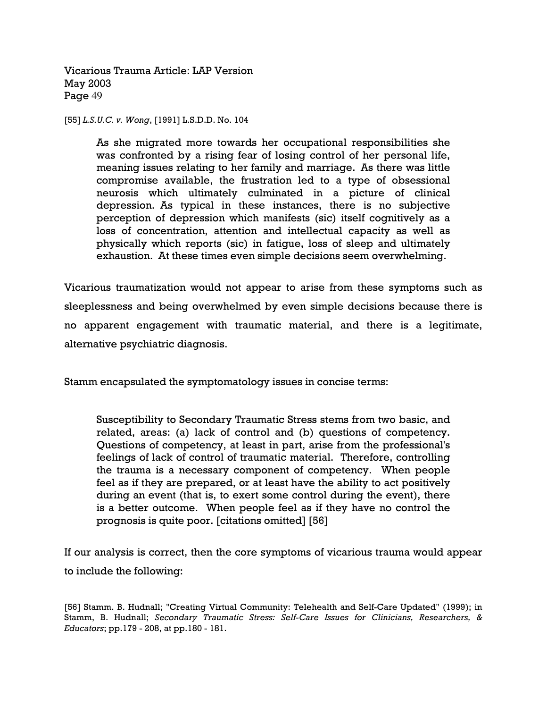[55] *L.S.U.C. v. Wong*, [1991] L.S.D.D. No. 104

As she migrated more towards her occupational responsibilities she was confronted by a rising fear of losing control of her personal life, meaning issues relating to her family and marriage. As there was little compromise available, the frustration led to a type of obsessional neurosis which ultimately culminated in a picture of clinical depression. As typical in these instances, there is no subjective perception of depression which manifests (sic) itself cognitively as a loss of concentration, attention and intellectual capacity as well as physically which reports (sic) in fatigue, loss of sleep and ultimately exhaustion. At these times even simple decisions seem overwhelming.

Vicarious traumatization would not appear to arise from these symptoms such as sleeplessness and being overwhelmed by even simple decisions because there is no apparent engagement with traumatic material, and there is a legitimate, alternative psychiatric diagnosis.

Stamm encapsulated the symptomatology issues in concise terms:

Susceptibility to Secondary Traumatic Stress stems from two basic, and related, areas: (a) lack of control and (b) questions of competency. Questions of competency, at least in part, arise from the professional's feelings of lack of control of traumatic material. Therefore, controlling the trauma is a necessary component of competency. When people feel as if they are prepared, or at least have the ability to act positively during an event (that is, to exert some control during the event), there is a better outcome. When people feel as if they have no control the prognosis is quite poor. [citations omitted] [56]

If our analysis is correct, then the core symptoms of vicarious trauma would appear to include the following:

<sup>[56]</sup> Stamm. B. Hudnall; "Creating Virtual Community: Telehealth and Self-Care Updated" (1999); in Stamm, B. Hudnall; *Secondary Traumatic Stress: Self-Care Issues for Clinicians, Researchers, & Educators*; pp.179 - 208, at pp.180 - 181.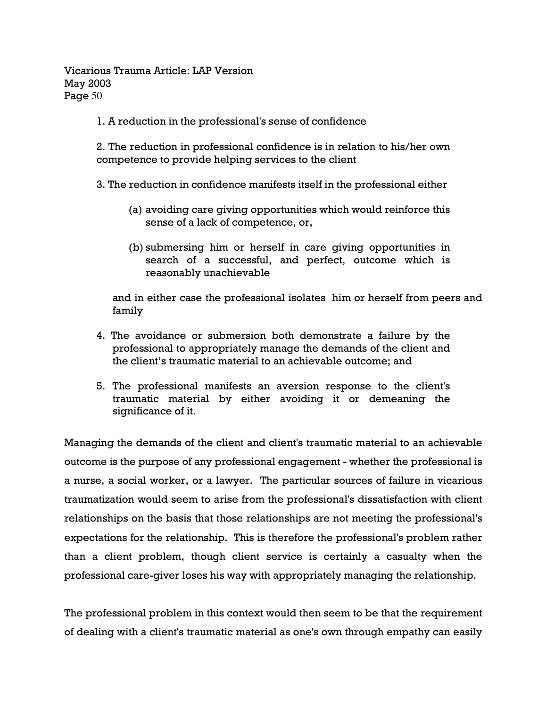1. A reduction in the professional's sense of confidence

2. The reduction in professional confidence is in relation to his/her own competence to provide helping services to the client

3. The reduction in confidence manifests itself in the professional either

- (a) avoiding care giving opportunities which would reinforce this sense of a lack of competence, or,
- (b) submersing him or herself in care giving opportunities in search of a successful, and perfect, outcome which is reasonably unachievable

and in either case the professional isolates him or herself from peers and family

- 4. The avoidance or submersion both demonstrate a failure by the professional to appropriately manage the demands of the client and the client's traumatic material to an achievable outcome; and
- 5. The professional manifests an aversion response to the client's traumatic material by either avoiding it or demeaning the significance of it.

Managing the demands of the client and client's traumatic material to an achievable outcome is the purpose of any professional engagement - whether the professional is a nurse, a social worker, or a lawyer. The particular sources of failure in vicarious traumatization would seem to arise from the professional's dissatisfaction with client relationships on the basis that those relationships are not meeting the professional's expectations for the relationship. This is therefore the professional's problem rather than a client problem, though client service is certainly a casualty when the professional care-giver loses his way with appropriately managing the relationship.

The professional problem in this context would then seem to be that the requirement of dealing with a client's traumatic material as one's own through empathy can easily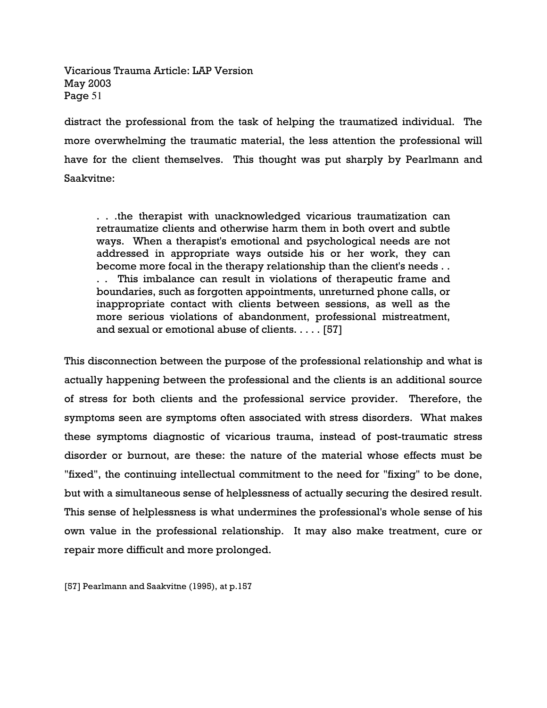distract the professional from the task of helping the traumatized individual. The more overwhelming the traumatic material, the less attention the professional will have for the client themselves. This thought was put sharply by Pearlmann and Saakvitne:

. . .the therapist with unacknowledged vicarious traumatization can retraumatize clients and otherwise harm them in both overt and subtle ways. When a therapist's emotional and psychological needs are not addressed in appropriate ways outside his or her work, they can become more focal in the therapy relationship than the client's needs . . . . This imbalance can result in violations of therapeutic frame and boundaries, such as forgotten appointments, unreturned phone calls, or inappropriate contact with clients between sessions, as well as the more serious violations of abandonment, professional mistreatment, and sexual or emotional abuse of clients. . . . . [57]

This disconnection between the purpose of the professional relationship and what is actually happening between the professional and the clients is an additional source of stress for both clients and the professional service provider. Therefore, the symptoms seen are symptoms often associated with stress disorders. What makes these symptoms diagnostic of vicarious trauma, instead of post-traumatic stress disorder or burnout, are these: the nature of the material whose effects must be "fixed", the continuing intellectual commitment to the need for "fixing" to be done, but with a simultaneous sense of helplessness of actually securing the desired result. This sense of helplessness is what undermines the professional's whole sense of his own value in the professional relationship. It may also make treatment, cure or repair more difficult and more prolonged.

[57] Pearlmann and Saakvitne (1995), at p.157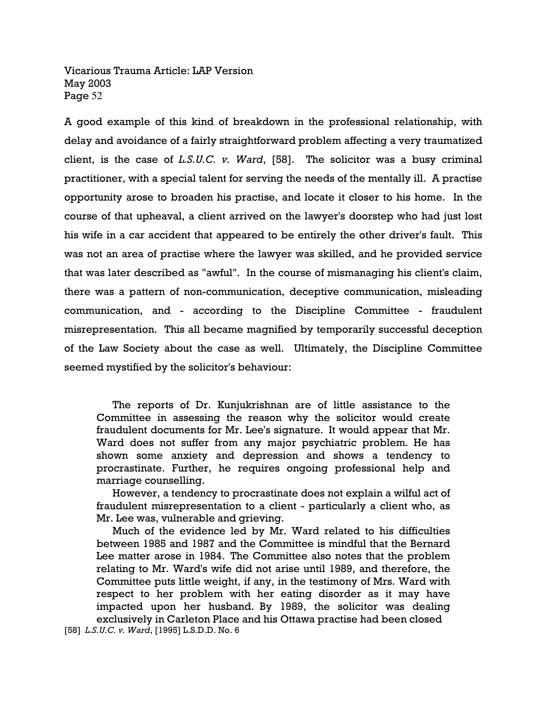A good example of this kind of breakdown in the professional relationship, with delay and avoidance of a fairly straightforward problem affecting a very traumatized client, is the case of *L.S.U.C. v. Ward*, [58]. The solicitor was a busy criminal practitioner, with a special talent for serving the needs of the mentally ill. A practise opportunity arose to broaden his practise, and locate it closer to his home. In the course of that upheaval, a client arrived on the lawyer's doorstep who had just lost his wife in a car accident that appeared to be entirely the other driver's fault. This was not an area of practise where the lawyer was skilled, and he provided service that was later described as "awful". In the course of mismanaging his client's claim, there was a pattern of non-communication, deceptive communication, misleading communication, and - according to the Discipline Committee - fraudulent misrepresentation. This all became magnified by temporarily successful deception of the Law Society about the case as well. Ultimately, the Discipline Committee seemed mystified by the solicitor's behaviour:

 The reports of Dr. Kunjukrishnan are of little assistance to the Committee in assessing the reason why the solicitor would create fraudulent documents for Mr. Lee's signature. It would appear that Mr. Ward does not suffer from any major psychiatric problem. He has shown some anxiety and depression and shows a tendency to procrastinate. Further, he requires ongoing professional help and marriage counselling.

 However, a tendency to procrastinate does not explain a wilful act of fraudulent misrepresentation to a client - particularly a client who, as Mr. Lee was, vulnerable and grieving.

 Much of the evidence led by Mr. Ward related to his difficulties between 1985 and 1987 and the Committee is mindful that the Bernard Lee matter arose in 1984. The Committee also notes that the problem relating to Mr. Ward's wife did not arise until 1989, and therefore, the Committee puts little weight, if any, in the testimony of Mrs. Ward with respect to her problem with her eating disorder as it may have impacted upon her husband. By 1989, the solicitor was dealing exclusively in Carleton Place and his Ottawa practise had been closed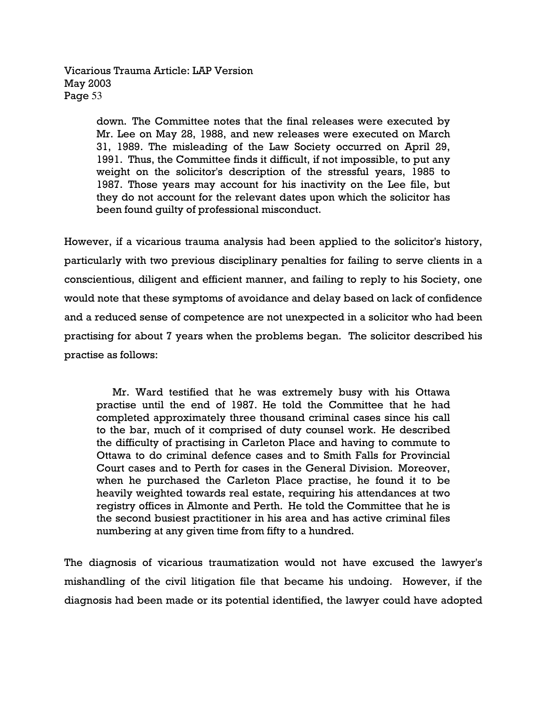> down. The Committee notes that the final releases were executed by Mr. Lee on May 28, 1988, and new releases were executed on March 31, 1989. The misleading of the Law Society occurred on April 29, 1991. Thus, the Committee finds it difficult, if not impossible, to put any weight on the solicitor's description of the stressful years, 1985 to 1987. Those years may account for his inactivity on the Lee file, but they do not account for the relevant dates upon which the solicitor has been found guilty of professional misconduct.

However, if a vicarious trauma analysis had been applied to the solicitor's history, particularly with two previous disciplinary penalties for failing to serve clients in a conscientious, diligent and efficient manner, and failing to reply to his Society, one would note that these symptoms of avoidance and delay based on lack of confidence and a reduced sense of competence are not unexpected in a solicitor who had been practising for about 7 years when the problems began. The solicitor described his practise as follows:

 Mr. Ward testified that he was extremely busy with his Ottawa practise until the end of 1987. He told the Committee that he had completed approximately three thousand criminal cases since his call to the bar, much of it comprised of duty counsel work. He described the difficulty of practising in Carleton Place and having to commute to Ottawa to do criminal defence cases and to Smith Falls for Provincial Court cases and to Perth for cases in the General Division. Moreover, when he purchased the Carleton Place practise, he found it to be heavily weighted towards real estate, requiring his attendances at two registry offices in Almonte and Perth. He told the Committee that he is the second busiest practitioner in his area and has active criminal files numbering at any given time from fifty to a hundred.

The diagnosis of vicarious traumatization would not have excused the lawyer's mishandling of the civil litigation file that became his undoing. However, if the diagnosis had been made or its potential identified, the lawyer could have adopted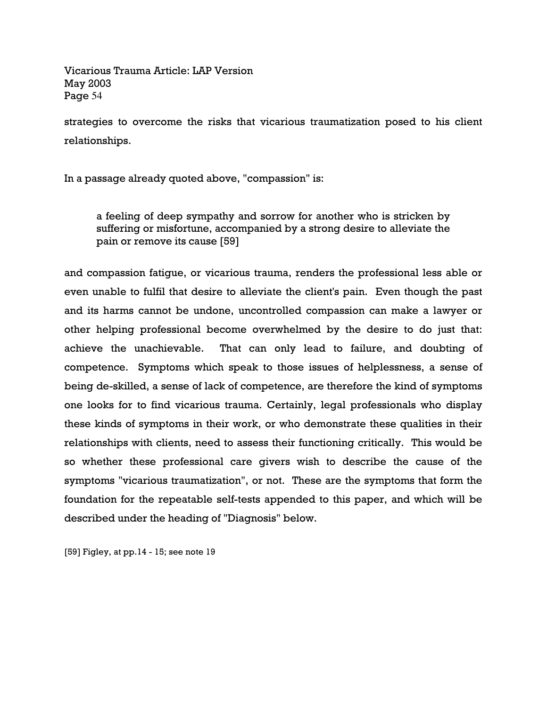strategies to overcome the risks that vicarious traumatization posed to his client relationships.

In a passage already quoted above, "compassion" is:

a feeling of deep sympathy and sorrow for another who is stricken by suffering or misfortune, accompanied by a strong desire to alleviate the pain or remove its cause [59]

and compassion fatigue, or vicarious trauma, renders the professional less able or even unable to fulfil that desire to alleviate the client's pain. Even though the past and its harms cannot be undone, uncontrolled compassion can make a lawyer or other helping professional become overwhelmed by the desire to do just that: achieve the unachievable. That can only lead to failure, and doubting of competence. Symptoms which speak to those issues of helplessness, a sense of being de-skilled, a sense of lack of competence, are therefore the kind of symptoms one looks for to find vicarious trauma. Certainly, legal professionals who display these kinds of symptoms in their work, or who demonstrate these qualities in their relationships with clients, need to assess their functioning critically. This would be so whether these professional care givers wish to describe the cause of the symptoms "vicarious traumatization", or not. These are the symptoms that form the foundation for the repeatable self-tests appended to this paper, and which will be described under the heading of "Diagnosis" below.

[59] Figley, at pp.14 - 15; see note 19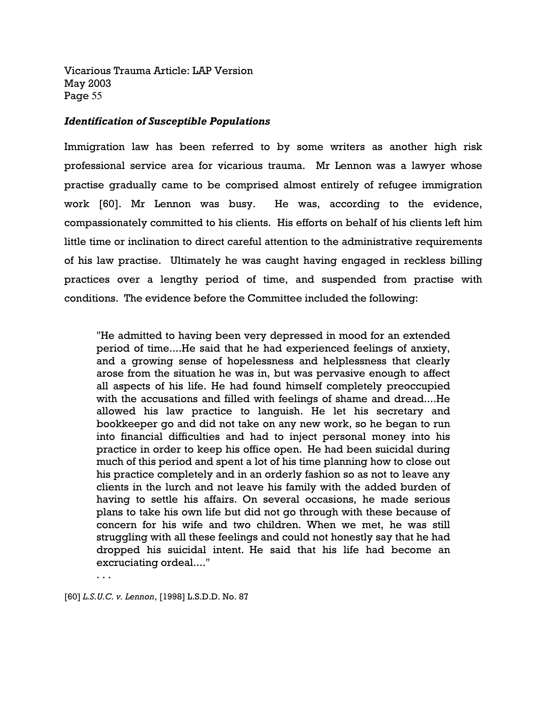### *Identification of Susceptible Populations*

Immigration law has been referred to by some writers as another high risk professional service area for vicarious trauma. Mr Lennon was a lawyer whose practise gradually came to be comprised almost entirely of refugee immigration work [60]. Mr Lennon was busy. He was, according to the evidence, compassionately committed to his clients. His efforts on behalf of his clients left him little time or inclination to direct careful attention to the administrative requirements of his law practise. Ultimately he was caught having engaged in reckless billing practices over a lengthy period of time, and suspended from practise with conditions. The evidence before the Committee included the following:

"He admitted to having been very depressed in mood for an extended period of time....He said that he had experienced feelings of anxiety, and a growing sense of hopelessness and helplessness that clearly arose from the situation he was in, but was pervasive enough to affect all aspects of his life. He had found himself completely preoccupied with the accusations and filled with feelings of shame and dread....He allowed his law practice to languish. He let his secretary and bookkeeper go and did not take on any new work, so he began to run into financial difficulties and had to inject personal money into his practice in order to keep his office open. He had been suicidal during much of this period and spent a lot of his time planning how to close out his practice completely and in an orderly fashion so as not to leave any clients in the lurch and not leave his family with the added burden of having to settle his affairs. On several occasions, he made serious plans to take his own life but did not go through with these because of concern for his wife and two children. When we met, he was still struggling with all these feelings and could not honestly say that he had dropped his suicidal intent. He said that his life had become an excruciating ordeal...."

. . .

[60] *L.S.U.C. v. Lennon*, [1998] L.S.D.D. No. 87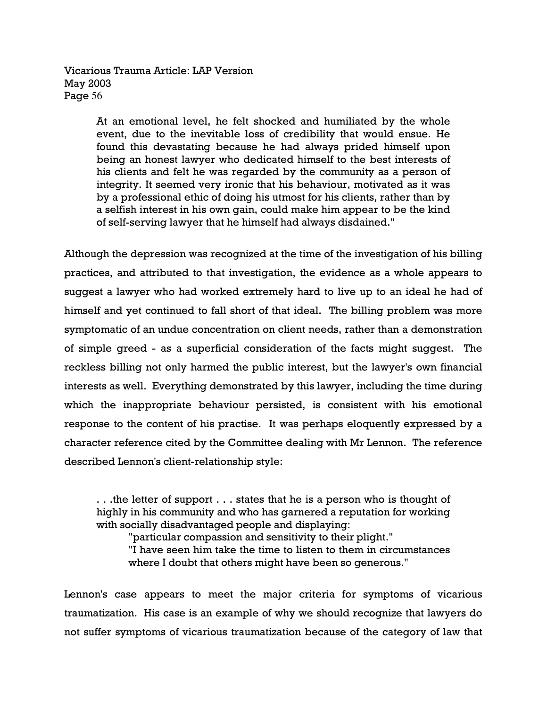> At an emotional level, he felt shocked and humiliated by the whole event, due to the inevitable loss of credibility that would ensue. He found this devastating because he had always prided himself upon being an honest lawyer who dedicated himself to the best interests of his clients and felt he was regarded by the community as a person of integrity. It seemed very ironic that his behaviour, motivated as it was by a professional ethic of doing his utmost for his clients, rather than by a selfish interest in his own gain, could make him appear to be the kind of self-serving lawyer that he himself had always disdained."

Although the depression was recognized at the time of the investigation of his billing practices, and attributed to that investigation, the evidence as a whole appears to suggest a lawyer who had worked extremely hard to live up to an ideal he had of himself and yet continued to fall short of that ideal. The billing problem was more symptomatic of an undue concentration on client needs, rather than a demonstration of simple greed - as a superficial consideration of the facts might suggest. The reckless billing not only harmed the public interest, but the lawyer's own financial interests as well. Everything demonstrated by this lawyer, including the time during which the inappropriate behaviour persisted, is consistent with his emotional response to the content of his practise. It was perhaps eloquently expressed by a character reference cited by the Committee dealing with Mr Lennon. The reference described Lennon's client-relationship style:

. . .the letter of support . . . states that he is a person who is thought of highly in his community and who has garnered a reputation for working with socially disadvantaged people and displaying:

"particular compassion and sensitivity to their plight." "I have seen him take the time to listen to them in circumstances where I doubt that others might have been so generous."

Lennon's case appears to meet the major criteria for symptoms of vicarious traumatization. His case is an example of why we should recognize that lawyers do not suffer symptoms of vicarious traumatization because of the category of law that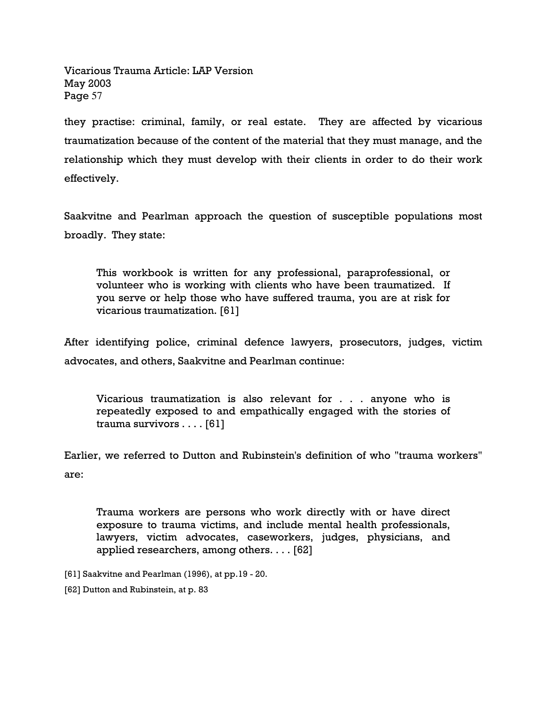they practise: criminal, family, or real estate. They are affected by vicarious traumatization because of the content of the material that they must manage, and the relationship which they must develop with their clients in order to do their work effectively.

Saakvitne and Pearlman approach the question of susceptible populations most broadly. They state:

This workbook is written for any professional, paraprofessional, or volunteer who is working with clients who have been traumatized. If you serve or help those who have suffered trauma, you are at risk for vicarious traumatization. [61]

After identifying police, criminal defence lawyers, prosecutors, judges, victim advocates, and others, Saakvitne and Pearlman continue:

Vicarious traumatization is also relevant for . . . anyone who is repeatedly exposed to and empathically engaged with the stories of trauma survivors . . . . [61]

Earlier, we referred to Dutton and Rubinstein's definition of who "trauma workers" are:

Trauma workers are persons who work directly with or have direct exposure to trauma victims, and include mental health professionals, lawyers, victim advocates, caseworkers, judges, physicians, and applied researchers, among others. . . . [62]

[61] Saakvitne and Pearlman (1996), at pp.19 - 20.

[62] Dutton and Rubinstein, at p. 83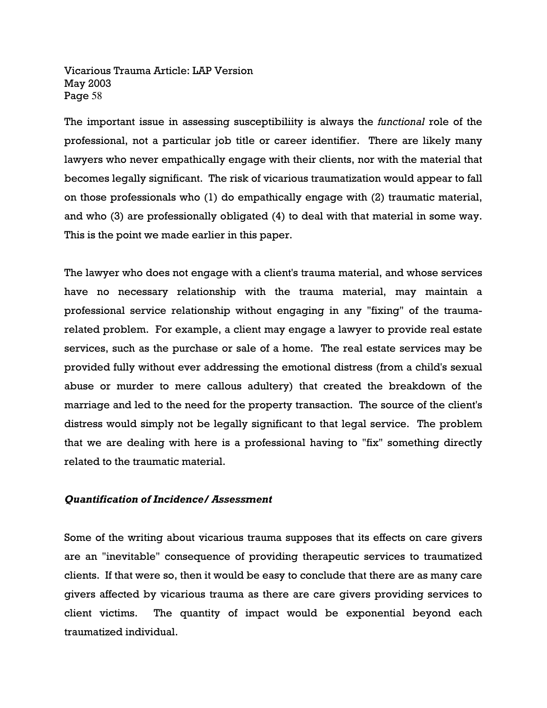The important issue in assessing susceptibiliity is always the *functional* role of the professional, not a particular job title or career identifier. There are likely many lawyers who never empathically engage with their clients, nor with the material that becomes legally significant. The risk of vicarious traumatization would appear to fall on those professionals who (1) do empathically engage with (2) traumatic material, and who (3) are professionally obligated (4) to deal with that material in some way. This is the point we made earlier in this paper.

The lawyer who does not engage with a client's trauma material, and whose services have no necessary relationship with the trauma material, may maintain a professional service relationship without engaging in any "fixing" of the traumarelated problem. For example, a client may engage a lawyer to provide real estate services, such as the purchase or sale of a home. The real estate services may be provided fully without ever addressing the emotional distress (from a child's sexual abuse or murder to mere callous adultery) that created the breakdown of the marriage and led to the need for the property transaction. The source of the client's distress would simply not be legally significant to that legal service. The problem that we are dealing with here is a professional having to "fix" something directly related to the traumatic material.

#### *Quantification of Incidence/ Assessment*

Some of the writing about vicarious trauma supposes that its effects on care givers are an "inevitable" consequence of providing therapeutic services to traumatized clients. If that were so, then it would be easy to conclude that there are as many care givers affected by vicarious trauma as there are care givers providing services to client victims. The quantity of impact would be exponential beyond each traumatized individual.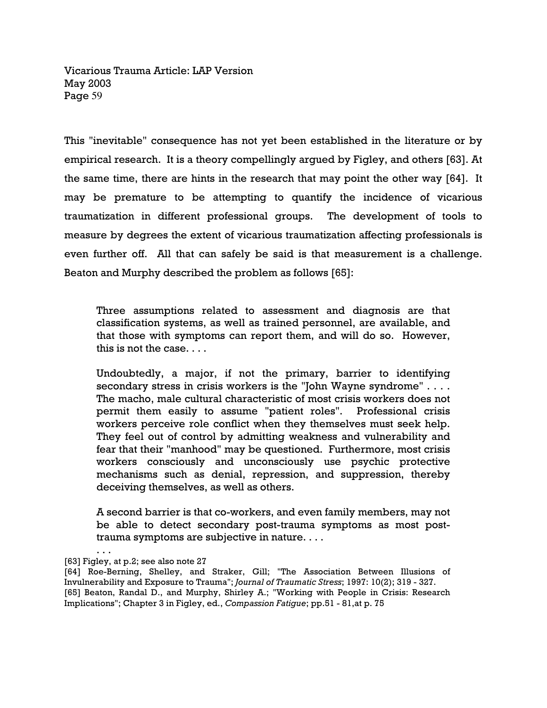This "inevitable" consequence has not yet been established in the literature or by empirical research. It is a theory compellingly argued by Figley, and others [63]. At the same time, there are hints in the research that may point the other way [64]. It may be premature to be attempting to quantify the incidence of vicarious traumatization in different professional groups. The development of tools to measure by degrees the extent of vicarious traumatization affecting professionals is even further off. All that can safely be said is that measurement is a challenge. Beaton and Murphy described the problem as follows [65]:

Three assumptions related to assessment and diagnosis are that classification systems, as well as trained personnel, are available, and that those with symptoms can report them, and will do so. However, this is not the case. . . .

Undoubtedly, a major, if not the primary, barrier to identifying secondary stress in crisis workers is the "John Wayne syndrome" . . . . The macho, male cultural characteristic of most crisis workers does not permit them easily to assume "patient roles". Professional crisis workers perceive role conflict when they themselves must seek help. They feel out of control by admitting weakness and vulnerability and fear that their "manhood" may be questioned. Furthermore, most crisis workers consciously and unconsciously use psychic protective mechanisms such as denial, repression, and suppression, thereby deceiving themselves, as well as others.

A second barrier is that co-workers, and even family members, may not be able to detect secondary post-trauma symptoms as most posttrauma symptoms are subjective in nature. . . .

[63] Figley, at p.2; see also note 27

. . .

[64] Roe-Berning, Shelley, and Straker, Gill; "The Association Between Illusions of Invulnerability and Exposure to Trauma"; *Journal of Traumatic Stress*; 1997: 10(2); 319 - 327. [65] Beaton, Randal D., and Murphy, Shirley A.; "Working with People in Crisis: Research Implications"; Chapter 3 in Figley, ed., *Compassion Fatigue*; pp.51 - 81,at p. 75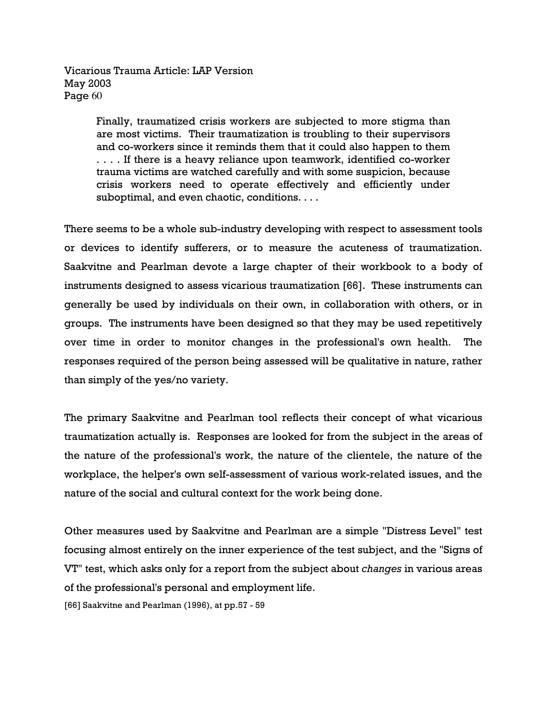> Finally, traumatized crisis workers are subjected to more stigma than are most victims. Their traumatization is troubling to their supervisors and co-workers since it reminds them that it could also happen to them . . . . If there is a heavy reliance upon teamwork, identified co-worker trauma victims are watched carefully and with some suspicion, because crisis workers need to operate effectively and efficiently under suboptimal, and even chaotic, conditions. . . .

There seems to be a whole sub-industry developing with respect to assessment tools or devices to identify sufferers, or to measure the acuteness of traumatization. Saakvitne and Pearlman devote a large chapter of their workbook to a body of instruments designed to assess vicarious traumatization [66]. These instruments can generally be used by individuals on their own, in collaboration with others, or in groups. The instruments have been designed so that they may be used repetitively over time in order to monitor changes in the professional's own health. The responses required of the person being assessed will be qualitative in nature, rather than simply of the yes/no variety.

The primary Saakvitne and Pearlman tool reflects their concept of what vicarious traumatization actually is. Responses are looked for from the subject in the areas of the nature of the professional's work, the nature of the clientele, the nature of the workplace, the helper's own self-assessment of various work-related issues, and the nature of the social and cultural context for the work being done.

Other measures used by Saakvitne and Pearlman are a simple "Distress Level" test focusing almost entirely on the inner experience of the test subject, and the "Signs of VT" test, which asks only for a report from the subject about *changes* in various areas of the professional's personal and employment life.

[66] Saakvitne and Pearlman (1996), at pp.57 - 59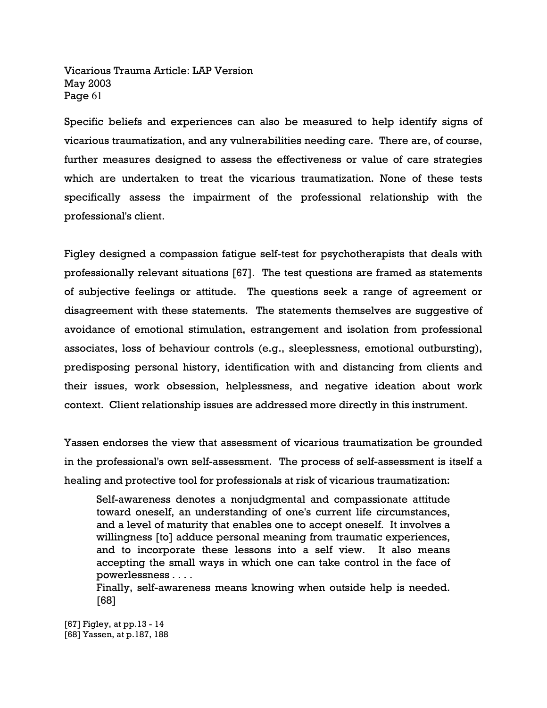Specific beliefs and experiences can also be measured to help identify signs of vicarious traumatization, and any vulnerabilities needing care. There are, of course, further measures designed to assess the effectiveness or value of care strategies which are undertaken to treat the vicarious traumatization. None of these tests specifically assess the impairment of the professional relationship with the professional's client.

Figley designed a compassion fatigue self-test for psychotherapists that deals with professionally relevant situations [67]. The test questions are framed as statements of subjective feelings or attitude. The questions seek a range of agreement or disagreement with these statements. The statements themselves are suggestive of avoidance of emotional stimulation, estrangement and isolation from professional associates, loss of behaviour controls (e.g., sleeplessness, emotional outbursting), predisposing personal history, identification with and distancing from clients and their issues, work obsession, helplessness, and negative ideation about work context. Client relationship issues are addressed more directly in this instrument.

Yassen endorses the view that assessment of vicarious traumatization be grounded in the professional's own self-assessment. The process of self-assessment is itself a healing and protective tool for professionals at risk of vicarious traumatization:

Self-awareness denotes a nonjudgmental and compassionate attitude toward oneself, an understanding of one's current life circumstances, and a level of maturity that enables one to accept oneself. It involves a willingness [to] adduce personal meaning from traumatic experiences, and to incorporate these lessons into a self view. It also means accepting the small ways in which one can take control in the face of powerlessness . . . .

Finally, self-awareness means knowing when outside help is needed. [68]

[67] Figley, at pp.13 - 14 [68] Yassen, at p.187, 188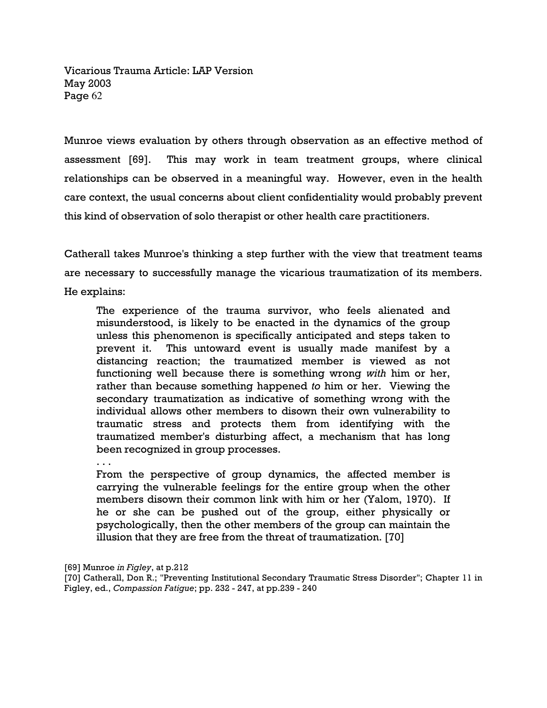Munroe views evaluation by others through observation as an effective method of assessment [69]. This may work in team treatment groups, where clinical relationships can be observed in a meaningful way. However, even in the health care context, the usual concerns about client confidentiality would probably prevent this kind of observation of solo therapist or other health care practitioners.

Catherall takes Munroe's thinking a step further with the view that treatment teams are necessary to successfully manage the vicarious traumatization of its members. He explains:

The experience of the trauma survivor, who feels alienated and misunderstood, is likely to be enacted in the dynamics of the group unless this phenomenon is specifically anticipated and steps taken to prevent it. This untoward event is usually made manifest by a distancing reaction; the traumatized member is viewed as not functioning well because there is something wrong *with* him or her, rather than because something happened *to* him or her. Viewing the secondary traumatization as indicative of something wrong with the individual allows other members to disown their own vulnerability to traumatic stress and protects them from identifying with the traumatized member's disturbing affect, a mechanism that has long been recognized in group processes.

. . .

From the perspective of group dynamics, the affected member is carrying the vulnerable feelings for the entire group when the other members disown their common link with him or her (Yalom, 1970). If he or she can be pushed out of the group, either physically or psychologically, then the other members of the group can maintain the illusion that they are free from the threat of traumatization. [70]

[69] Munroe *in Figley*, at p.212

<sup>[70]</sup> Catherall, Don R.; "Preventing Institutional Secondary Traumatic Stress Disorder"; Chapter 11 in Figley, ed., *Compassion Fatigue*; pp. 232 - 247, at pp.239 - 240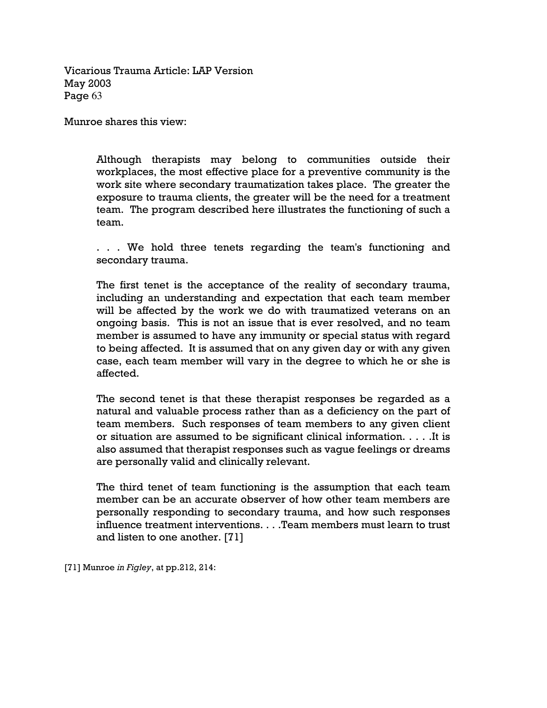Munroe shares this view:

Although therapists may belong to communities outside their workplaces, the most effective place for a preventive community is the work site where secondary traumatization takes place. The greater the exposure to trauma clients, the greater will be the need for a treatment team. The program described here illustrates the functioning of such a team.

. . . We hold three tenets regarding the team's functioning and secondary trauma.

The first tenet is the acceptance of the reality of secondary trauma, including an understanding and expectation that each team member will be affected by the work we do with traumatized veterans on an ongoing basis. This is not an issue that is ever resolved, and no team member is assumed to have any immunity or special status with regard to being affected. It is assumed that on any given day or with any given case, each team member will vary in the degree to which he or she is affected.

The second tenet is that these therapist responses be regarded as a natural and valuable process rather than as a deficiency on the part of team members. Such responses of team members to any given client or situation are assumed to be significant clinical information. . . . .It is also assumed that therapist responses such as vague feelings or dreams are personally valid and clinically relevant.

The third tenet of team functioning is the assumption that each team member can be an accurate observer of how other team members are personally responding to secondary trauma, and how such responses influence treatment interventions. . . .Team members must learn to trust and listen to one another. [71]

[71] Munroe *in Figley*, at pp.212, 214: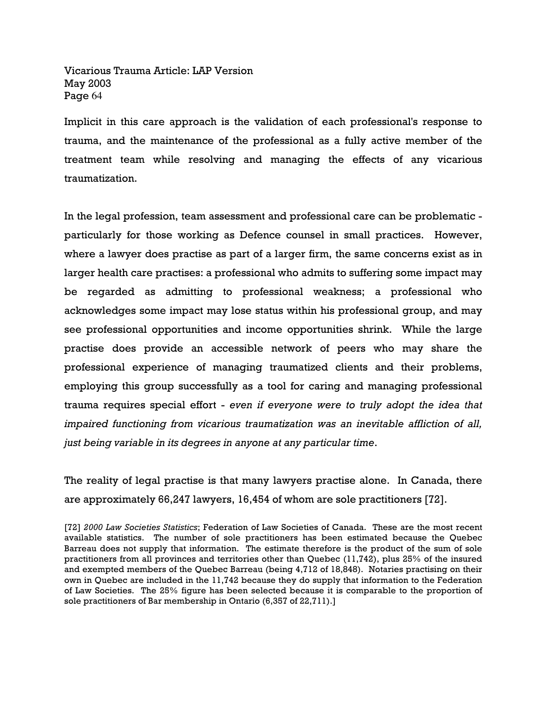Implicit in this care approach is the validation of each professional's response to trauma, and the maintenance of the professional as a fully active member of the treatment team while resolving and managing the effects of any vicarious traumatization.

In the legal profession, team assessment and professional care can be problematic particularly for those working as Defence counsel in small practices. However, where a lawyer does practise as part of a larger firm, the same concerns exist as in larger health care practises: a professional who admits to suffering some impact may be regarded as admitting to professional weakness; a professional who acknowledges some impact may lose status within his professional group, and may see professional opportunities and income opportunities shrink. While the large practise does provide an accessible network of peers who may share the professional experience of managing traumatized clients and their problems, employing this group successfully as a tool for caring and managing professional trauma requires special effort - *even if everyone were to truly adopt the idea that impaired functioning from vicarious traumatization was an inevitable affliction of all, just being variable in its degrees in anyone at any particular time*.

The reality of legal practise is that many lawyers practise alone. In Canada, there are approximately 66,247 lawyers, 16,454 of whom are sole practitioners [72].

<sup>[72]</sup> *2000 Law Societies Statistics*; Federation of Law Societies of Canada. These are the most recent available statistics. The number of sole practitioners has been estimated because the Quebec Barreau does not supply that information. The estimate therefore is the product of the sum of sole practitioners from all provinces and territories other than Quebec (11,742), plus 25% of the insured and exempted members of the Quebec Barreau (being 4,712 of 18,848). Notaries practising on their own in Quebec are included in the 11,742 because they do supply that information to the Federation of Law Societies. The 25% figure has been selected because it is comparable to the proportion of sole practitioners of Bar membership in Ontario (6,357 of 22,711).]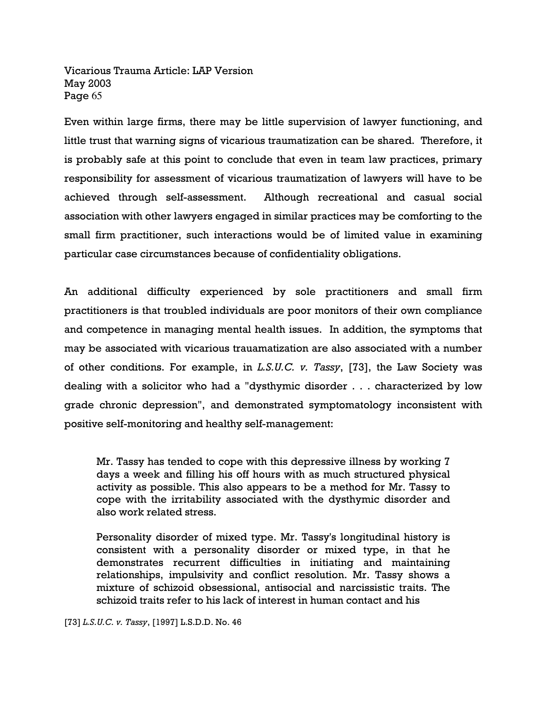Even within large firms, there may be little supervision of lawyer functioning, and little trust that warning signs of vicarious traumatization can be shared. Therefore, it is probably safe at this point to conclude that even in team law practices, primary responsibility for assessment of vicarious traumatization of lawyers will have to be achieved through self-assessment. Although recreational and casual social association with other lawyers engaged in similar practices may be comforting to the small firm practitioner, such interactions would be of limited value in examining particular case circumstances because of confidentiality obligations.

An additional difficulty experienced by sole practitioners and small firm practitioners is that troubled individuals are poor monitors of their own compliance and competence in managing mental health issues. In addition, the symptoms that may be associated with vicarious trauamatization are also associated with a number of other conditions. For example, in *L.S.U.C. v. Tassy*, [73], the Law Society was dealing with a solicitor who had a "dysthymic disorder . . . characterized by low grade chronic depression", and demonstrated symptomatology inconsistent with positive self-monitoring and healthy self-management:

Mr. Tassy has tended to cope with this depressive illness by working 7 days a week and filling his off hours with as much structured physical activity as possible. This also appears to be a method for Mr. Tassy to cope with the irritability associated with the dysthymic disorder and also work related stress.

Personality disorder of mixed type. Mr. Tassy's longitudinal history is consistent with a personality disorder or mixed type, in that he demonstrates recurrent difficulties in initiating and maintaining relationships, impulsivity and conflict resolution. Mr. Tassy shows a mixture of schizoid obsessional, antisocial and narcissistic traits. The schizoid traits refer to his lack of interest in human contact and his

[73] *L.S.U.C. v. Tassy*, [1997] L.S.D.D. No. 46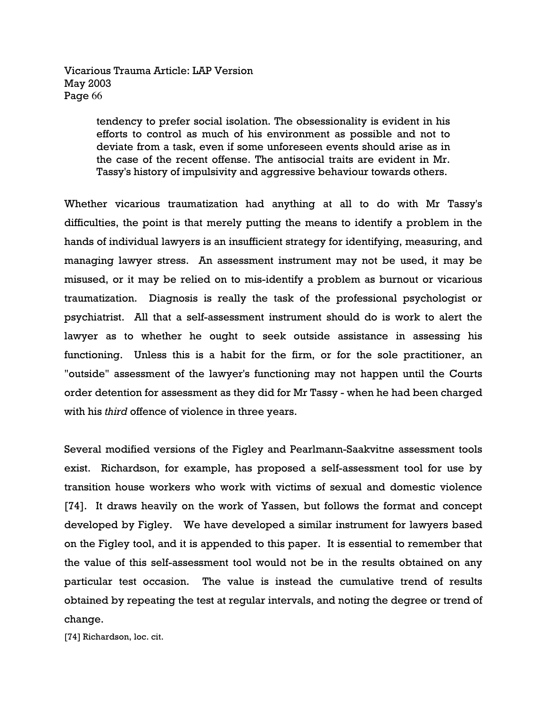> tendency to prefer social isolation. The obsessionality is evident in his efforts to control as much of his environment as possible and not to deviate from a task, even if some unforeseen events should arise as in the case of the recent offense. The antisocial traits are evident in Mr. Tassy's history of impulsivity and aggressive behaviour towards others.

Whether vicarious traumatization had anything at all to do with Mr Tassy's difficulties, the point is that merely putting the means to identify a problem in the hands of individual lawyers is an insufficient strategy for identifying, measuring, and managing lawyer stress. An assessment instrument may not be used, it may be misused, or it may be relied on to mis-identify a problem as burnout or vicarious traumatization. Diagnosis is really the task of the professional psychologist or psychiatrist. All that a self-assessment instrument should do is work to alert the lawyer as to whether he ought to seek outside assistance in assessing his functioning. Unless this is a habit for the firm, or for the sole practitioner, an "outside" assessment of the lawyer's functioning may not happen until the Courts order detention for assessment as they did for Mr Tassy - when he had been charged with his *third* offence of violence in three years.

Several modified versions of the Figley and Pearlmann-Saakvitne assessment tools exist. Richardson, for example, has proposed a self-assessment tool for use by transition house workers who work with victims of sexual and domestic violence [74]. It draws heavily on the work of Yassen, but follows the format and concept developed by Figley. We have developed a similar instrument for lawyers based on the Figley tool, and it is appended to this paper. It is essential to remember that the value of this self-assessment tool would not be in the results obtained on any particular test occasion. The value is instead the cumulative trend of results obtained by repeating the test at regular intervals, and noting the degree or trend of change.

[74] Richardson, loc. cit.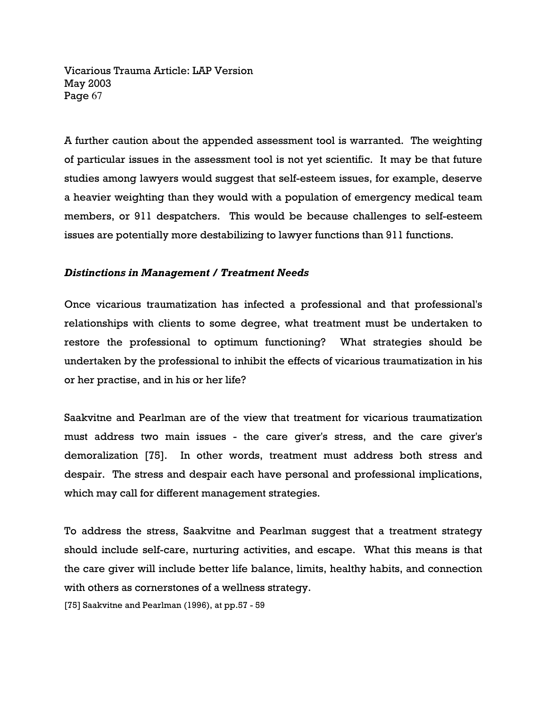A further caution about the appended assessment tool is warranted. The weighting of particular issues in the assessment tool is not yet scientific. It may be that future studies among lawyers would suggest that self-esteem issues, for example, deserve a heavier weighting than they would with a population of emergency medical team members, or 911 despatchers. This would be because challenges to self-esteem issues are potentially more destabilizing to lawyer functions than 911 functions.

### *Distinctions in Management / Treatment Needs*

Once vicarious traumatization has infected a professional and that professional's relationships with clients to some degree, what treatment must be undertaken to restore the professional to optimum functioning? What strategies should be undertaken by the professional to inhibit the effects of vicarious traumatization in his or her practise, and in his or her life?

Saakvitne and Pearlman are of the view that treatment for vicarious traumatization must address two main issues - the care giver's stress, and the care giver's demoralization [75]. In other words, treatment must address both stress and despair. The stress and despair each have personal and professional implications, which may call for different management strategies.

To address the stress, Saakvitne and Pearlman suggest that a treatment strategy should include self-care, nurturing activities, and escape. What this means is that the care giver will include better life balance, limits, healthy habits, and connection with others as cornerstones of a wellness strategy.

[75] Saakvitne and Pearlman (1996), at pp.57 - 59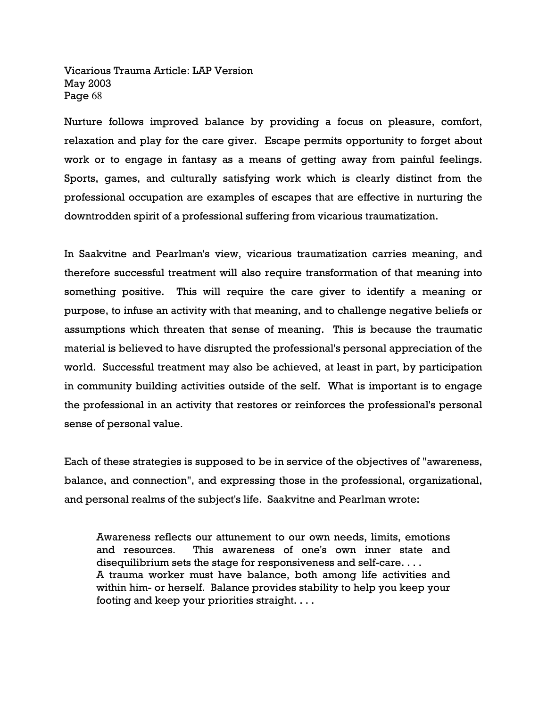Nurture follows improved balance by providing a focus on pleasure, comfort, relaxation and play for the care giver. Escape permits opportunity to forget about work or to engage in fantasy as a means of getting away from painful feelings. Sports, games, and culturally satisfying work which is clearly distinct from the professional occupation are examples of escapes that are effective in nurturing the downtrodden spirit of a professional suffering from vicarious traumatization.

In Saakvitne and Pearlman's view, vicarious traumatization carries meaning, and therefore successful treatment will also require transformation of that meaning into something positive. This will require the care giver to identify a meaning or purpose, to infuse an activity with that meaning, and to challenge negative beliefs or assumptions which threaten that sense of meaning. This is because the traumatic material is believed to have disrupted the professional's personal appreciation of the world. Successful treatment may also be achieved, at least in part, by participation in community building activities outside of the self. What is important is to engage the professional in an activity that restores or reinforces the professional's personal sense of personal value.

Each of these strategies is supposed to be in service of the objectives of "awareness, balance, and connection", and expressing those in the professional, organizational, and personal realms of the subject's life. Saakvitne and Pearlman wrote:

Awareness reflects our attunement to our own needs, limits, emotions and resources. This awareness of one's own inner state and disequilibrium sets the stage for responsiveness and self-care. . . . A trauma worker must have balance, both among life activities and within him- or herself. Balance provides stability to help you keep your footing and keep your priorities straight. . . .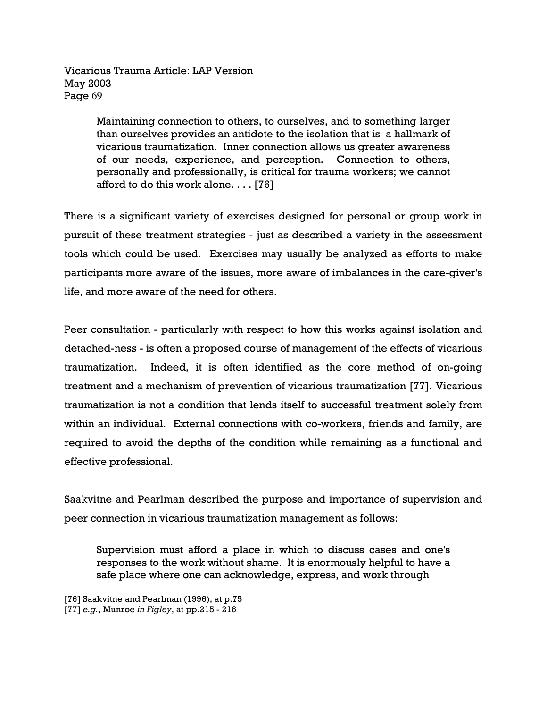> Maintaining connection to others, to ourselves, and to something larger than ourselves provides an antidote to the isolation that is a hallmark of vicarious traumatization. Inner connection allows us greater awareness of our needs, experience, and perception. Connection to others, personally and professionally, is critical for trauma workers; we cannot afford to do this work alone. . . . [76]

There is a significant variety of exercises designed for personal or group work in pursuit of these treatment strategies - just as described a variety in the assessment tools which could be used. Exercises may usually be analyzed as efforts to make participants more aware of the issues, more aware of imbalances in the care-giver's life, and more aware of the need for others.

Peer consultation - particularly with respect to how this works against isolation and detached-ness - is often a proposed course of management of the effects of vicarious traumatization. Indeed, it is often identified as the core method of on-going treatment and a mechanism of prevention of vicarious traumatization [77]. Vicarious traumatization is not a condition that lends itself to successful treatment solely from within an individual. External connections with co-workers, friends and family, are required to avoid the depths of the condition while remaining as a functional and effective professional.

Saakvitne and Pearlman described the purpose and importance of supervision and peer connection in vicarious traumatization management as follows:

Supervision must afford a place in which to discuss cases and one's responses to the work without shame. It is enormously helpful to have a safe place where one can acknowledge, express, and work through

<sup>[76]</sup> Saakvitne and Pearlman (1996), at p.75 [77] *e.g.*, Munroe *in Figley*, at pp.215 - 216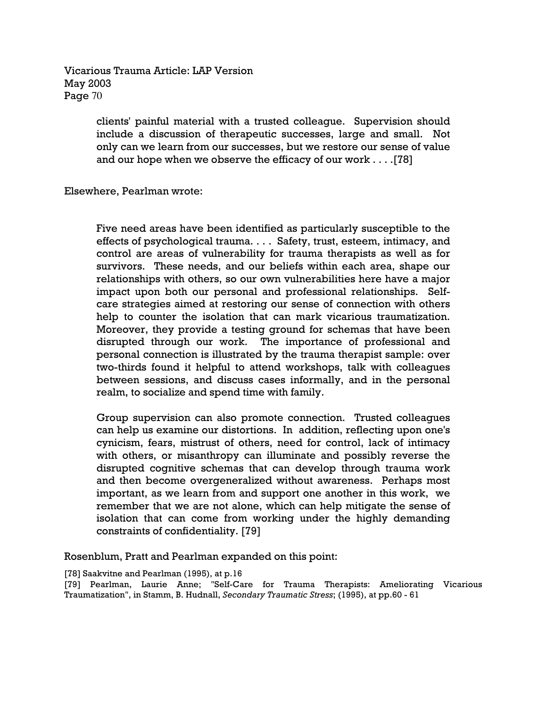> clients' painful material with a trusted colleague. Supervision should include a discussion of therapeutic successes, large and small. Not only can we learn from our successes, but we restore our sense of value and our hope when we observe the efficacy of our work . . . .[78]

Elsewhere, Pearlman wrote:

Five need areas have been identified as particularly susceptible to the effects of psychological trauma. . . . Safety, trust, esteem, intimacy, and control are areas of vulnerability for trauma therapists as well as for survivors. These needs, and our beliefs within each area, shape our relationships with others, so our own vulnerabilities here have a major impact upon both our personal and professional relationships. Selfcare strategies aimed at restoring our sense of connection with others help to counter the isolation that can mark vicarious traumatization. Moreover, they provide a testing ground for schemas that have been disrupted through our work. The importance of professional and personal connection is illustrated by the trauma therapist sample: over two-thirds found it helpful to attend workshops, talk with colleagues between sessions, and discuss cases informally, and in the personal realm, to socialize and spend time with family.

Group supervision can also promote connection. Trusted colleagues can help us examine our distortions. In addition, reflecting upon one's cynicism, fears, mistrust of others, need for control, lack of intimacy with others, or misanthropy can illuminate and possibly reverse the disrupted cognitive schemas that can develop through trauma work and then become overgeneralized without awareness. Perhaps most important, as we learn from and support one another in this work, we remember that we are not alone, which can help mitigate the sense of isolation that can come from working under the highly demanding constraints of confidentiality. [79]

Rosenblum, Pratt and Pearlman expanded on this point:

[78] Saakvitne and Pearlman (1995), at p.16

[79] Pearlman, Laurie Anne; "Self-Care for Trauma Therapists: Ameliorating Vicarious Traumatization", in Stamm, B. Hudnall, *Secondary Traumatic Stress*; (1995), at pp.60 - 61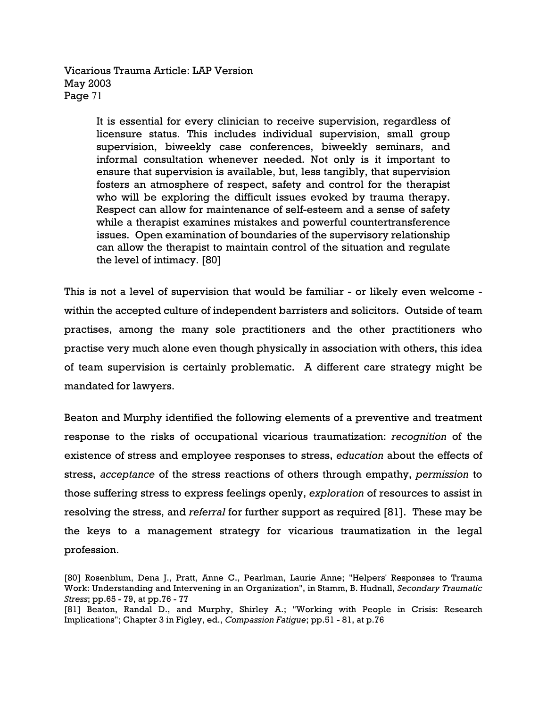> It is essential for every clinician to receive supervision, regardless of licensure status. This includes individual supervision, small group supervision, biweekly case conferences, biweekly seminars, and informal consultation whenever needed. Not only is it important to ensure that supervision is available, but, less tangibly, that supervision fosters an atmosphere of respect, safety and control for the therapist who will be exploring the difficult issues evoked by trauma therapy. Respect can allow for maintenance of self-esteem and a sense of safety while a therapist examines mistakes and powerful countertransference issues. Open examination of boundaries of the supervisory relationship can allow the therapist to maintain control of the situation and regulate the level of intimacy. [80]

This is not a level of supervision that would be familiar - or likely even welcome within the accepted culture of independent barristers and solicitors. Outside of team practises, among the many sole practitioners and the other practitioners who practise very much alone even though physically in association with others, this idea of team supervision is certainly problematic. A different care strategy might be mandated for lawyers.

Beaton and Murphy identified the following elements of a preventive and treatment response to the risks of occupational vicarious traumatization: *recognition* of the existence of stress and employee responses to stress, *education* about the effects of stress, *acceptance* of the stress reactions of others through empathy, *permission* to those suffering stress to express feelings openly, *exploration* of resources to assist in resolving the stress, and *referral* for further support as required [81]. These may be the keys to a management strategy for vicarious traumatization in the legal profession.

<sup>[80]</sup> Rosenblum, Dena J., Pratt, Anne C., Pearlman, Laurie Anne; "Helpers' Responses to Trauma Work: Understanding and Intervening in an Organization", in Stamm, B. Hudnall, *Secondary Traumatic Stress*; pp.65 - 79, at pp.76 - 77

<sup>[81]</sup> Beaton, Randal D., and Murphy, Shirley A.; "Working with People in Crisis: Research Implications"; Chapter 3 in Figley, ed., *Compassion Fatigue*; pp.51 - 81, at p.76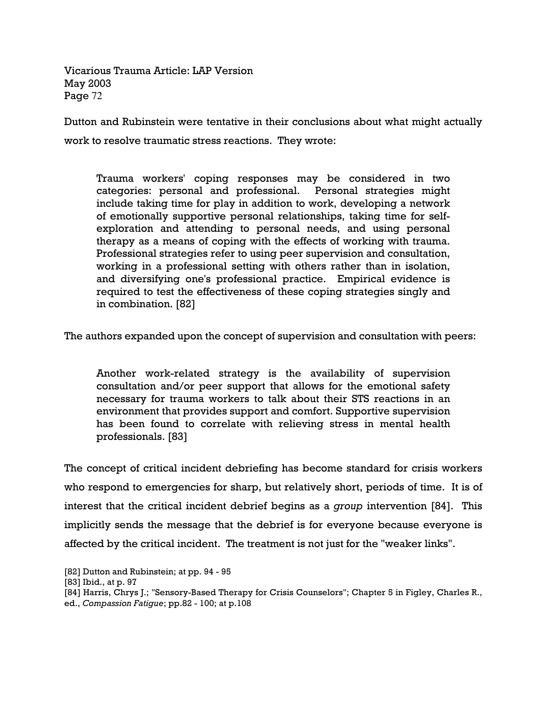Dutton and Rubinstein were tentative in their conclusions about what might actually work to resolve traumatic stress reactions. They wrote:

Trauma workers' coping responses may be considered in two categories: personal and professional. Personal strategies might include taking time for play in addition to work, developing a network of emotionally supportive personal relationships, taking time for selfexploration and attending to personal needs, and using personal therapy as a means of coping with the effects of working with trauma. Professional strategies refer to using peer supervision and consultation, working in a professional setting with others rather than in isolation, and diversifying one's professional practice. Empirical evidence is required to test the effectiveness of these coping strategies singly and in combination. [82]

The authors expanded upon the concept of supervision and consultation with peers:

Another work-related strategy is the availability of supervision consultation and/or peer support that allows for the emotional safety necessary for trauma workers to talk about their STS reactions in an environment that provides support and comfort. Supportive supervision has been found to correlate with relieving stress in mental health professionals. [83]

The concept of critical incident debriefing has become standard for crisis workers who respond to emergencies for sharp, but relatively short, periods of time. It is of interest that the critical incident debrief begins as a *group* intervention [84]. This implicitly sends the message that the debrief is for everyone because everyone is affected by the critical incident. The treatment is not just for the "weaker links".

[82] Dutton and Rubinstein; at pp. 94 - 95

- [84] Harris, Chrys J.; "Sensory-Based Therapy for Crisis Counselors"; Chapter 5 in Figley, Charles R.,
- ed., *Compassion Fatigue*; pp.82 100; at p.108

<sup>[83]</sup> Ibid., at p. 97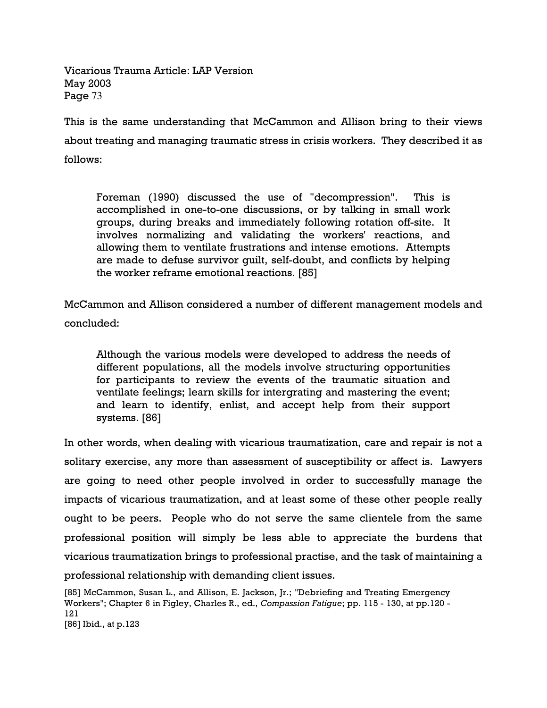This is the same understanding that McCammon and Allison bring to their views about treating and managing traumatic stress in crisis workers. They described it as follows:

Foreman (1990) discussed the use of "decompression". This is accomplished in one-to-one discussions, or by talking in small work groups, during breaks and immediately following rotation off-site. It involves normalizing and validating the workers' reactions, and allowing them to ventilate frustrations and intense emotions. Attempts are made to defuse survivor guilt, self-doubt, and conflicts by helping the worker reframe emotional reactions. [85]

McCammon and Allison considered a number of different management models and concluded:

Although the various models were developed to address the needs of different populations, all the models involve structuring opportunities for participants to review the events of the traumatic situation and ventilate feelings; learn skills for intergrating and mastering the event; and learn to identify, enlist, and accept help from their support systems. [86]

In other words, when dealing with vicarious traumatization, care and repair is not a solitary exercise, any more than assessment of susceptibility or affect is. Lawyers are going to need other people involved in order to successfully manage the impacts of vicarious traumatization, and at least some of these other people really ought to be peers. People who do not serve the same clientele from the same professional position will simply be less able to appreciate the burdens that vicarious traumatization brings to professional practise, and the task of maintaining a professional relationship with demanding client issues.

[85] McCammon, Susan L., and Allison, E. Jackson, Jr.; "Debriefing and Treating Emergency Workers"; Chapter 6 in Figley, Charles R., ed., *Compassion Fatigue*; pp. 115 - 130, at pp.120 - 121

[86] Ibid., at p.123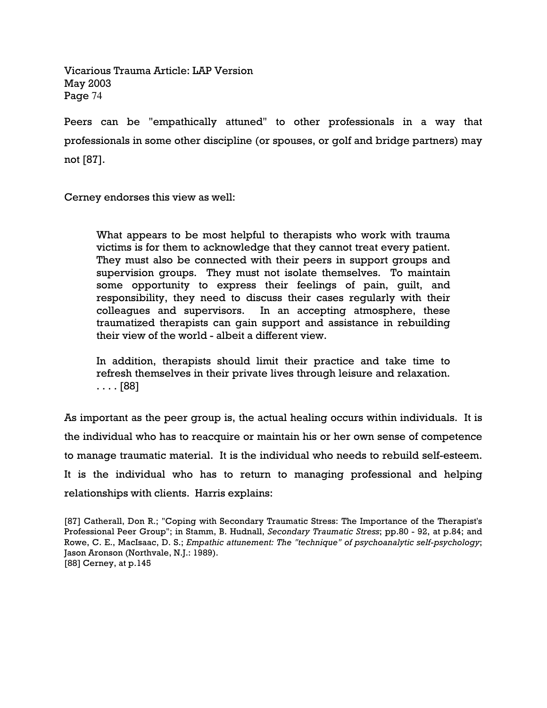Peers can be "empathically attuned" to other professionals in a way that professionals in some other discipline (or spouses, or golf and bridge partners) may not [87].

Cerney endorses this view as well:

What appears to be most helpful to therapists who work with trauma victims is for them to acknowledge that they cannot treat every patient. They must also be connected with their peers in support groups and supervision groups. They must not isolate themselves. To maintain some opportunity to express their feelings of pain, guilt, and responsibility, they need to discuss their cases regularly with their colleagues and supervisors. In an accepting atmosphere, these traumatized therapists can gain support and assistance in rebuilding their view of the world - albeit a different view.

In addition, therapists should limit their practice and take time to refresh themselves in their private lives through leisure and relaxation. . . . . [88]

As important as the peer group is, the actual healing occurs within individuals. It is the individual who has to reacquire or maintain his or her own sense of competence to manage traumatic material. It is the individual who needs to rebuild self-esteem. It is the individual who has to return to managing professional and helping relationships with clients. Harris explains:

[87] Catherall, Don R.; "Coping with Secondary Traumatic Stress: The Importance of the Therapist's Professional Peer Group"; in Stamm, B. Hudnall, *Secondary Traumatic Stress*; pp.80 - 92, at p.84; and Rowe, C. E., MacIsaac, D. S.; *Empathic attunement: The "technique" of psychoanalytic self-psychology*; Jason Aronson (Northvale, N.J.: 1989). [88] Cerney, at p.145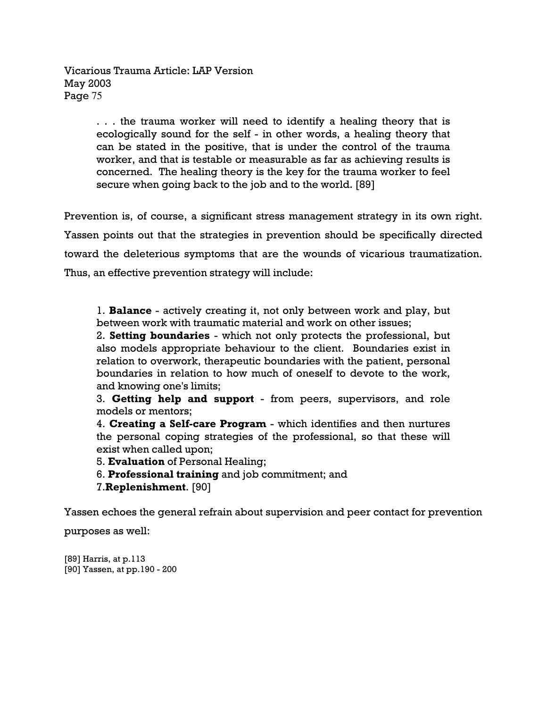> . . . the trauma worker will need to identify a healing theory that is ecologically sound for the self - in other words, a healing theory that can be stated in the positive, that is under the control of the trauma worker, and that is testable or measurable as far as achieving results is concerned. The healing theory is the key for the trauma worker to feel secure when going back to the job and to the world. [89]

Prevention is, of course, a significant stress management strategy in its own right. Yassen points out that the strategies in prevention should be specifically directed toward the deleterious symptoms that are the wounds of vicarious traumatization. Thus, an effective prevention strategy will include:

1. **Balance** - actively creating it, not only between work and play, but between work with traumatic material and work on other issues;

2. **Setting boundaries** - which not only protects the professional, but also models appropriate behaviour to the client. Boundaries exist in relation to overwork, therapeutic boundaries with the patient, personal boundaries in relation to how much of oneself to devote to the work, and knowing one's limits;

3. **Getting help and support** - from peers, supervisors, and role models or mentors;

4. **Creating a Self-care Program** - which identifies and then nurtures the personal coping strategies of the professional, so that these will exist when called upon;

5. **Evaluation** of Personal Healing;

6. **Professional training** and job commitment; and

7.**Replenishment**. [90]

Yassen echoes the general refrain about supervision and peer contact for prevention

purposes as well:

[89] Harris, at p.113 [90] Yassen, at pp.190 - 200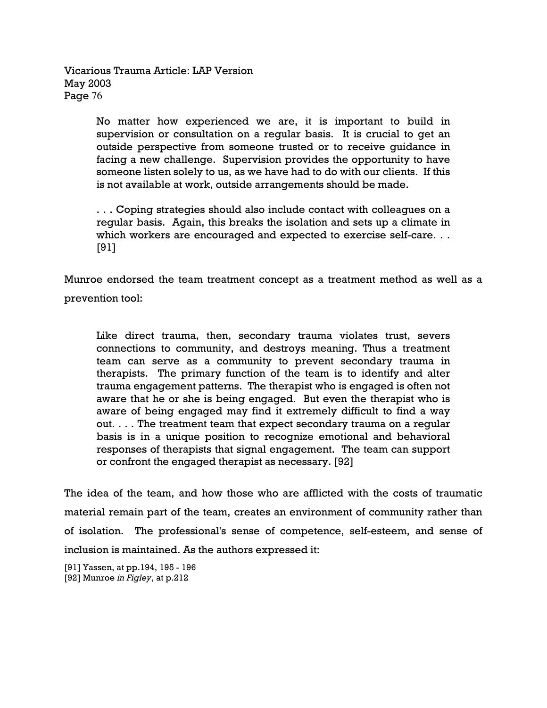> No matter how experienced we are, it is important to build in supervision or consultation on a regular basis. It is crucial to get an outside perspective from someone trusted or to receive guidance in facing a new challenge. Supervision provides the opportunity to have someone listen solely to us, as we have had to do with our clients. If this is not available at work, outside arrangements should be made.

> . . . Coping strategies should also include contact with colleagues on a regular basis. Again, this breaks the isolation and sets up a climate in which workers are encouraged and expected to exercise self-care. . . [91]

Munroe endorsed the team treatment concept as a treatment method as well as a prevention tool:

Like direct trauma, then, secondary trauma violates trust, severs connections to community, and destroys meaning. Thus a treatment team can serve as a community to prevent secondary trauma in therapists. The primary function of the team is to identify and alter trauma engagement patterns. The therapist who is engaged is often not aware that he or she is being engaged. But even the therapist who is aware of being engaged may find it extremely difficult to find a way out. . . . The treatment team that expect secondary trauma on a regular basis is in a unique position to recognize emotional and behavioral responses of therapists that signal engagement. The team can support or confront the engaged therapist as necessary. [92]

The idea of the team, and how those who are afflicted with the costs of traumatic material remain part of the team, creates an environment of community rather than of isolation. The professional's sense of competence, self-esteem, and sense of inclusion is maintained. As the authors expressed it:

[91] Yassen, at pp.194, 195 - 196 [92] Munroe *in Figley*, at p.212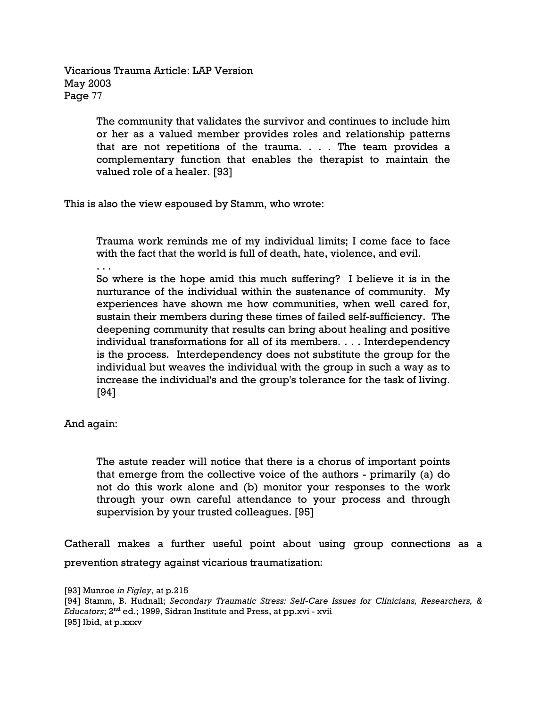> The community that validates the survivor and continues to include him or her as a valued member provides roles and relationship patterns that are not repetitions of the trauma. . . . The team provides a complementary function that enables the therapist to maintain the valued role of a healer. [93]

This is also the view espoused by Stamm, who wrote:

Trauma work reminds me of my individual limits; I come face to face with the fact that the world is full of death, hate, violence, and evil.

. . .

So where is the hope amid this much suffering? I believe it is in the nurturance of the individual within the sustenance of community. My experiences have shown me how communities, when well cared for, sustain their members during these times of failed self-sufficiency. The deepening community that results can bring about healing and positive individual transformations for all of its members. . . . Interdependency is the process. Interdependency does not substitute the group for the individual but weaves the individual with the group in such a way as to increase the individual's and the group's tolerance for the task of living. [94]

And again:

The astute reader will notice that there is a chorus of important points that emerge from the collective voice of the authors - primarily (a) do not do this work alone and (b) monitor your responses to the work through your own careful attendance to your process and through supervision by your trusted colleagues. [95]

Catherall makes a further useful point about using group connections as a prevention strategy against vicarious traumatization:

[93] Munroe *in Figley*, at p.215

<sup>[94]</sup> Stamm, B. Hudnall; *Secondary Traumatic Stress: Self-Care Issues for Clinicians, Researchers, & Educators*; 2nd ed.; 1999, Sidran Institute and Press, at pp.xvi - xvii [95] Ibid, at p.xxxv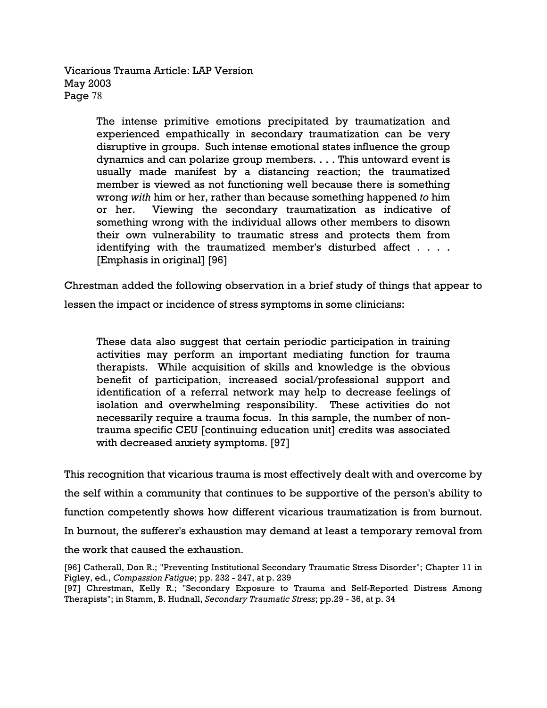> The intense primitive emotions precipitated by traumatization and experienced empathically in secondary traumatization can be very disruptive in groups. Such intense emotional states influence the group dynamics and can polarize group members. . . . This untoward event is usually made manifest by a distancing reaction; the traumatized member is viewed as not functioning well because there is something wrong *with* him or her, rather than because something happened *to* him or her. Viewing the secondary traumatization as indicative of something wrong with the individual allows other members to disown their own vulnerability to traumatic stress and protects them from identifying with the traumatized member's disturbed affect . . . . [Emphasis in original] [96]

Chrestman added the following observation in a brief study of things that appear to

lessen the impact or incidence of stress symptoms in some clinicians:

These data also suggest that certain periodic participation in training activities may perform an important mediating function for trauma therapists. While acquisition of skills and knowledge is the obvious benefit of participation, increased social/professional support and identification of a referral network may help to decrease feelings of isolation and overwhelming responsibility. These activities do not necessarily require a trauma focus. In this sample, the number of nontrauma specific CEU [continuing education unit] credits was associated with decreased anxiety symptoms. [97]

This recognition that vicarious trauma is most effectively dealt with and overcome by the self within a community that continues to be supportive of the person's ability to function competently shows how different vicarious traumatization is from burnout. In burnout, the sufferer's exhaustion may demand at least a temporary removal from the work that caused the exhaustion.

[96] Catherall, Don R.; "Preventing Institutional Secondary Traumatic Stress Disorder"; Chapter 11 in Figley, ed., *Compassion Fatigue*; pp. 232 - 247, at p. 239

[97] Chrestman, Kelly R.; "Secondary Exposure to Trauma and Self-Reported Distress Among Therapists"; in Stamm, B. Hudnall, *Secondary Traumatic Stress*; pp.29 - 36, at p. 34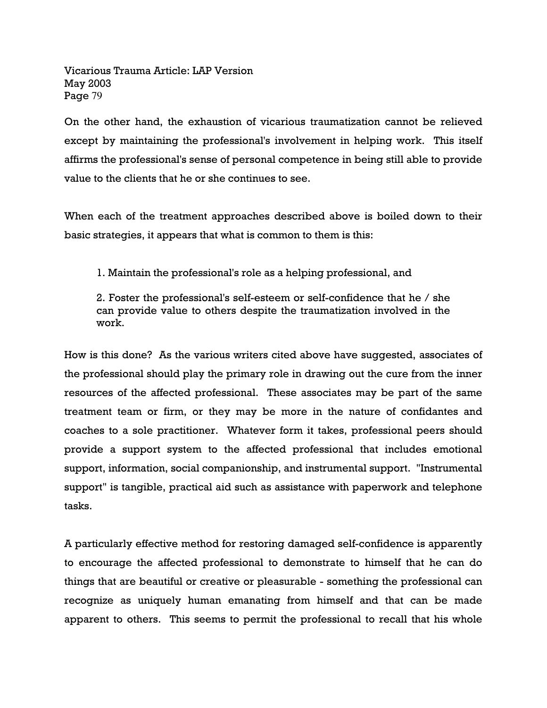On the other hand, the exhaustion of vicarious traumatization cannot be relieved except by maintaining the professional's involvement in helping work. This itself affirms the professional's sense of personal competence in being still able to provide value to the clients that he or she continues to see.

When each of the treatment approaches described above is boiled down to their basic strategies, it appears that what is common to them is this:

1. Maintain the professional's role as a helping professional, and

2. Foster the professional's self-esteem or self-confidence that he / she can provide value to others despite the traumatization involved in the work.

How is this done? As the various writers cited above have suggested, associates of the professional should play the primary role in drawing out the cure from the inner resources of the affected professional. These associates may be part of the same treatment team or firm, or they may be more in the nature of confidantes and coaches to a sole practitioner. Whatever form it takes, professional peers should provide a support system to the affected professional that includes emotional support, information, social companionship, and instrumental support. "Instrumental support" is tangible, practical aid such as assistance with paperwork and telephone tasks.

A particularly effective method for restoring damaged self-confidence is apparently to encourage the affected professional to demonstrate to himself that he can do things that are beautiful or creative or pleasurable - something the professional can recognize as uniquely human emanating from himself and that can be made apparent to others. This seems to permit the professional to recall that his whole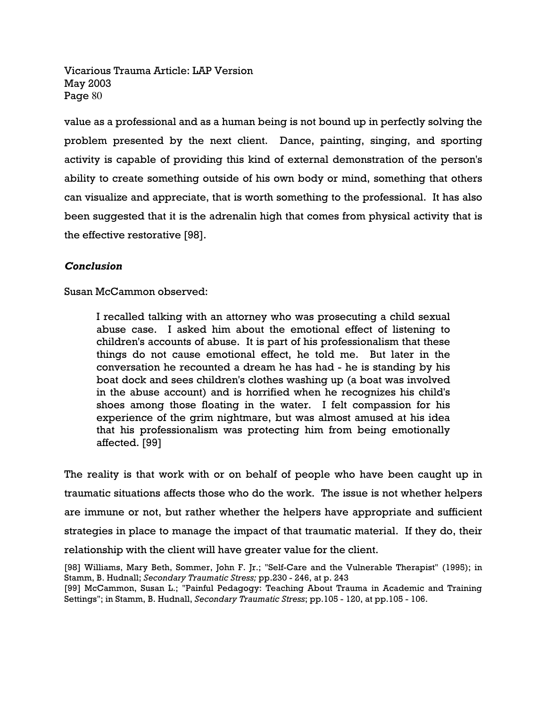value as a professional and as a human being is not bound up in perfectly solving the problem presented by the next client. Dance, painting, singing, and sporting activity is capable of providing this kind of external demonstration of the person's ability to create something outside of his own body or mind, something that others can visualize and appreciate, that is worth something to the professional. It has also been suggested that it is the adrenalin high that comes from physical activity that is the effective restorative [98].

### *Conclusion*

Susan McCammon observed:

I recalled talking with an attorney who was prosecuting a child sexual abuse case. I asked him about the emotional effect of listening to children's accounts of abuse. It is part of his professionalism that these things do not cause emotional effect, he told me. But later in the conversation he recounted a dream he has had - he is standing by his boat dock and sees children's clothes washing up (a boat was involved in the abuse account) and is horrified when he recognizes his child's shoes among those floating in the water. I felt compassion for his experience of the grim nightmare, but was almost amused at his idea that his professionalism was protecting him from being emotionally affected. [99]

The reality is that work with or on behalf of people who have been caught up in traumatic situations affects those who do the work. The issue is not whether helpers are immune or not, but rather whether the helpers have appropriate and sufficient strategies in place to manage the impact of that traumatic material. If they do, their relationship with the client will have greater value for the client.

<sup>[98]</sup> Williams, Mary Beth, Sommer, John F. Jr.; "Self-Care and the Vulnerable Therapist" (1995); in Stamm, B. Hudnall; *Secondary Traumatic Stress;* pp.230 - 246, at p. 243

<sup>[99]</sup> McCammon, Susan L.; "Painful Pedagogy: Teaching About Trauma in Academic and Training Settings"; in Stamm, B. Hudnall, *Secondary Traumatic Stress*; pp.105 - 120, at pp.105 - 106.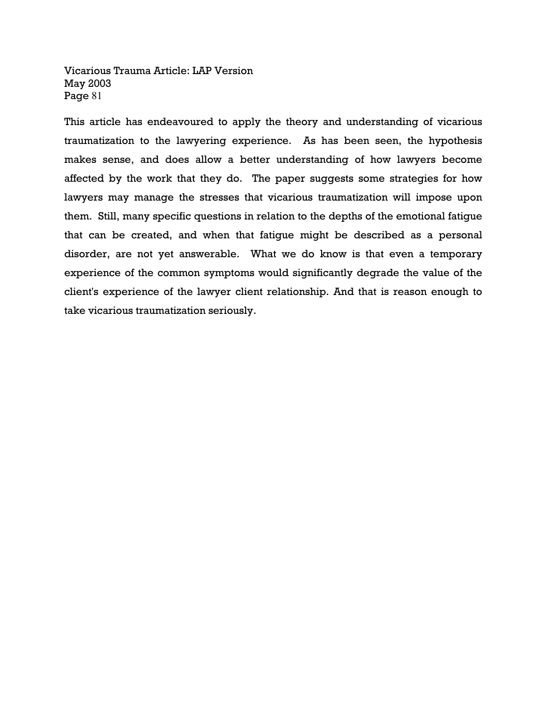This article has endeavoured to apply the theory and understanding of vicarious traumatization to the lawyering experience. As has been seen, the hypothesis makes sense, and does allow a better understanding of how lawyers become affected by the work that they do. The paper suggests some strategies for how lawyers may manage the stresses that vicarious traumatization will impose upon them. Still, many specific questions in relation to the depths of the emotional fatigue that can be created, and when that fatigue might be described as a personal disorder, are not yet answerable. What we do know is that even a temporary experience of the common symptoms would significantly degrade the value of the client's experience of the lawyer client relationship. And that is reason enough to take vicarious traumatization seriously.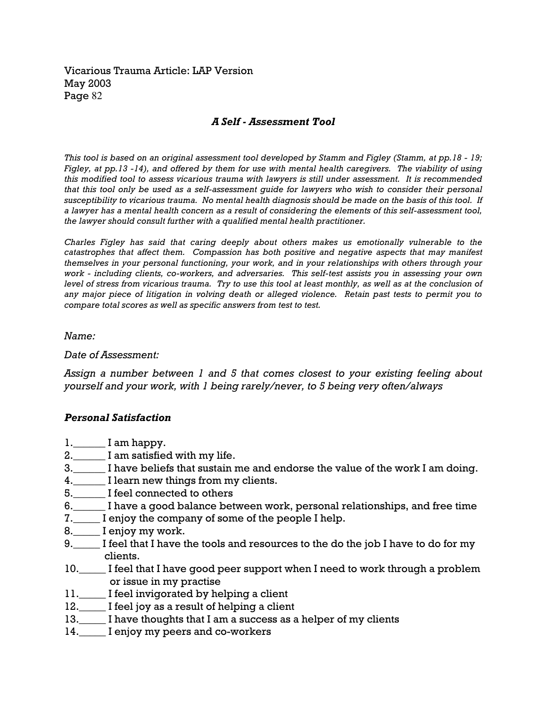## *A Self - Assessment Tool*

*This tool is based on an original assessment tool developed by Stamm and Figley (Stamm, at pp.18 - 19; Figley, at pp.13 -14), and offered by them for use with mental health caregivers. The viability of using this modified tool to assess vicarious trauma with lawyers is still under assessment. It is recommended that this tool only be used as a self-assessment guide for lawyers who wish to consider their personal susceptibility to vicarious trauma. No mental health diagnosis should be made on the basis of this tool. If a lawyer has a mental health concern as a result of considering the elements of this self-assessment tool, the lawyer should consult further with a qualified mental health practitioner.*

*Charles Figley has said that caring deeply about others makes us emotionally vulnerable to the catastrophes that affect them. Compassion has both positive and negative aspects that may manifest themselves in your personal functioning, your work, and in your relationships with others through your work - including clients, co-workers, and adversaries. This self-test assists you in assessing your own level of stress from vicarious trauma. Try to use this tool at least monthly, as well as at the conclusion of any major piece of litigation in volving death or alleged violence. Retain past tests to permit you to compare total scores as well as specific answers from test to test.*

#### *Name:*

#### *Date of Assessment:*

*Assign a number between 1 and 5 that comes closest to your existing feeling about yourself and your work, with 1 being rarely/never, to 5 being very often/always*

#### *Personal Satisfaction*

- 1.\_\_\_\_\_\_\_\_ I am happy.
- 2.\_\_\_\_\_\_\_ I am satisfied with my life.
- 3.\_\_\_\_\_\_ I have beliefs that sustain me and endorse the value of the work I am doing.
- 4.\_\_\_\_\_\_ I learn new things from my clients.
- 5.\_\_\_\_\_\_ I feel connected to others
- 6.\_\_\_\_\_\_ I have a good balance between work, personal relationships, and free time
- 7.\_\_\_\_\_ I enjoy the company of some of the people I help.
- 8.\_\_\_\_\_ I enjoy my work.
- 9. I feel that I have the tools and resources to the do the job I have to do for my clients.
- 10.\_\_\_\_\_ I feel that I have good peer support when I need to work through a problem or issue in my practise
- 11.\_\_\_\_\_ I feel invigorated by helping a client
- 12.\_\_\_\_\_ I feel joy as a result of helping a client
- 13. I have thoughts that I am a success as a helper of my clients
- 14.\_\_\_\_\_\_ I enjoy my peers and co-workers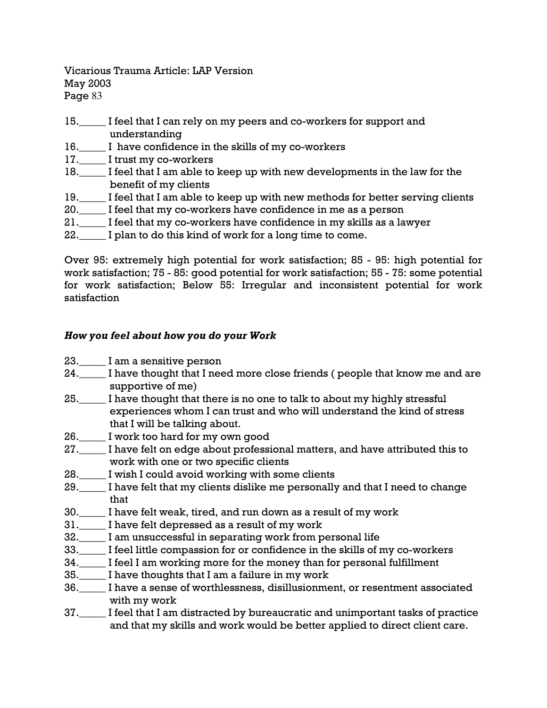- 15.\_\_\_\_\_ I feel that I can rely on my peers and co-workers for support and understanding
- 16.\_\_\_\_\_ I have confidence in the skills of my co-workers
- 17. I trust my co-workers
- 18.\_\_\_\_\_ I feel that I am able to keep up with new developments in the law for the benefit of my clients
- 19. I feel that I am able to keep up with new methods for better serving clients
- 20.\_\_\_\_\_ I feel that my co-workers have confidence in me as a person
- 21. I feel that my co-workers have confidence in my skills as a lawyer
- 22.\_\_\_\_\_ I plan to do this kind of work for a long time to come.

Over 95: extremely high potential for work satisfaction; 85 - 95: high potential for work satisfaction; 75 - 85: good potential for work satisfaction; 55 - 75: some potential for work satisfaction; Below 55: Irregular and inconsistent potential for work satisfaction

# *How you feel about how you do your Work*

- 23.\_\_\_\_\_ I am a sensitive person
- 24. I have thought that I need more close friends ( people that know me and are supportive of me)
- 25.\_\_\_\_\_ I have thought that there is no one to talk to about my highly stressful experiences whom I can trust and who will understand the kind of stress that I will be talking about.
- 26.\_\_\_\_\_ I work too hard for my own good
- 27.\_\_\_\_\_ I have felt on edge about professional matters, and have attributed this to work with one or two specific clients
- 28.\_\_\_\_\_ I wish I could avoid working with some clients
- 29.\_\_\_\_\_ I have felt that my clients dislike me personally and that I need to change that
- 30.\_\_\_\_\_ I have felt weak, tired, and run down as a result of my work
- 31.\_\_\_\_\_ I have felt depressed as a result of my work
- 32.\_\_\_\_\_ I am unsuccessful in separating work from personal life
- 33.\_\_\_\_\_ I feel little compassion for or confidence in the skills of my co-workers
- 34.\_\_\_\_\_ I feel I am working more for the money than for personal fulfillment
- 35.\_\_\_\_\_ I have thoughts that I am a failure in my work
- 36.\_\_\_\_\_ I have a sense of worthlessness, disillusionment, or resentment associated with my work
- 37. I feel that I am distracted by bureaucratic and unimportant tasks of practice and that my skills and work would be better applied to direct client care.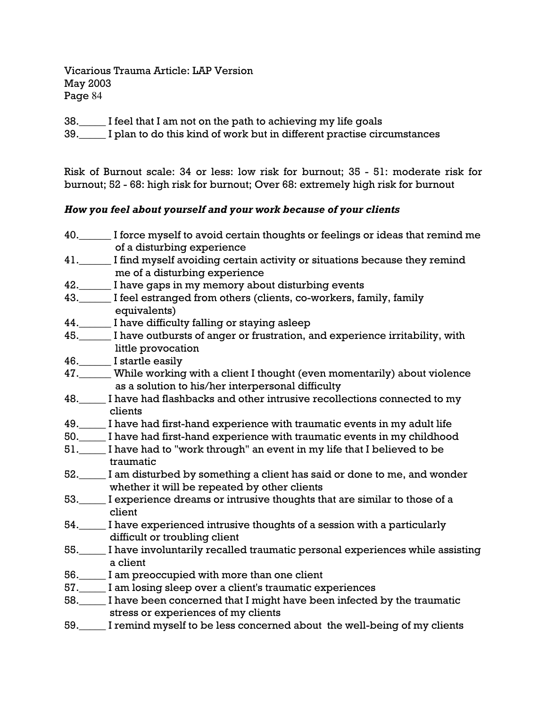38.\_\_\_\_\_ I feel that I am not on the path to achieving my life goals 39.\_\_\_\_\_ I plan to do this kind of work but in different practise circumstances

Risk of Burnout scale: 34 or less: low risk for burnout; 35 - 51: moderate risk for burnout; 52 - 68: high risk for burnout; Over 68: extremely high risk for burnout

## *How you feel about yourself and your work because of your clients*

- 40.\_\_\_\_\_\_ I force myself to avoid certain thoughts or feelings or ideas that remind me of a disturbing experience
- 41.\_\_\_\_\_\_ I find myself avoiding certain activity or situations because they remind me of a disturbing experience
- 42.\_\_\_\_\_\_ I have gaps in my memory about disturbing events
- 43.\_\_\_\_\_\_ I feel estranged from others (clients, co-workers, family, family equivalents)
- 44.\_\_\_\_\_\_ I have difficulty falling or staying asleep
- 45. I have outbursts of anger or frustration, and experience irritability, with little provocation
- 46.\_\_\_\_\_\_ I startle easily
- 47.\_\_\_\_\_\_ While working with a client I thought (even momentarily) about violence as a solution to his/her interpersonal difficulty
- 48. I have had flashbacks and other intrusive recollections connected to my clients
- 49.\_\_\_\_\_ I have had first-hand experience with traumatic events in my adult life
- 50.\_\_\_\_\_ I have had first-hand experience with traumatic events in my childhood
- 51.\_\_\_\_\_ I have had to "work through" an event in my life that I believed to be traumatic
- 52.\_\_\_\_\_ I am disturbed by something a client has said or done to me, and wonder whether it will be repeated by other clients
- 53.\_\_\_\_\_ I experience dreams or intrusive thoughts that are similar to those of a client
- 54.\_\_\_\_\_ I have experienced intrusive thoughts of a session with a particularly difficult or troubling client
- 55.\_\_\_\_\_ I have involuntarily recalled traumatic personal experiences while assisting a client
- 56.\_\_\_\_\_ I am preoccupied with more than one client
- 57.\_\_\_\_\_ I am losing sleep over a client's traumatic experiences
- 58.\_\_\_\_\_ I have been concerned that I might have been infected by the traumatic stress or experiences of my clients
- 59. I remind myself to be less concerned about the well-being of my clients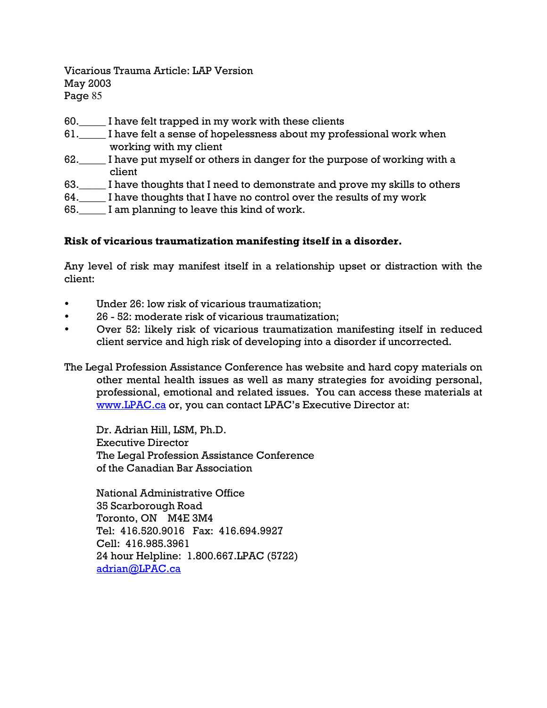- 60.\_\_\_\_\_ I have felt trapped in my work with these clients
- 61.\_\_\_\_\_ I have felt a sense of hopelessness about my professional work when working with my client
- 62. I have put myself or others in danger for the purpose of working with a client
- 63.\_\_\_\_\_ I have thoughts that I need to demonstrate and prove my skills to others
- 64. I have thoughts that I have no control over the results of my work
- 65.\_\_\_\_\_ I am planning to leave this kind of work.

### **Risk of vicarious traumatization manifesting itself in a disorder.**

Any level of risk may manifest itself in a relationship upset or distraction with the client:

- Under 26: low risk of vicarious traumatization;
- 26 52: moderate risk of vicarious traumatization;
- Over 52: likely risk of vicarious traumatization manifesting itself in reduced client service and high risk of developing into a disorder if uncorrected.

The Legal Profession Assistance Conference has website and hard copy materials on other mental health issues as well as many strategies for avoiding personal, professional, emotional and related issues. You can access these materials at www.LPAC.ca or, you can contact LPAC's Executive Director at:

Dr. Adrian Hill, LSM, Ph.D. Executive Director The Legal Profession Assistance Conference of the Canadian Bar Association

National Administrative Office 35 Scarborough Road Toronto, ON M4E 3M4 Tel: 416.520.9016 Fax: 416.694.9927 Cell: 416.985.3961 24 hour Helpline: 1.800.667.LPAC (5722) adrian@LPAC.ca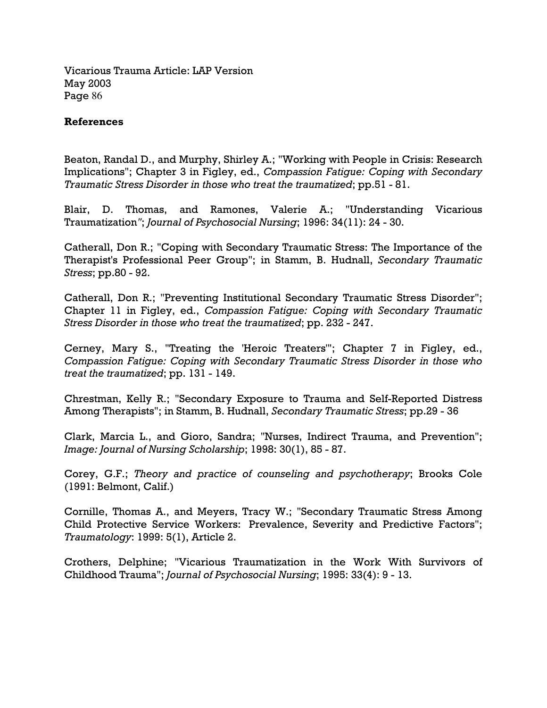#### **References**

Beaton, Randal D., and Murphy, Shirley A.; "Working with People in Crisis: Research Implications"; Chapter 3 in Figley, ed., *Compassion Fatigue: Coping with Secondary Traumatic Stress Disorder in those who treat the traumatized*; pp.51 - 81.

Blair, D. Thomas, and Ramones, Valerie A.; "Understanding Vicarious Traumatization*"*; *Journal of Psychosocial Nursing*; 1996: 34(11): 24 - 30.

Catherall, Don R.; "Coping with Secondary Traumatic Stress: The Importance of the Therapist's Professional Peer Group"; in Stamm, B. Hudnall, *Secondary Traumatic Stress*; pp.80 - 92.

Catherall, Don R.; "Preventing Institutional Secondary Traumatic Stress Disorder"; Chapter 11 in Figley, ed., *Compassion Fatigue: Coping with Secondary Traumatic Stress Disorder in those who treat the traumatized*; pp. 232 - 247.

Cerney, Mary S., "Treating the 'Heroic Treaters'"; Chapter 7 in Figley, ed., *Compassion Fatigue: Coping with Secondary Traumatic Stress Disorder in those who treat the traumatized*; pp. 131 - 149.

Chrestman, Kelly R.; "Secondary Exposure to Trauma and Self-Reported Distress Among Therapists"; in Stamm, B. Hudnall, *Secondary Traumatic Stress*; pp.29 - 36

Clark, Marcia L., and Gioro, Sandra; "Nurses, Indirect Trauma, and Prevention"; *Image: Journal of Nursing Scholarship*; 1998: 30(1), 85 - 87.

Corey, G.F.; *Theory and practice of counseling and psychotherapy*; Brooks Cole (1991: Belmont, Calif.)

Cornille, Thomas A., and Meyers, Tracy W.; "Secondary Traumatic Stress Among Child Protective Service Workers: Prevalence, Severity and Predictive Factors"; *Traumatology*: 1999: 5(1), Article 2.

Crothers, Delphine; "Vicarious Traumatization in the Work With Survivors of Childhood Trauma"; *Journal of Psychosocial Nursing*; 1995: 33(4): 9 - 13.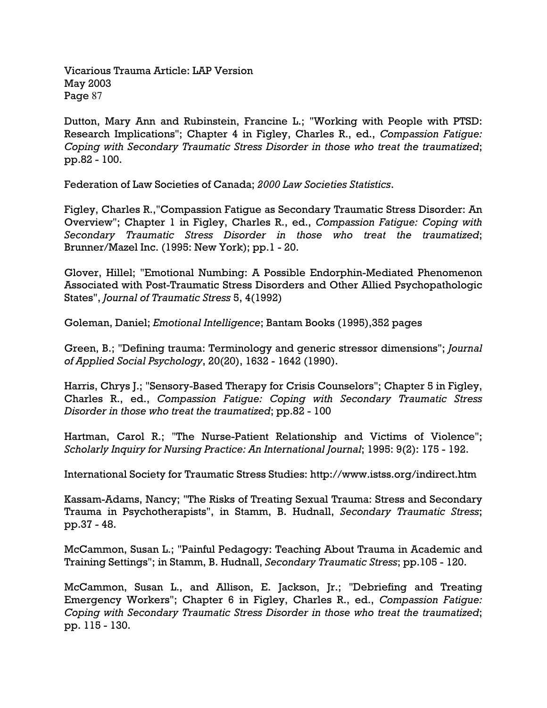Dutton, Mary Ann and Rubinstein, Francine L.; "Working with People with PTSD: Research Implications"; Chapter 4 in Figley, Charles R., ed., *Compassion Fatigue: Coping with Secondary Traumatic Stress Disorder in those who treat the traumatized*; pp.82 - 100.

Federation of Law Societies of Canada; *2000 Law Societies Statistics*.

Figley, Charles R.,"Compassion Fatigue as Secondary Traumatic Stress Disorder: An Overview"; Chapter 1 in Figley, Charles R., ed., *Compassion Fatigue: Coping with Secondary Traumatic Stress Disorder in those who treat the traumatized*; Brunner/Mazel Inc. (1995: New York); pp.1 - 20.

Glover, Hillel; "Emotional Numbing: A Possible Endorphin-Mediated Phenomenon Associated with Post-Traumatic Stress Disorders and Other Allied Psychopathologic States", *Journal of Traumatic Stress* 5, 4(1992)

Goleman, Daniel; *Emotional Intelligence*; Bantam Books (1995),352 pages

Green, B.; "Defining trauma: Terminology and generic stressor dimensions"; *Journal of Applied Social Psychology*, 20(20), 1632 - 1642 (1990).

Harris, Chrys J.; "Sensory-Based Therapy for Crisis Counselors"; Chapter 5 in Figley, Charles R., ed., *Compassion Fatigue: Coping with Secondary Traumatic Stress Disorder in those who treat the traumatized*; pp.82 - 100

Hartman, Carol R.; "The Nurse-Patient Relationship and Victims of Violence"; *Scholarly Inquiry for Nursing Practice: An International Journal*; 1995: 9(2): 175 - 192.

International Society for Traumatic Stress Studies: http://www.istss.org/indirect.htm

Kassam-Adams, Nancy; "The Risks of Treating Sexual Trauma: Stress and Secondary Trauma in Psychotherapists", in Stamm, B. Hudnall, *Secondary Traumatic Stress*; pp.37 - 48.

McCammon, Susan L.; "Painful Pedagogy: Teaching About Trauma in Academic and Training Settings"; in Stamm, B. Hudnall, *Secondary Traumatic Stress*; pp.105 - 120.

McCammon, Susan L., and Allison, E. Jackson, Jr.; "Debriefing and Treating Emergency Workers"; Chapter 6 in Figley, Charles R., ed., *Compassion Fatigue: Coping with Secondary Traumatic Stress Disorder in those who treat the traumatized*; pp. 115 - 130.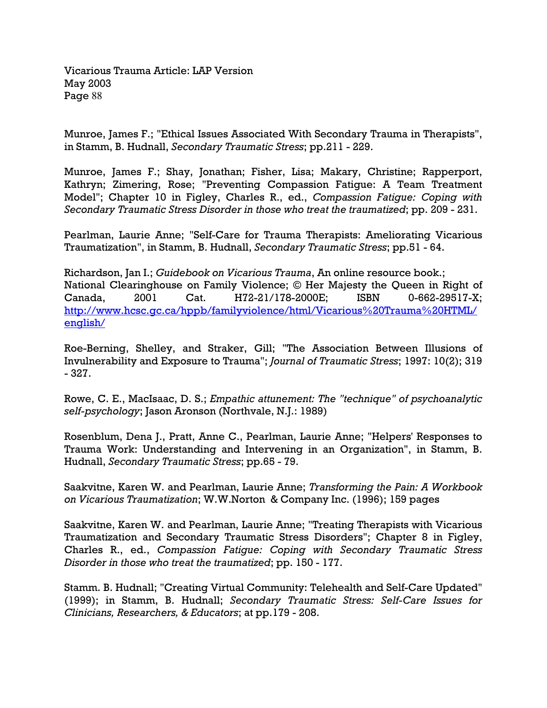Munroe, James F.; "Ethical Issues Associated With Secondary Trauma in Therapists", in Stamm, B. Hudnall, *Secondary Traumatic Stress*; pp.211 - 229.

Munroe, James F.; Shay, Jonathan; Fisher, Lisa; Makary, Christine; Rapperport, Kathryn; Zimering, Rose; "Preventing Compassion Fatigue: A Team Treatment Model"; Chapter 10 in Figley, Charles R., ed., *Compassion Fatigue: Coping with Secondary Traumatic Stress Disorder in those who treat the traumatized*; pp. 209 - 231.

Pearlman, Laurie Anne; "Self-Care for Trauma Therapists: Ameliorating Vicarious Traumatization", in Stamm, B. Hudnall, *Secondary Traumatic Stress*; pp.51 - 64.

Richardson, Jan I.; *Guidebook on Vicarious Trauma*, An online resource book.; National Clearinghouse on Family Violence; © Her Majesty the Queen in Right of Canada, 2001 Cat. H72-21/178-2000E; ISBN 0-662-29517-X; http://www.hcsc.gc.ca/hppb/familyviolence/html/Vicarious%20Trauma%20HTML/ english/

Roe-Berning, Shelley, and Straker, Gill; "The Association Between Illusions of Invulnerability and Exposure to Trauma"; *Journal of Traumatic Stress*; 1997: 10(2); 319 - 327.

Rowe, C. E., MacIsaac, D. S.; *Empathic attunement: The "technique" of psychoanalytic self-psychology*; Jason Aronson (Northvale, N.J.: 1989)

Rosenblum, Dena J., Pratt, Anne C., Pearlman, Laurie Anne; "Helpers' Responses to Trauma Work: Understanding and Intervening in an Organization", in Stamm, B. Hudnall, *Secondary Traumatic Stress*; pp.65 - 79.

Saakvitne, Karen W. and Pearlman, Laurie Anne; *Transforming the Pain: A Workbook on Vicarious Traumatization*; W.W.Norton & Company Inc. (1996); 159 pages

Saakvitne, Karen W. and Pearlman, Laurie Anne; "Treating Therapists with Vicarious Traumatization and Secondary Traumatic Stress Disorders"; Chapter 8 in Figley, Charles R., ed., *Compassion Fatigue: Coping with Secondary Traumatic Stress Disorder in those who treat the traumatized*; pp. 150 - 177.

Stamm. B. Hudnall; "Creating Virtual Community: Telehealth and Self-Care Updated" (1999); in Stamm, B. Hudnall; *Secondary Traumatic Stress: Self-Care Issues for Clinicians, Researchers, & Educators*; at pp.179 - 208.